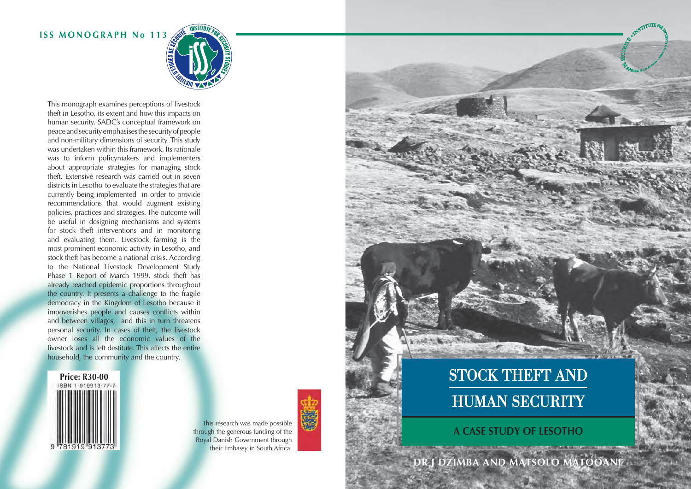# STOCK THEFT AND HUMAN SECURITY

Sunsfirm

**A CASE STUDY OF LESOTHO**

**DR J DZIMBA AND MATSOLO MATOOANE**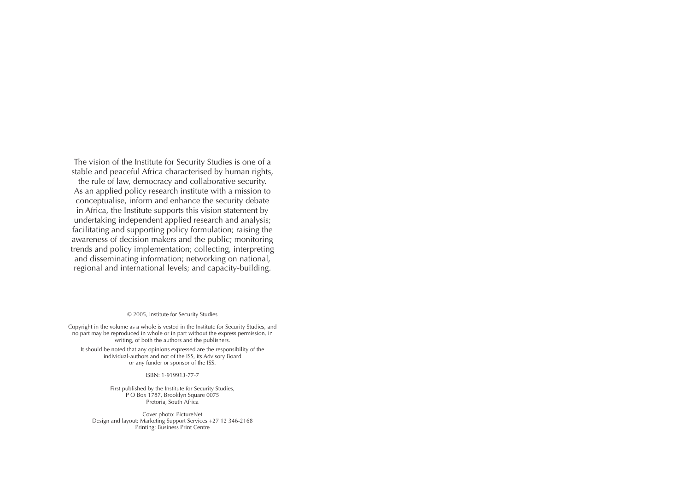The vision of the Institute for Security Studies is one of a stable and peaceful Africa characterised by human rights, the rule of law, democracy and collaborative security. As an applied policy research institute with a mission to conceptualise, inform and enhance the security debate in Africa, the Institute supports this vision statement by undertaking independent applied research and analysis; facilitating and supporting policy formulation; raising the awareness of decision makers and the public; monitoring trends and policy implementation; collecting, interpreting and disseminating information; networking on national, regional and international levels; and capacity-building.

© 2005, Institute for Security Studies

Copyright in the volume as a whole is vested in the Institute for Security Studies, and no part may be reproduced in whole or in part without the express permission, in writing, of both the authors and the publishers.

It should be noted that any opinions expressed are the responsibility of the individual-authors and not of the ISS, its Advisory Board or any funder or sponsor of the ISS.

ISBN: 1-919913-77-7

First published by the Institute for Security Studies, P O Box 1787, Brooklyn Square 0075 Pretoria, South Africa

Cover photo: PictureNet Design and layout: Marketing Support Services +27 12 346-2168 Printing: Business Print Centre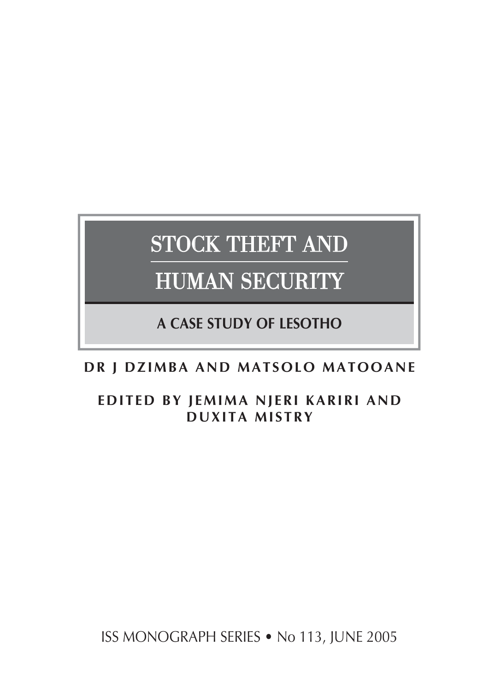# STOCK THEFT AND

HUMAN SECURITY

**A CASE STUDY OF LESOTHO**

### **DR J DZIMBA AND MATSOLO MATOOANE**

### **EDITED BY JEMIMA NJERI KARIRI AND DUXITA MISTRY**

ISS MONOGRAPH SERIES • No 113, JUNE 2005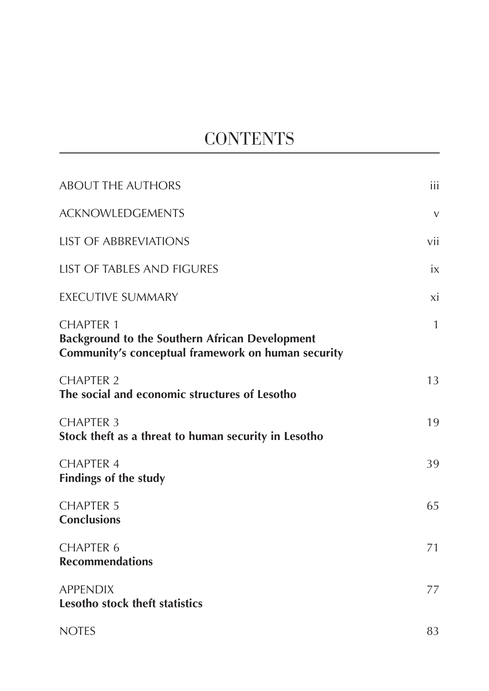# **CONTENTS**

| <b>ABOUT THE AUTHORS</b>                                                                                                        |              |  |
|---------------------------------------------------------------------------------------------------------------------------------|--------------|--|
| <b>ACKNOWLEDGEMENTS</b>                                                                                                         | $\vee$       |  |
| LIST OF ABBREVIATIONS                                                                                                           | vii          |  |
| LIST OF TABLES AND FIGURES                                                                                                      | ix           |  |
| <b>EXECUTIVE SUMMARY</b>                                                                                                        | xi           |  |
| <b>CHAPTER 1</b><br><b>Background to the Southern African Development</b><br>Community's conceptual framework on human security | $\mathbf{1}$ |  |
| <b>CHAPTER 2</b><br>The social and economic structures of Lesotho                                                               | 13           |  |
| <b>CHAPTER 3</b><br>Stock theft as a threat to human security in Lesotho                                                        | 19           |  |
| <b>CHAPTER 4</b><br>Findings of the study                                                                                       | 39           |  |
| <b>CHAPTER 5</b><br><b>Conclusions</b>                                                                                          | 65           |  |
| <b>CHAPTER 6</b><br><b>Recommendations</b>                                                                                      | 71           |  |
| <b>APPENDIX</b><br>Lesotho stock theft statistics                                                                               | 77           |  |
| <b>NOTES</b>                                                                                                                    | 83           |  |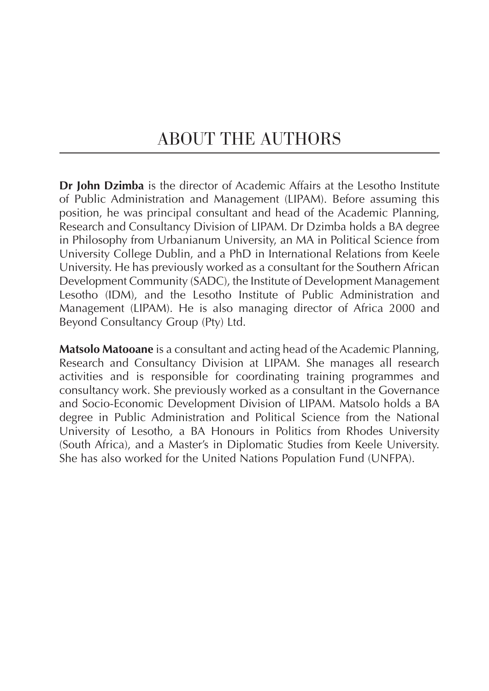### ABOUT THE AUTHORS

**Dr John Dzimba** is the director of Academic Affairs at the Lesotho Institute of Public Administration and Management (LIPAM). Before assuming this position, he was principal consultant and head of the Academic Planning, Research and Consultancy Division of LIPAM. Dr Dzimba holds a BA degree in Philosophy from Urbanianum University, an MA in Political Science from University College Dublin, and a PhD in International Relations from Keele University. He has previously worked as a consultant for the Southern African Development Community (SADC), the Institute of Development Management Lesotho (IDM), and the Lesotho Institute of Public Administration and Management (LIPAM). He is also managing director of Africa 2000 and Beyond Consultancy Group (Pty) Ltd.

**Matsolo Matooane** is a consultant and acting head of the Academic Planning, Research and Consultancy Division at LIPAM. She manages all research activities and is responsible for coordinating training programmes and consultancy work. She previously worked as a consultant in the Governance and Socio-Economic Development Division of LIPAM. Matsolo holds a BA degree in Public Administration and Political Science from the National University of Lesotho, a BA Honours in Politics from Rhodes University (South Africa), and a Master's in Diplomatic Studies from Keele University. She has also worked for the United Nations Population Fund (UNFPA).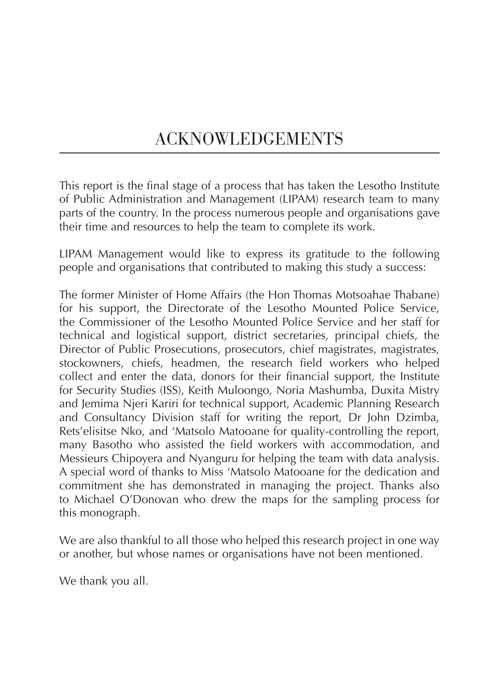## ACKNOWLEDGEMENTS

This report is the final stage of a process that has taken the Lesotho Institute of Public Administration and Management (LIPAM) research team to many parts of the country. In the process numerous people and organisations gave their time and resources to help the team to complete its work.

LIPAM Management would like to express its gratitude to the following people and organisations that contributed to making this study a success:

The former Minister of Home Affairs (the Hon Thomas Motsoahae Thabane) for his support, the Directorate of the Lesotho Mounted Police Service, the Commissioner of the Lesotho Mounted Police Service and her staff for technical and logistical support, district secretaries, principal chiefs, the Director of Public Prosecutions, prosecutors, chief magistrates, magistrates, stockowners, chiefs, headmen, the research field workers who helped collect and enter the data, donors for their financial support, the Institute for Security Studies (ISS), Keith Muloongo, Noria Mashumba, Duxita Mistry and Jemima Njeri Kariri for technical support, Academic Planning Research and Consultancy Division staff for writing the report, Dr John Dzimba, Rets'elisitse Nko, and 'Matsolo Matooane for quality-controlling the report, many Basotho who assisted the field workers with accommodation, and Messieurs Chipoyera and Nyanguru for helping the team with data analysis. A special word of thanks to Miss 'Matsolo Matooane for the dedication and commitment she has demonstrated in managing the project. Thanks also to Michael O'Donovan who drew the maps for the sampling process for this monograph.

We are also thankful to all those who helped this research project in one way or another, but whose names or organisations have not been mentioned.

We thank you all.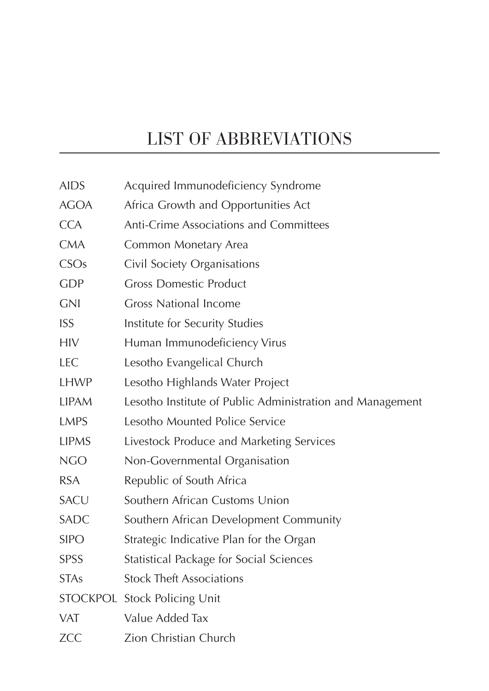# LIST OF ABBREVIATIONS

| <b>AIDS</b>  | Acquired Immunodeficiency Syndrome                        |
|--------------|-----------------------------------------------------------|
| <b>AGOA</b>  | Africa Growth and Opportunities Act                       |
| <b>CCA</b>   | Anti-Crime Associations and Committees                    |
| <b>CMA</b>   | Common Monetary Area                                      |
| CSOs         | Civil Society Organisations                               |
| <b>GDP</b>   | <b>Gross Domestic Product</b>                             |
| <b>GNI</b>   | <b>Gross National Income</b>                              |
| <b>ISS</b>   | Institute for Security Studies                            |
| <b>HIV</b>   | Human Immunodeficiency Virus                              |
| <b>LEC</b>   | Lesotho Evangelical Church                                |
| LHWP         | Lesotho Highlands Water Project                           |
| <b>LIPAM</b> | Lesotho Institute of Public Administration and Management |
| <b>LMPS</b>  | Lesotho Mounted Police Service                            |
| <b>LIPMS</b> | Livestock Produce and Marketing Services                  |
| <b>NGO</b>   | Non-Governmental Organisation                             |
| <b>RSA</b>   | Republic of South Africa                                  |
| SACU         | Southern African Customs Union                            |
| SADC         | Southern African Development Community                    |
| <b>SIPO</b>  | Strategic Indicative Plan for the Organ                   |
| <b>SPSS</b>  | Statistical Package for Social Sciences                   |
| <b>STAs</b>  | <b>Stock Theft Associations</b>                           |
|              | STOCKPOL Stock Policing Unit                              |
| <b>VAT</b>   | Value Added Tax                                           |
| <b>ZCC</b>   | Zion Christian Church                                     |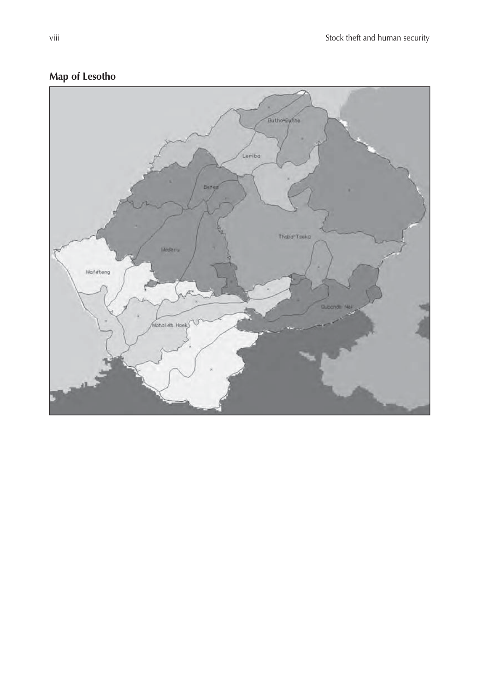#### **Map of Lesotho**

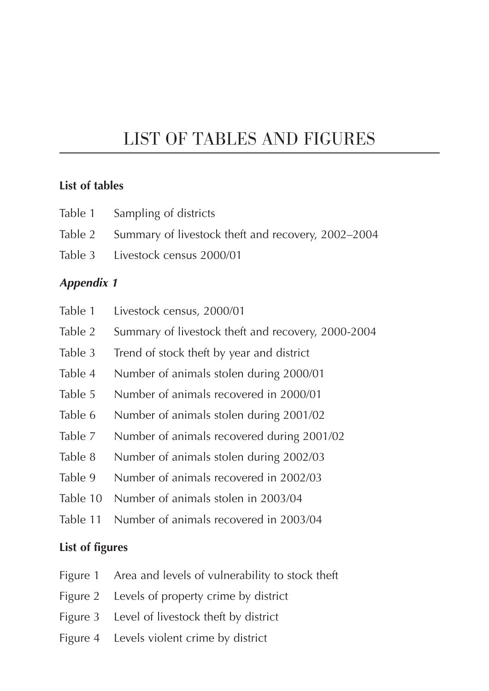### LIST OF TABLES AND FIGURES

#### **List of tables**

- Table 1 Sampling of districts
- Table 2 Summary of livestock theft and recovery, 2002–2004
- Table 3 Livestock census 2000/01

#### *Appendix 1*

| Table 1  | Livestock census, 2000/01                          |
|----------|----------------------------------------------------|
| Table 2  | Summary of livestock theft and recovery, 2000-2004 |
| Table 3  | Trend of stock theft by year and district          |
| Table 4  | Number of animals stolen during 2000/01            |
| Table 5  | Number of animals recovered in 2000/01             |
| Table 6  | Number of animals stolen during 2001/02            |
| Table 7  | Number of animals recovered during 2001/02         |
| Table 8  | Number of animals stolen during 2002/03            |
| Table 9  | Number of animals recovered in 2002/03             |
| Table 10 | Number of animals stolen in 2003/04                |
| Table 11 | Number of animals recovered in 2003/04             |

#### **List of figures**

- Figure 1 Area and levels of vulnerability to stock theft
- Figure 2 Levels of property crime by district
- Figure 3 Level of livestock theft by district
- Figure 4 Levels violent crime by district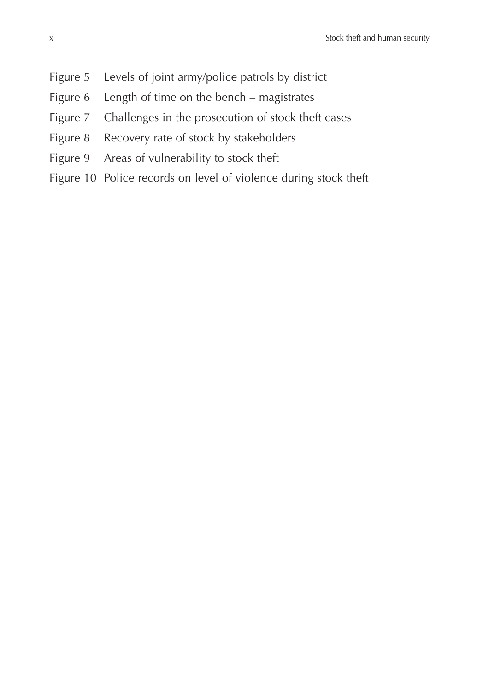- Figure 5 Levels of joint army/police patrols by district
- Figure 6 Length of time on the bench magistrates
- Figure 7 Challenges in the prosecution of stock theft cases
- Figure 8 Recovery rate of stock by stakeholders
- Figure 9 Areas of vulnerability to stock theft
- Figure 10 Police records on level of violence during stock theft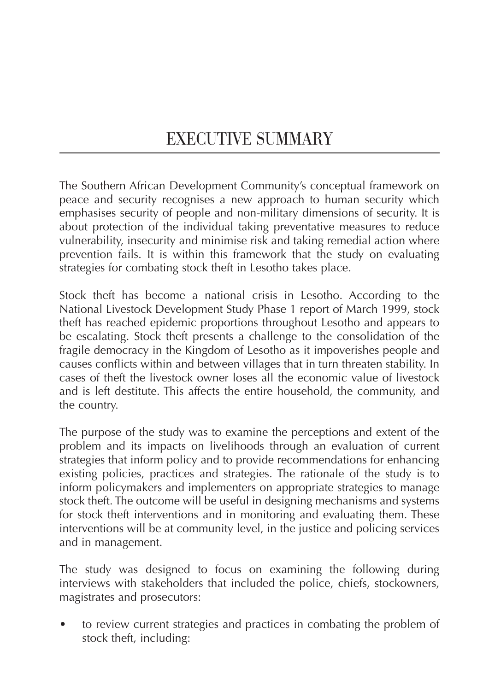# EXECUTIVE SUMMARY

. The Southern African Development Community's conceptual framework on peace and security recognises a new approach to human security which emphasises security of people and non-military dimensions of security. It is about protection of the individual taking preventative measures to reduce vulnerability, insecurity and minimise risk and taking remedial action where prevention fails. It is within this framework that the study on evaluating strategies for combating stock theft in Lesotho takes place.

Stock theft has become a national crisis in Lesotho. According to the National Livestock Development Study Phase 1 report of March 1999, stock theft has reached epidemic proportions throughout Lesotho and appears to be escalating. Stock theft presents a challenge to the consolidation of the fragile democracy in the Kingdom of Lesotho as it impoverishes people and causes conflicts within and between villages that in turn threaten stability. In cases of theft the livestock owner loses all the economic value of livestock and is left destitute. This affects the entire household, the community, and the country.

The purpose of the study was to examine the perceptions and extent of the problem and its impacts on livelihoods through an evaluation of current strategies that inform policy and to provide recommendations for enhancing existing policies, practices and strategies. The rationale of the study is to inform policymakers and implementers on appropriate strategies to manage stock theft. The outcome will be useful in designing mechanisms and systems for stock theft interventions and in monitoring and evaluating them. These interventions will be at community level, in the justice and policing services and in management.

The study was designed to focus on examining the following during interviews with stakeholders that included the police, chiefs, stockowners, magistrates and prosecutors:

• to review current strategies and practices in combating the problem of stock theft, including: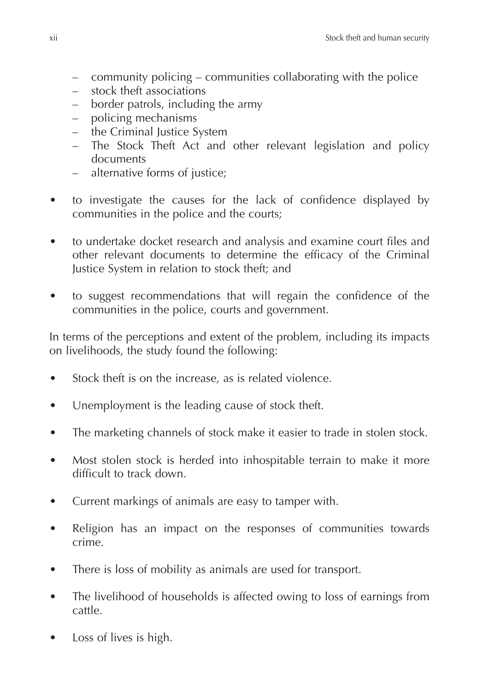- community policing communities collaborating with the police
- stock theft associations
- border patrols, including the army
- policing mechanisms
- the Criminal Justice System
- The Stock Theft Act and other relevant legislation and policy documents
- alternative forms of justice;
- to investigate the causes for the lack of confidence displayed by communities in the police and the courts;
- to undertake docket research and analysis and examine court files and other relevant documents to determine the efficacy of the Criminal Justice System in relation to stock theft; and
- to suggest recommendations that will regain the confidence of the communities in the police, courts and government.

In terms of the perceptions and extent of the problem, including its impacts on livelihoods, the study found the following:

- Stock theft is on the increase, as is related violence.
- Unemployment is the leading cause of stock theft.
- The marketing channels of stock make it easier to trade in stolen stock.
- Most stolen stock is herded into inhospitable terrain to make it more difficult to track down.
- Current markings of animals are easy to tamper with.
- Religion has an impact on the responses of communities towards crime.
- There is loss of mobility as animals are used for transport.
- The livelihood of households is affected owing to loss of earnings from cattle.
- Loss of lives is high.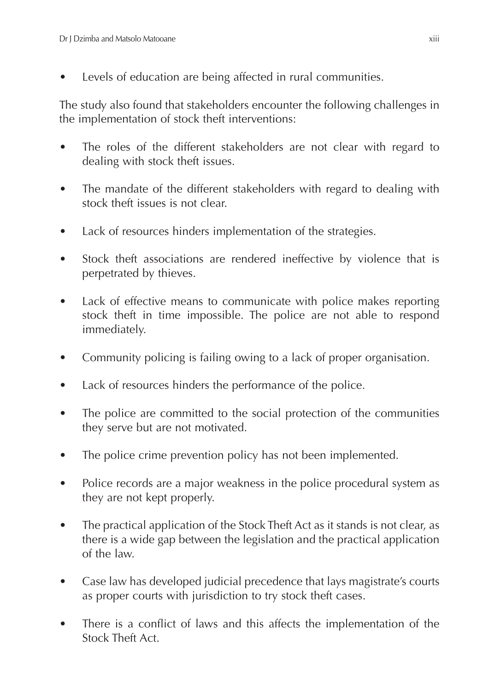Levels of education are being affected in rural communities.

The study also found that stakeholders encounter the following challenges in the implementation of stock theft interventions:

- The roles of the different stakeholders are not clear with regard to dealing with stock theft issues.
- The mandate of the different stakeholders with regard to dealing with stock theft issues is not clear.
- Lack of resources hinders implementation of the strategies.
- Stock theft associations are rendered ineffective by violence that is perpetrated by thieves.
- Lack of effective means to communicate with police makes reporting stock theft in time impossible. The police are not able to respond immediately.
- Community policing is failing owing to a lack of proper organisation.
- Lack of resources hinders the performance of the police.
- The police are committed to the social protection of the communities they serve but are not motivated.
- The police crime prevention policy has not been implemented.
- Police records are a major weakness in the police procedural system as they are not kept properly.
- The practical application of the Stock Theft Act as it stands is not clear, as there is a wide gap between the legislation and the practical application of the law.
- Case law has developed judicial precedence that lays magistrate's courts as proper courts with jurisdiction to try stock theft cases.
- There is a conflict of laws and this affects the implementation of the Stock Theft Act.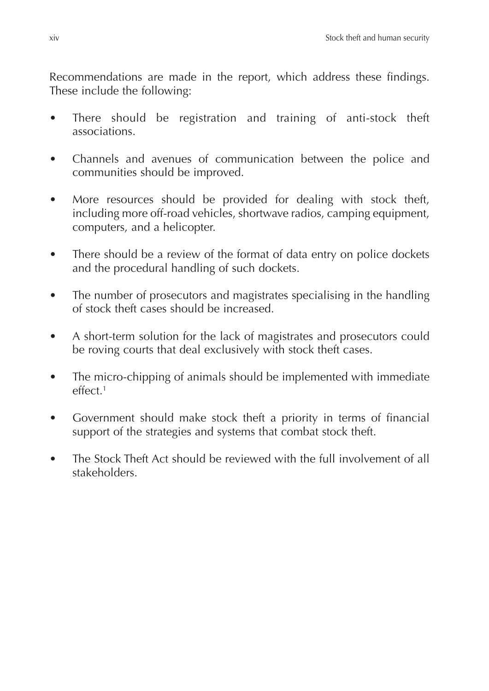Recommendations are made in the report, which address these findings. These include the following:

- There should be registration and training of anti-stock theft associations.
- Channels and avenues of communication between the police and communities should be improved.
- More resources should be provided for dealing with stock theft, including more off-road vehicles, shortwave radios, camping equipment, computers, and a helicopter.
- There should be a review of the format of data entry on police dockets and the procedural handling of such dockets.
- The number of prosecutors and magistrates specialising in the handling of stock theft cases should be increased.
- A short-term solution for the lack of magistrates and prosecutors could be roving courts that deal exclusively with stock theft cases.
- The micro-chipping of animals should be implemented with immediate  $effect<sup>1</sup>$
- Government should make stock theft a priority in terms of financial support of the strategies and systems that combat stock theft.
- The Stock Theft Act should be reviewed with the full involvement of all stakeholders.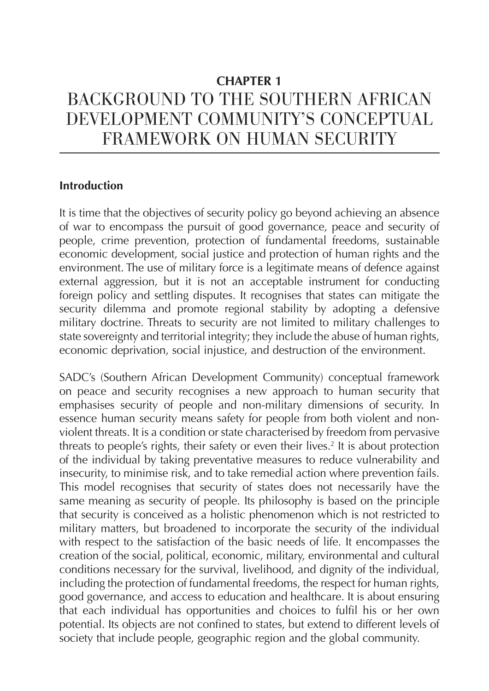### **CHAPTER 1** BACKGROUND TO THE SOUTHERN AFRICAN DEVELOPMENT COMMUNITY'S CONCEPTUAL FRAMEWORK ON HUMAN SECURITY

#### . **Introduction**

It is time that the objectives of security policy go beyond achieving an absence of war to encompass the pursuit of good governance, peace and security of people, crime prevention, protection of fundamental freedoms, sustainable economic development, social justice and protection of human rights and the environment. The use of military force is a legitimate means of defence against external aggression, but it is not an acceptable instrument for conducting foreign policy and settling disputes. It recognises that states can mitigate the security dilemma and promote regional stability by adopting a defensive military doctrine. Threats to security are not limited to military challenges to state sovereignty and territorial integrity; they include the abuse of human rights, economic deprivation, social injustice, and destruction of the environment.

SADC's (Southern African Development Community) conceptual framework on peace and security recognises a new approach to human security that emphasises security of people and non-military dimensions of security. In essence human security means safety for people from both violent and nonviolent threats. It is a condition or state characterised by freedom from pervasive threats to people's rights, their safety or even their lives.<sup>2</sup> It is about protection of the individual by taking preventative measures to reduce vulnerability and insecurity, to minimise risk, and to take remedial action where prevention fails. This model recognises that security of states does not necessarily have the same meaning as security of people. Its philosophy is based on the principle that security is conceived as a holistic phenomenon which is not restricted to military matters, but broadened to incorporate the security of the individual with respect to the satisfaction of the basic needs of life. It encompasses the creation of the social, political, economic, military, environmental and cultural conditions necessary for the survival, livelihood, and dignity of the individual, including the protection of fundamental freedoms, the respect for human rights, good governance, and access to education and healthcare. It is about ensuring that each individual has opportunities and choices to fulfil his or her own potential. Its objects are not confined to states, but extend to different levels of society that include people, geographic region and the global community.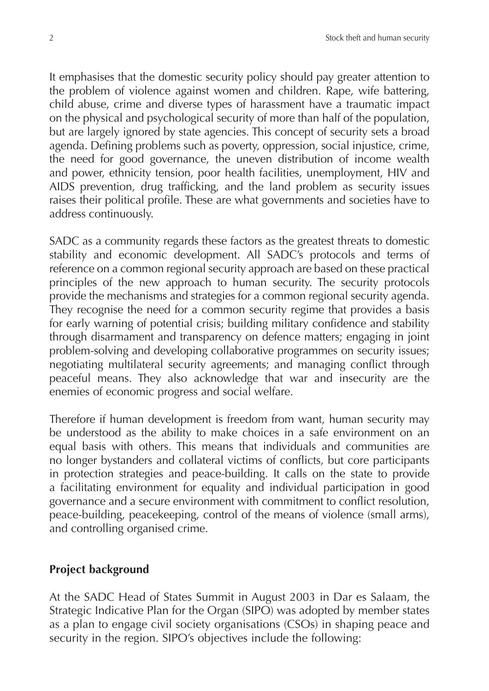It emphasises that the domestic security policy should pay greater attention to the problem of violence against women and children. Rape, wife battering, child abuse, crime and diverse types of harassment have a traumatic impact on the physical and psychological security of more than half of the population, but are largely ignored by state agencies. This concept of security sets a broad agenda. Defining problems such as poverty, oppression, social injustice, crime, the need for good governance, the uneven distribution of income wealth and power, ethnicity tension, poor health facilities, unemployment, HIV and AIDS prevention, drug trafficking, and the land problem as security issues raises their political profile. These are what governments and societies have to address continuously.

SADC as a community regards these factors as the greatest threats to domestic stability and economic development. All SADC's protocols and terms of reference on a common regional security approach are based on these practical principles of the new approach to human security. The security protocols provide the mechanisms and strategies for a common regional security agenda. They recognise the need for a common security regime that provides a basis for early warning of potential crisis; building military confidence and stability through disarmament and transparency on defence matters; engaging in joint problem-solving and developing collaborative programmes on security issues; negotiating multilateral security agreements; and managing conflict through peaceful means. They also acknowledge that war and insecurity are the enemies of economic progress and social welfare.

Therefore if human development is freedom from want, human security may be understood as the ability to make choices in a safe environment on an equal basis with others. This means that individuals and communities are no longer bystanders and collateral victims of conflicts, but core participants in protection strategies and peace-building. It calls on the state to provide a facilitating environment for equality and individual participation in good governance and a secure environment with commitment to conflict resolution, peace-building, peacekeeping, control of the means of violence (small arms), and controlling organised crime.

#### **Project background**

At the SADC Head of States Summit in August 2003 in Dar es Salaam, the Strategic Indicative Plan for the Organ (SIPO) was adopted by member states as a plan to engage civil society organisations (CSOs) in shaping peace and security in the region. SIPO's objectives include the following: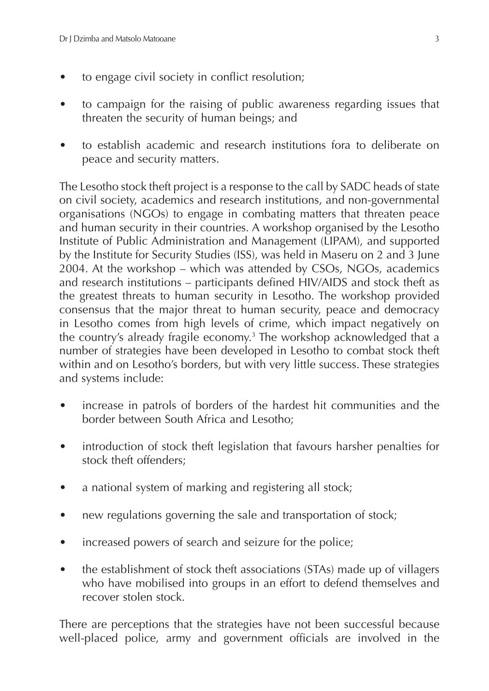- to engage civil society in conflict resolution;
- to campaign for the raising of public awareness regarding issues that threaten the security of human beings; and
- to establish academic and research institutions fora to deliberate on peace and security matters.

The Lesotho stock theft project is a response to the call by SADC heads of state on civil society, academics and research institutions, and non-governmental organisations (NGOs) to engage in combating matters that threaten peace and human security in their countries. A workshop organised by the Lesotho Institute of Public Administration and Management (LIPAM), and supported by the Institute for Security Studies (ISS), was held in Maseru on 2 and 3 June 2004. At the workshop – which was attended by CSOs, NGOs, academics and research institutions – participants defined HIV/AIDS and stock theft as the greatest threats to human security in Lesotho. The workshop provided consensus that the major threat to human security, peace and democracy in Lesotho comes from high levels of crime, which impact negatively on the country's already fragile economy.3 The workshop acknowledged that a number of strategies have been developed in Lesotho to combat stock theft within and on Lesotho's borders, but with very little success. These strategies and systems include:

- increase in patrols of borders of the hardest hit communities and the border between South Africa and Lesotho;
- introduction of stock theft legislation that favours harsher penalties for stock theft offenders;
- a national system of marking and registering all stock;
- new regulations governing the sale and transportation of stock;
- increased powers of search and seizure for the police;
- the establishment of stock theft associations (STAs) made up of villagers who have mobilised into groups in an effort to defend themselves and recover stolen stock.

There are perceptions that the strategies have not been successful because well-placed police, army and government officials are involved in the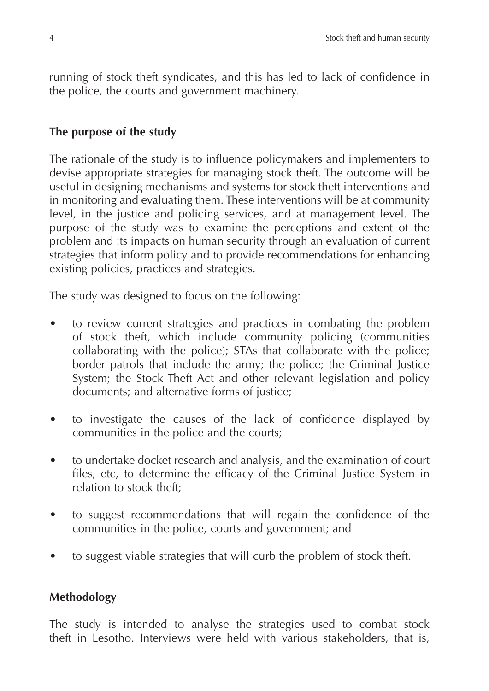running of stock theft syndicates, and this has led to lack of confidence in the police, the courts and government machinery.

#### **The purpose of the study**

The rationale of the study is to influence policymakers and implementers to devise appropriate strategies for managing stock theft. The outcome will be useful in designing mechanisms and systems for stock theft interventions and in monitoring and evaluating them. These interventions will be at community level, in the justice and policing services, and at management level. The purpose of the study was to examine the perceptions and extent of the problem and its impacts on human security through an evaluation of current strategies that inform policy and to provide recommendations for enhancing existing policies, practices and strategies.

The study was designed to focus on the following:

- to review current strategies and practices in combating the problem of stock theft, which include community policing (communities collaborating with the police); STAs that collaborate with the police; border patrols that include the army; the police; the Criminal Justice System; the Stock Theft Act and other relevant legislation and policy documents; and alternative forms of justice;
- to investigate the causes of the lack of confidence displayed by communities in the police and the courts;
- to undertake docket research and analysis, and the examination of court files, etc, to determine the efficacy of the Criminal Justice System in relation to stock theft;
- to suggest recommendations that will regain the confidence of the communities in the police, courts and government; and
- to suggest viable strategies that will curb the problem of stock theft.

#### **Methodology**

The study is intended to analyse the strategies used to combat stock theft in Lesotho. Interviews were held with various stakeholders, that is,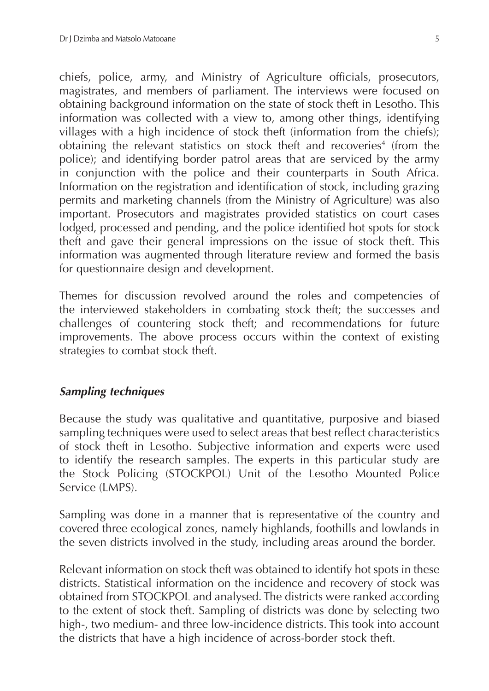chiefs, police, army, and Ministry of Agriculture officials, prosecutors, magistrates, and members of parliament. The interviews were focused on obtaining background information on the state of stock theft in Lesotho. This information was collected with a view to, among other things, identifying villages with a high incidence of stock theft (information from the chiefs); obtaining the relevant statistics on stock theft and recoveries<sup>4</sup> (from the police); and identifying border patrol areas that are serviced by the army in conjunction with the police and their counterparts in South Africa. Information on the registration and identification of stock, including grazing permits and marketing channels (from the Ministry of Agriculture) was also important. Prosecutors and magistrates provided statistics on court cases lodged, processed and pending, and the police identified hot spots for stock theft and gave their general impressions on the issue of stock theft. This information was augmented through literature review and formed the basis for questionnaire design and development.

Themes for discussion revolved around the roles and competencies of the interviewed stakeholders in combating stock theft; the successes and challenges of countering stock theft; and recommendations for future improvements. The above process occurs within the context of existing strategies to combat stock theft.

#### *Sampling techniques*

Because the study was qualitative and quantitative, purposive and biased sampling techniques were used to select areas that best reflect characteristics of stock theft in Lesotho. Subjective information and experts were used to identify the research samples. The experts in this particular study are the Stock Policing (STOCKPOL) Unit of the Lesotho Mounted Police Service (LMPS).

Sampling was done in a manner that is representative of the country and covered three ecological zones, namely highlands, foothills and lowlands in the seven districts involved in the study, including areas around the border.

Relevant information on stock theft was obtained to identify hot spots in these districts. Statistical information on the incidence and recovery of stock was obtained from STOCKPOL and analysed. The districts were ranked according to the extent of stock theft. Sampling of districts was done by selecting two high-, two medium- and three low-incidence districts. This took into account the districts that have a high incidence of across-border stock theft.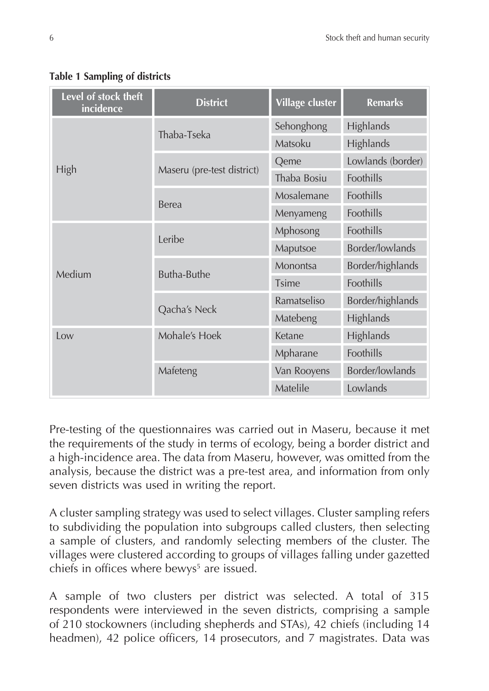| Level of stock theft<br>incidence | <b>District</b>            | <b>Village cluster</b> | <b>Remarks</b>    |
|-----------------------------------|----------------------------|------------------------|-------------------|
| High                              | Thaba-Tseka                | Sehonghong             | Highlands         |
|                                   |                            | Matsoku                | Highlands         |
|                                   | Maseru (pre-test district) | Qeme                   | Lowlands (border) |
|                                   |                            | Thaba Bosiu            | Foothills         |
|                                   | Berea                      | Mosalemane             | Foothills         |
|                                   |                            | Menyameng              | Foothills         |
| Medium                            | Leribe                     | Mphosong               | Foothills         |
|                                   |                            | Maputsoe               | Border/lowlands   |
|                                   | Butha-Buthe                | Monontsa               | Border/highlands  |
|                                   |                            | <b>Tsime</b>           | Foothills         |
|                                   | Qacha's Neck               | Ramatseliso            | Border/highlands  |
|                                   |                            | Matebeng               | Highlands         |
| Low                               | Mohale's Hoek              | Ketane                 | Highlands         |
|                                   |                            | Mpharane               | Foothills         |
|                                   | Mafeteng                   | Van Rooyens            | Border/lowlands   |
|                                   |                            | Matelile               | Lowlands          |

#### **Table 1 Sampling of districts**

Pre-testing of the questionnaires was carried out in Maseru, because it met the requirements of the study in terms of ecology, being a border district and a high-incidence area. The data from Maseru, however, was omitted from the analysis, because the district was a pre-test area, and information from only seven districts was used in writing the report.

A cluster sampling strategy was used to select villages. Cluster sampling refers to subdividing the population into subgroups called clusters, then selecting a sample of clusters, and randomly selecting members of the cluster. The villages were clustered according to groups of villages falling under gazetted chiefs in offices where bewys<sup>5</sup> are issued.

A sample of two clusters per district was selected. A total of 315 respondents were interviewed in the seven districts, comprising a sample of 210 stockowners (including shepherds and STAs), 42 chiefs (including 14 headmen), 42 police officers, 14 prosecutors, and 7 magistrates. Data was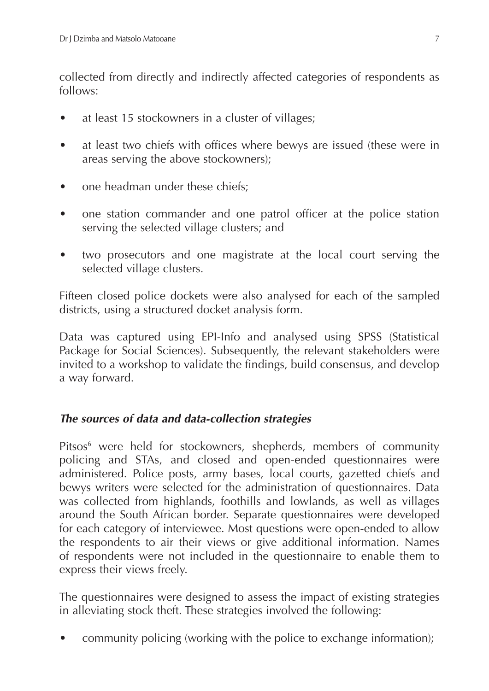collected from directly and indirectly affected categories of respondents as follows:

- at least 15 stockowners in a cluster of villages;
- at least two chiefs with offices where bewys are issued (these were in areas serving the above stockowners);
- one headman under these chiefs;
- one station commander and one patrol officer at the police station serving the selected village clusters; and
- two prosecutors and one magistrate at the local court serving the selected village clusters.

Fifteen closed police dockets were also analysed for each of the sampled districts, using a structured docket analysis form.

Data was captured using EPI-Info and analysed using SPSS (Statistical Package for Social Sciences). Subsequently, the relevant stakeholders were invited to a workshop to validate the findings, build consensus, and develop a way forward.

#### *The sources of data and data-collection strategies*

Pitsos<sup>6</sup> were held for stockowners, shepherds, members of community policing and STAs, and closed and open-ended questionnaires were administered. Police posts, army bases, local courts, gazetted chiefs and bewys writers were selected for the administration of questionnaires. Data was collected from highlands, foothills and lowlands, as well as villages around the South African border. Separate questionnaires were developed for each category of interviewee. Most questions were open-ended to allow the respondents to air their views or give additional information. Names of respondents were not included in the questionnaire to enable them to express their views freely.

The questionnaires were designed to assess the impact of existing strategies in alleviating stock theft. These strategies involved the following:

• community policing (working with the police to exchange information);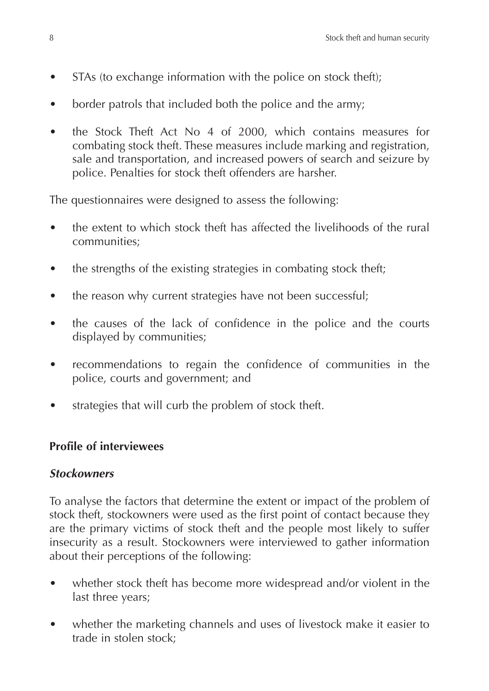- STAs (to exchange information with the police on stock theft);
- border patrols that included both the police and the army:
- the Stock Theft Act No 4 of 2000, which contains measures for combating stock theft. These measures include marking and registration, sale and transportation, and increased powers of search and seizure by police. Penalties for stock theft offenders are harsher.

The questionnaires were designed to assess the following:

- the extent to which stock theft has affected the livelihoods of the rural communities;
- the strengths of the existing strategies in combating stock theft;
- the reason why current strategies have not been successful;
- the causes of the lack of confidence in the police and the courts displayed by communities;
- recommendations to regain the confidence of communities in the police, courts and government; and
- strategies that will curb the problem of stock theft.

#### **Profile of interviewees**

#### *Stockowners*

To analyse the factors that determine the extent or impact of the problem of stock theft, stockowners were used as the first point of contact because they are the primary victims of stock theft and the people most likely to suffer insecurity as a result. Stockowners were interviewed to gather information about their perceptions of the following:

- whether stock theft has become more widespread and/or violent in the last three years;
- whether the marketing channels and uses of livestock make it easier to trade in stolen stock;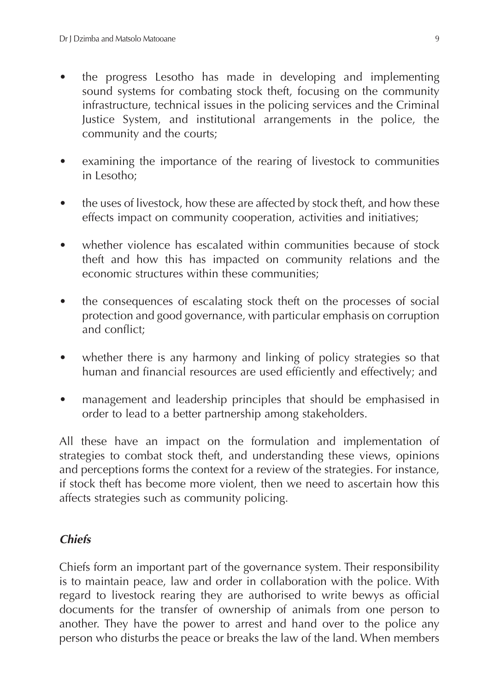- the progress Lesotho has made in developing and implementing sound systems for combating stock theft, focusing on the community infrastructure, technical issues in the policing services and the Criminal Justice System, and institutional arrangements in the police, the community and the courts;
- examining the importance of the rearing of livestock to communities in Lesotho;
- the uses of livestock, how these are affected by stock theft, and how these effects impact on community cooperation, activities and initiatives;
- whether violence has escalated within communities because of stock theft and how this has impacted on community relations and the economic structures within these communities;
- the consequences of escalating stock theft on the processes of social protection and good governance, with particular emphasis on corruption and conflict;
- whether there is any harmony and linking of policy strategies so that human and financial resources are used efficiently and effectively; and
- management and leadership principles that should be emphasised in order to lead to a better partnership among stakeholders.

All these have an impact on the formulation and implementation of strategies to combat stock theft, and understanding these views, opinions and perceptions forms the context for a review of the strategies. For instance, if stock theft has become more violent, then we need to ascertain how this affects strategies such as community policing.

#### *Chiefs*

Chiefs form an important part of the governance system. Their responsibility is to maintain peace, law and order in collaboration with the police. With regard to livestock rearing they are authorised to write bewys as official documents for the transfer of ownership of animals from one person to another. They have the power to arrest and hand over to the police any person who disturbs the peace or breaks the law of the land. When members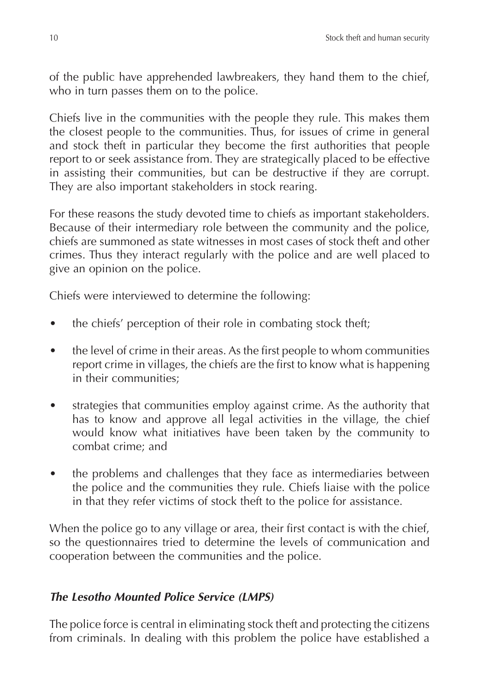of the public have apprehended lawbreakers, they hand them to the chief, who in turn passes them on to the police.

Chiefs live in the communities with the people they rule. This makes them the closest people to the communities. Thus, for issues of crime in general and stock theft in particular they become the first authorities that people report to or seek assistance from. They are strategically placed to be effective in assisting their communities, but can be destructive if they are corrupt. They are also important stakeholders in stock rearing.

For these reasons the study devoted time to chiefs as important stakeholders. Because of their intermediary role between the community and the police, chiefs are summoned as state witnesses in most cases of stock theft and other crimes. Thus they interact regularly with the police and are well placed to give an opinion on the police.

Chiefs were interviewed to determine the following:

- the chiefs' perception of their role in combating stock theft;
- the level of crime in their areas. As the first people to whom communities report crime in villages, the chiefs are the first to know what is happening in their communities;
- strategies that communities employ against crime. As the authority that has to know and approve all legal activities in the village, the chief would know what initiatives have been taken by the community to combat crime; and
- the problems and challenges that they face as intermediaries between the police and the communities they rule. Chiefs liaise with the police in that they refer victims of stock theft to the police for assistance.

When the police go to any village or area, their first contact is with the chief, so the questionnaires tried to determine the levels of communication and cooperation between the communities and the police.

#### *The Lesotho Mounted Police Service (LMPS)*

The police force is central in eliminating stock theft and protecting the citizens from criminals. In dealing with this problem the police have established a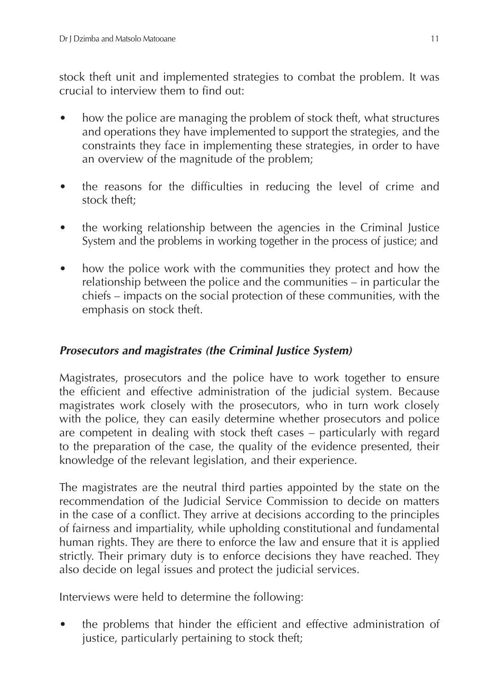stock theft unit and implemented strategies to combat the problem. It was crucial to interview them to find out:

- how the police are managing the problem of stock theft, what structures and operations they have implemented to support the strategies, and the constraints they face in implementing these strategies, in order to have an overview of the magnitude of the problem;
- the reasons for the difficulties in reducing the level of crime and stock theft;
- the working relationship between the agencies in the Criminal Justice System and the problems in working together in the process of justice; and
- how the police work with the communities they protect and how the relationship between the police and the communities – in particular the chiefs – impacts on the social protection of these communities, with the emphasis on stock theft.

#### *Prosecutors and magistrates (the Criminal Justice System)*

Magistrates, prosecutors and the police have to work together to ensure the efficient and effective administration of the judicial system. Because magistrates work closely with the prosecutors, who in turn work closely with the police, they can easily determine whether prosecutors and police are competent in dealing with stock theft cases – particularly with regard to the preparation of the case, the quality of the evidence presented, their knowledge of the relevant legislation, and their experience.

The magistrates are the neutral third parties appointed by the state on the recommendation of the Judicial Service Commission to decide on matters in the case of a conflict. They arrive at decisions according to the principles of fairness and impartiality, while upholding constitutional and fundamental human rights. They are there to enforce the law and ensure that it is applied strictly. Their primary duty is to enforce decisions they have reached. They also decide on legal issues and protect the judicial services.

Interviews were held to determine the following:

• the problems that hinder the efficient and effective administration of justice, particularly pertaining to stock theft;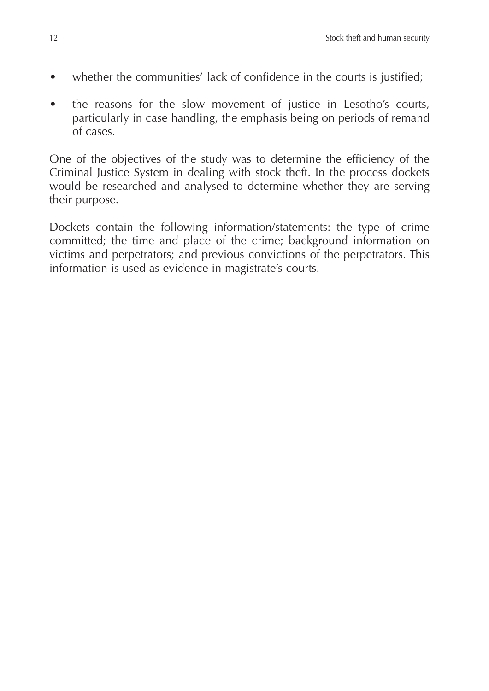- whether the communities' lack of confidence in the courts is justified;
- the reasons for the slow movement of justice in Lesotho's courts, particularly in case handling, the emphasis being on periods of remand of cases.

One of the objectives of the study was to determine the efficiency of the Criminal Justice System in dealing with stock theft. In the process dockets would be researched and analysed to determine whether they are serving their purpose.

Dockets contain the following information/statements: the type of crime committed; the time and place of the crime; background information on victims and perpetrators; and previous convictions of the perpetrators. This information is used as evidence in magistrate's courts.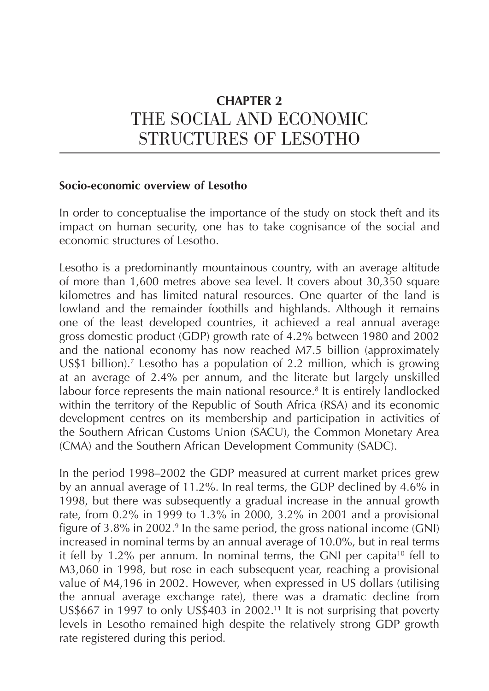### **CHAPTER 2** THE SOCIAL AND ECONOMIC STRUCTURES OF LESOTHO

#### **Socio-economic overview of Lesotho**

In order to conceptualise the importance of the study on stock theft and its impact on human security, one has to take cognisance of the social and economic structures of Lesotho.

Lesotho is a predominantly mountainous country, with an average altitude of more than 1,600 metres above sea level. It covers about 30,350 square kilometres and has limited natural resources. One quarter of the land is lowland and the remainder foothills and highlands. Although it remains one of the least developed countries, it achieved a real annual average gross domestic product (GDP) growth rate of 4.2% between 1980 and 2002 and the national economy has now reached M7.5 billion (approximately US\$1 billion).<sup>7</sup> Lesotho has a population of 2.2 million, which is growing at an average of 2.4% per annum, and the literate but largely unskilled labour force represents the main national resource.<sup>8</sup> It is entirely landlocked within the territory of the Republic of South Africa (RSA) and its economic development centres on its membership and participation in activities of the Southern African Customs Union (SACU), the Common Monetary Area (CMA) and the Southern African Development Community (SADC).

In the period 1998–2002 the GDP measured at current market prices grew by an annual average of 11.2%. In real terms, the GDP declined by 4.6% in 1998, but there was subsequently a gradual increase in the annual growth rate, from 0.2% in 1999 to 1.3% in 2000, 3.2% in 2001 and a provisional figure of 3.8% in 2002.<sup>9</sup> In the same period, the gross national income (GNI) increased in nominal terms by an annual average of 10.0%, but in real terms it fell by 1.2% per annum. In nominal terms, the GNI per capita<sup>10</sup> fell to M3,060 in 1998, but rose in each subsequent year, reaching a provisional value of M4,196 in 2002. However, when expressed in US dollars (utilising the annual average exchange rate), there was a dramatic decline from US\$667 in 1997 to only US\$403 in 2002.<sup>11</sup> It is not surprising that poverty levels in Lesotho remained high despite the relatively strong GDP growth rate registered during this period.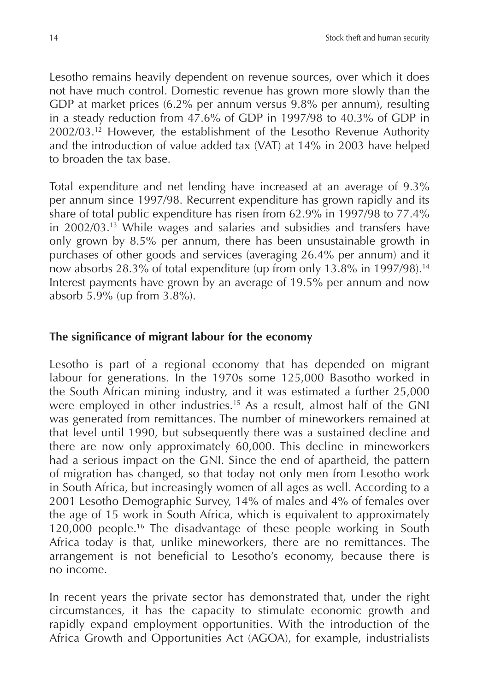Lesotho remains heavily dependent on revenue sources, over which it does not have much control. Domestic revenue has grown more slowly than the GDP at market prices (6.2% per annum versus 9.8% per annum), resulting in a steady reduction from 47.6% of GDP in 1997/98 to 40.3% of GDP in  $2002/03$ <sup>12</sup> However, the establishment of the Lesotho Revenue Authority and the introduction of value added tax (VAT) at 14% in 2003 have helped to broaden the tax base.

Total expenditure and net lending have increased at an average of 9.3% per annum since 1997/98. Recurrent expenditure has grown rapidly and its share of total public expenditure has risen from 62.9% in 1997/98 to 77.4% in 2002/03.13 While wages and salaries and subsidies and transfers have only grown by 8.5% per annum, there has been unsustainable growth in purchases of other goods and services (averaging 26.4% per annum) and it now absorbs  $28.3\%$  of total expenditure (up from only 13.8% in 1997/98).<sup>14</sup> Interest payments have grown by an average of 19.5% per annum and now absorb 5.9% (up from 3.8%).

#### **The significance of migrant labour for the economy**

Lesotho is part of a regional economy that has depended on migrant labour for generations. In the 1970s some 125,000 Basotho worked in the South African mining industry, and it was estimated a further 25,000 were employed in other industries.15 As a result, almost half of the GNI was generated from remittances. The number of mineworkers remained at that level until 1990, but subsequently there was a sustained decline and there are now only approximately 60,000. This decline in mineworkers had a serious impact on the GNI. Since the end of apartheid, the pattern of migration has changed, so that today not only men from Lesotho work in South Africa, but increasingly women of all ages as well. According to a 2001 Lesotho Demographic Survey, 14% of males and 4% of females over the age of 15 work in South Africa, which is equivalent to approximately 120,000 people.16 The disadvantage of these people working in South Africa today is that, unlike mineworkers, there are no remittances. The arrangement is not beneficial to Lesotho's economy, because there is no income.

In recent years the private sector has demonstrated that, under the right circumstances, it has the capacity to stimulate economic growth and rapidly expand employment opportunities. With the introduction of the Africa Growth and Opportunities Act (AGOA), for example, industrialists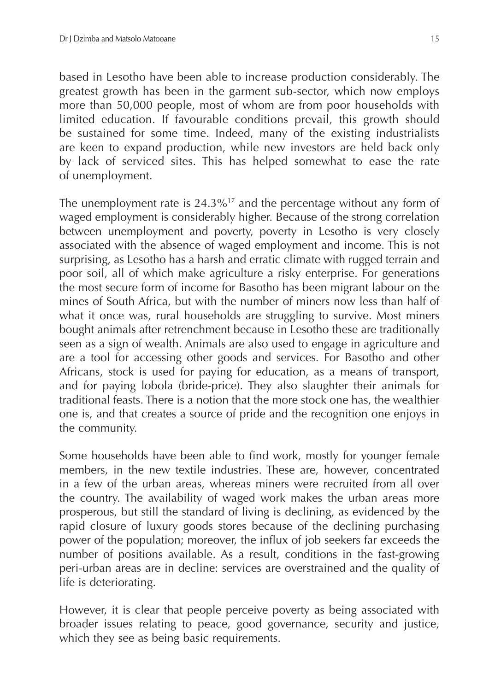based in Lesotho have been able to increase production considerably. The greatest growth has been in the garment sub-sector, which now employs more than 50,000 people, most of whom are from poor households with limited education. If favourable conditions prevail, this growth should be sustained for some time. Indeed, many of the existing industrialists are keen to expand production, while new investors are held back only by lack of serviced sites. This has helped somewhat to ease the rate of unemployment.

The unemployment rate is  $24.3\%$ <sup>17</sup> and the percentage without any form of waged employment is considerably higher. Because of the strong correlation between unemployment and poverty, poverty in Lesotho is very closely associated with the absence of waged employment and income. This is not surprising, as Lesotho has a harsh and erratic climate with rugged terrain and poor soil, all of which make agriculture a risky enterprise. For generations the most secure form of income for Basotho has been migrant labour on the mines of South Africa, but with the number of miners now less than half of what it once was, rural households are struggling to survive. Most miners bought animals after retrenchment because in Lesotho these are traditionally seen as a sign of wealth. Animals are also used to engage in agriculture and are a tool for accessing other goods and services. For Basotho and other Africans, stock is used for paying for education, as a means of transport, and for paying lobola (bride-price). They also slaughter their animals for traditional feasts. There is a notion that the more stock one has, the wealthier one is, and that creates a source of pride and the recognition one enjoys in the community.

Some households have been able to find work, mostly for younger female members, in the new textile industries. These are, however, concentrated in a few of the urban areas, whereas miners were recruited from all over the country. The availability of waged work makes the urban areas more prosperous, but still the standard of living is declining, as evidenced by the rapid closure of luxury goods stores because of the declining purchasing power of the population; moreover, the influx of job seekers far exceeds the number of positions available. As a result, conditions in the fast-growing peri-urban areas are in decline: services are overstrained and the quality of life is deteriorating.

However, it is clear that people perceive poverty as being associated with broader issues relating to peace, good governance, security and justice, which they see as being basic requirements.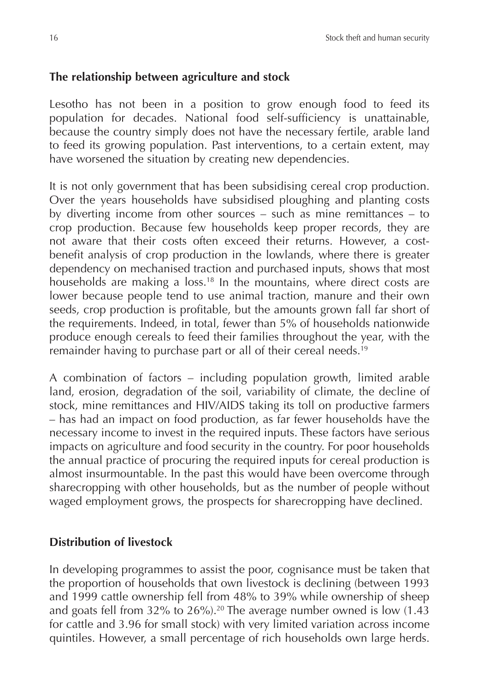#### **The relationship between agriculture and stock**

Lesotho has not been in a position to grow enough food to feed its population for decades. National food self-sufficiency is unattainable, because the country simply does not have the necessary fertile, arable land to feed its growing population. Past interventions, to a certain extent, may have worsened the situation by creating new dependencies.

It is not only government that has been subsidising cereal crop production. Over the years households have subsidised ploughing and planting costs by diverting income from other sources – such as mine remittances – to crop production. Because few households keep proper records, they are not aware that their costs often exceed their returns. However, a costbenefit analysis of crop production in the lowlands, where there is greater dependency on mechanised traction and purchased inputs, shows that most households are making a loss.<sup>18</sup> In the mountains, where direct costs are lower because people tend to use animal traction, manure and their own seeds, crop production is profitable, but the amounts grown fall far short of the requirements. Indeed, in total, fewer than 5% of households nationwide produce enough cereals to feed their families throughout the year, with the remainder having to purchase part or all of their cereal needs.<sup>19</sup>

A combination of factors – including population growth, limited arable land, erosion, degradation of the soil, variability of climate, the decline of stock, mine remittances and HIV/AIDS taking its toll on productive farmers – has had an impact on food production, as far fewer households have the necessary income to invest in the required inputs. These factors have serious impacts on agriculture and food security in the country. For poor households the annual practice of procuring the required inputs for cereal production is almost insurmountable. In the past this would have been overcome through sharecropping with other households, but as the number of people without waged employment grows, the prospects for sharecropping have declined.

#### **Distribution of livestock**

In developing programmes to assist the poor, cognisance must be taken that the proportion of households that own livestock is declining (between 1993 and 1999 cattle ownership fell from 48% to 39% while ownership of sheep and goats fell from 32% to 26%).20 The average number owned is low (1.43 for cattle and 3.96 for small stock) with very limited variation across income quintiles. However, a small percentage of rich households own large herds.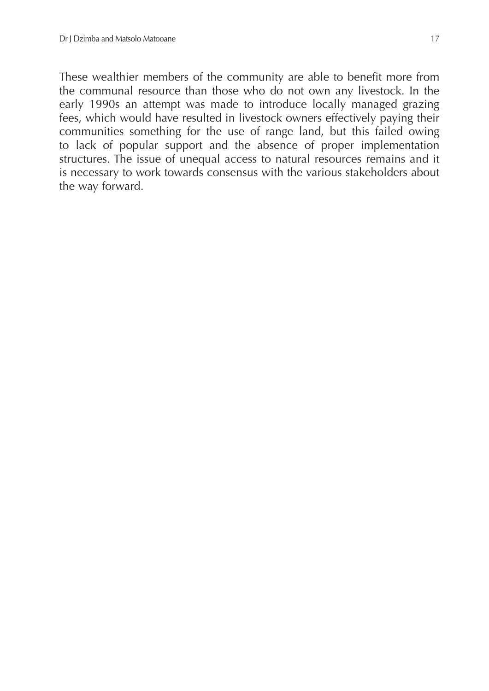These wealthier members of the community are able to benefit more from the communal resource than those who do not own any livestock. In the early 1990s an attempt was made to introduce locally managed grazing fees, which would have resulted in livestock owners effectively paying their communities something for the use of range land, but this failed owing to lack of popular support and the absence of proper implementation structures. The issue of unequal access to natural resources remains and it is necessary to work towards consensus with the various stakeholders about the way forward.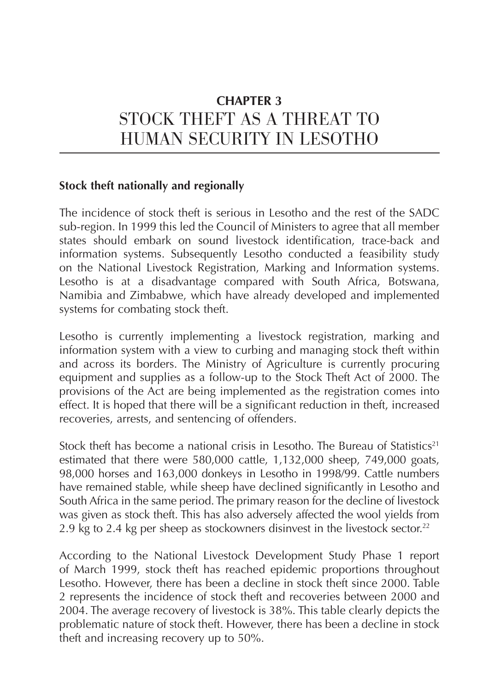### **CHAPTER 3** STOCK THEFT AS A THREAT TO HUMAN SECURITY IN LESOTHO

#### **Stock theft nationally and regionally**

The incidence of stock theft is serious in Lesotho and the rest of the SADC sub-region. In 1999 this led the Council of Ministers to agree that all member states should embark on sound livestock identification, trace-back and information systems. Subsequently Lesotho conducted a feasibility study on the National Livestock Registration, Marking and Information systems. Lesotho is at a disadvantage compared with South Africa, Botswana, Namibia and Zimbabwe, which have already developed and implemented systems for combating stock theft.

Lesotho is currently implementing a livestock registration, marking and information system with a view to curbing and managing stock theft within and across its borders. The Ministry of Agriculture is currently procuring equipment and supplies as a follow-up to the Stock Theft Act of 2000. The provisions of the Act are being implemented as the registration comes into effect. It is hoped that there will be a significant reduction in theft, increased recoveries, arrests, and sentencing of offenders.

Stock theft has become a national crisis in Lesotho. The Bureau of Statistics<sup>21</sup> estimated that there were 580,000 cattle, 1,132,000 sheep, 749,000 goats, 98,000 horses and 163,000 donkeys in Lesotho in 1998/99. Cattle numbers have remained stable, while sheep have declined significantly in Lesotho and South Africa in the same period. The primary reason for the decline of livestock was given as stock theft. This has also adversely affected the wool yields from 2.9 kg to 2.4 kg per sheep as stockowners disinvest in the livestock sector.<sup>22</sup>

According to the National Livestock Development Study Phase 1 report of March 1999, stock theft has reached epidemic proportions throughout Lesotho. However, there has been a decline in stock theft since 2000. Table 2 represents the incidence of stock theft and recoveries between 2000 and 2004. The average recovery of livestock is 38%. This table clearly depicts the problematic nature of stock theft. However, there has been a decline in stock theft and increasing recovery up to 50%.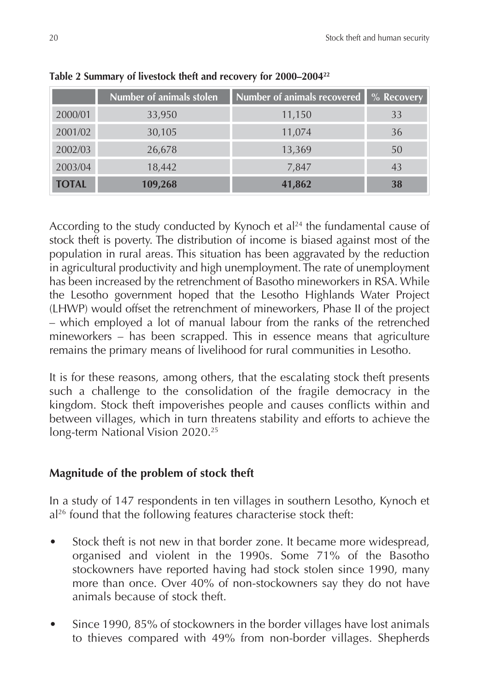|              | Number of animals stolen | Number of animals recovered | $\frac{9}{6}$ Recovery |
|--------------|--------------------------|-----------------------------|------------------------|
| 2000/01      | 33,950                   | 11,150                      | 33                     |
| 2001/02      | 30,105                   | 11,074                      | 36                     |
| 2002/03      | 26,678                   | 13,369                      | 50                     |
| 2003/04      | 18,442                   | 7,847                       | 43                     |
| <b>TOTAL</b> | 109,268                  | 41,862                      | 38                     |

**Table 2 Summary of livestock theft and recovery for 2000–200422**

According to the study conducted by Kynoch et  $a^{24}$  the fundamental cause of stock theft is poverty. The distribution of income is biased against most of the population in rural areas. This situation has been aggravated by the reduction in agricultural productivity and high unemployment. The rate of unemployment has been increased by the retrenchment of Basotho mineworkers in RSA. While the Lesotho government hoped that the Lesotho Highlands Water Project (LHWP) would offset the retrenchment of mineworkers, Phase II of the project – which employed a lot of manual labour from the ranks of the retrenched mineworkers – has been scrapped. This in essence means that agriculture remains the primary means of livelihood for rural communities in Lesotho.

It is for these reasons, among others, that the escalating stock theft presents such a challenge to the consolidation of the fragile democracy in the kingdom. Stock theft impoverishes people and causes conflicts within and between villages, which in turn threatens stability and efforts to achieve the long-term National Vision 2020.<sup>25</sup>

# **Magnitude of the problem of stock theft**

In a study of 147 respondents in ten villages in southern Lesotho, Kynoch et al26 found that the following features characterise stock theft:

- Stock theft is not new in that border zone. It became more widespread, organised and violent in the 1990s. Some 71% of the Basotho stockowners have reported having had stock stolen since 1990, many more than once. Over 40% of non-stockowners say they do not have animals because of stock theft.
- Since 1990, 85% of stockowners in the border villages have lost animals to thieves compared with 49% from non-border villages. Shepherds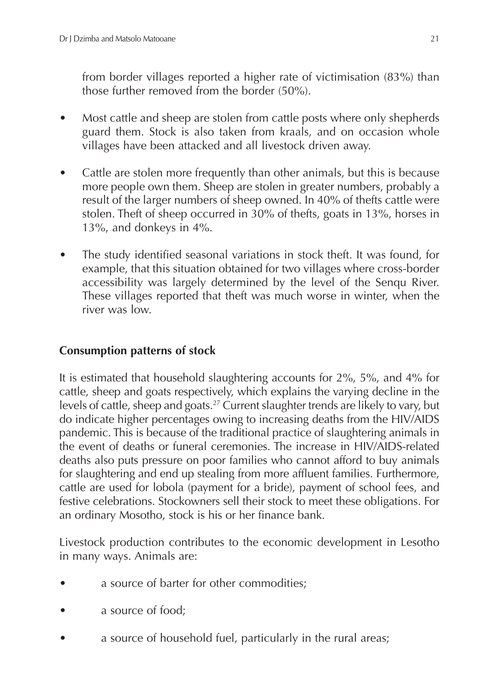from border villages reported a higher rate of victimisation (83%) than those further removed from the border (50%).

- Most cattle and sheep are stolen from cattle posts where only shepherds guard them. Stock is also taken from kraals, and on occasion whole villages have been attacked and all livestock driven away.
- Cattle are stolen more frequently than other animals, but this is because more people own them. Sheep are stolen in greater numbers, probably a result of the larger numbers of sheep owned. In 40% of thefts cattle were stolen. Theft of sheep occurred in 30% of thefts, goats in 13%, horses in 13%, and donkeys in 4%.
- The study identified seasonal variations in stock theft. It was found, for example, that this situation obtained for two villages where cross-border accessibility was largely determined by the level of the Senqu River. These villages reported that theft was much worse in winter, when the river was low.

## **Consumption patterns of stock**

It is estimated that household slaughtering accounts for 2%, 5%, and 4% for cattle, sheep and goats respectively, which explains the varying decline in the levels of cattle, sheep and goats.27 Current slaughter trends are likely to vary, but do indicate higher percentages owing to increasing deaths from the HIV/AIDS pandemic. This is because of the traditional practice of slaughtering animals in the event of deaths or funeral ceremonies. The increase in HIV/AIDS-related deaths also puts pressure on poor families who cannot afford to buy animals for slaughtering and end up stealing from more affluent families. Furthermore, cattle are used for lobola (payment for a bride), payment of school fees, and festive celebrations. Stockowners sell their stock to meet these obligations. For an ordinary Mosotho, stock is his or her finance bank.

Livestock production contributes to the economic development in Lesotho in many ways. Animals are:

- a source of barter for other commodities;
- a source of food;
- a source of household fuel, particularly in the rural areas;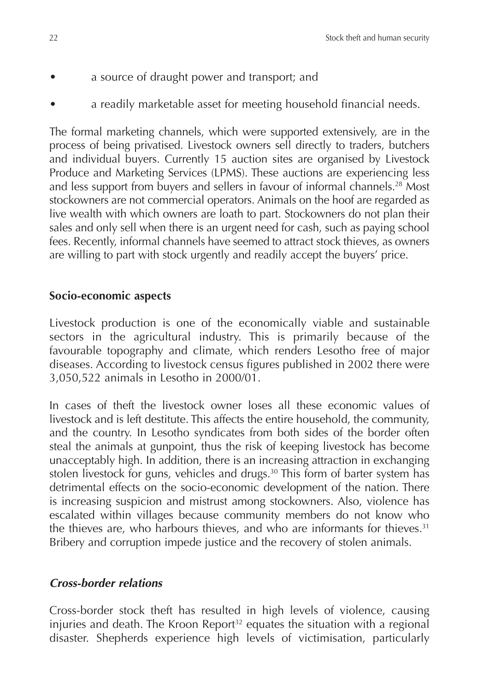- a source of draught power and transport; and
- a readily marketable asset for meeting household financial needs.

The formal marketing channels, which were supported extensively, are in the process of being privatised. Livestock owners sell directly to traders, butchers and individual buyers. Currently 15 auction sites are organised by Livestock Produce and Marketing Services (LPMS). These auctions are experiencing less and less support from buyers and sellers in favour of informal channels.28 Most stockowners are not commercial operators. Animals on the hoof are regarded as live wealth with which owners are loath to part. Stockowners do not plan their sales and only sell when there is an urgent need for cash, such as paying school fees. Recently, informal channels have seemed to attract stock thieves, as owners are willing to part with stock urgently and readily accept the buyers' price.

## **Socio-economic aspects**

Livestock production is one of the economically viable and sustainable sectors in the agricultural industry. This is primarily because of the favourable topography and climate, which renders Lesotho free of major diseases. According to livestock census figures published in 2002 there were 3,050,522 animals in Lesotho in 2000/01.

In cases of theft the livestock owner loses all these economic values of livestock and is left destitute. This affects the entire household, the community, and the country. In Lesotho syndicates from both sides of the border often steal the animals at gunpoint, thus the risk of keeping livestock has become unacceptably high. In addition, there is an increasing attraction in exchanging stolen livestock for guns, vehicles and drugs.<sup>30</sup> This form of barter system has detrimental effects on the socio-economic development of the nation. There is increasing suspicion and mistrust among stockowners. Also, violence has escalated within villages because community members do not know who the thieves are, who harbours thieves, and who are informants for thieves.<sup>31</sup> Bribery and corruption impede justice and the recovery of stolen animals.

## *Cross-border relations*

Cross-border stock theft has resulted in high levels of violence, causing injuries and death. The Kroon Report<sup>32</sup> equates the situation with a regional disaster. Shepherds experience high levels of victimisation, particularly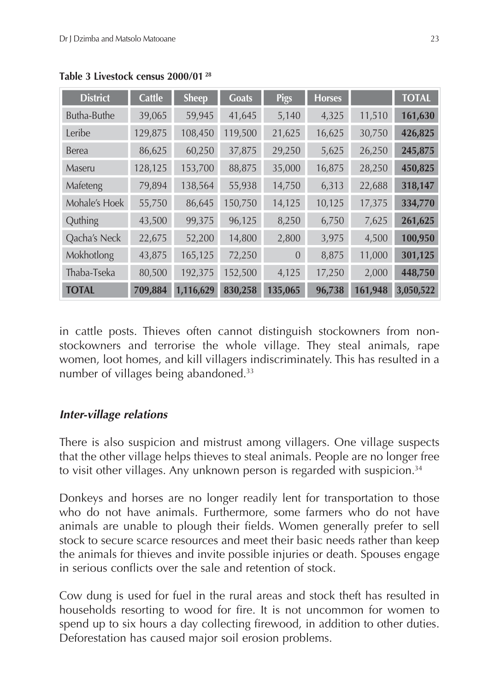| <b>District</b>     | <b>Cattle</b> | <b>Sheep</b> | <b>Goats</b> | <b>Pigs</b> | <b>Horses</b> |         | <b>TOTAL</b> |
|---------------------|---------------|--------------|--------------|-------------|---------------|---------|--------------|
| Butha-Buthe         | 39,065        | 59,945       | 41,645       | 5,140       | 4,325         | 11,510  | 161,630      |
| Leribe              | 129,875       | 108,450      | 119,500      | 21,625      | 16,625        | 30,750  | 426,825      |
| Berea               | 86,625        | 60,250       | 37,875       | 29,250      | 5,625         | 26,250  | 245,875      |
| Maseru              | 128,125       | 153,700      | 88,875       | 35,000      | 16,875        | 28,250  | 450,825      |
| Mafeteng            | 79,894        | 138,564      | 55,938       | 14,750      | 6,313         | 22,688  | 318,147      |
| Mohale's Hoek       | 55,750        | 86,645       | 150,750      | 14,125      | 10,125        | 17,375  | 334,770      |
| Quthing             | 43,500        | 99,375       | 96,125       | 8,250       | 6,750         | 7,625   | 261,625      |
| <b>Oacha's Neck</b> | 22,675        | 52,200       | 14,800       | 2,800       | 3,975         | 4,500   | 100,950      |
| Mokhotlong          | 43,875        | 165,125      | 72,250       | $\Omega$    | 8,875         | 11,000  | 301,125      |
| Thaba-Tseka         | 80,500        | 192,375      | 152,500      | 4,125       | 17,250        | 2,000   | 448,750      |
| <b>TOTAL</b>        | 709,884       | 1,116,629    | 830,258      | 135,065     | 96,738        | 161,948 | 3,050,522    |

**Table 3 Livestock census 2000/01 28**

in cattle posts. Thieves often cannot distinguish stockowners from nonstockowners and terrorise the whole village. They steal animals, rape women, loot homes, and kill villagers indiscriminately. This has resulted in a number of villages being abandoned.<sup>33</sup>

#### *Inter-village relations*

There is also suspicion and mistrust among villagers. One village suspects that the other village helps thieves to steal animals. People are no longer free to visit other villages. Any unknown person is regarded with suspicion.<sup>34</sup>

Donkeys and horses are no longer readily lent for transportation to those who do not have animals. Furthermore, some farmers who do not have animals are unable to plough their fields. Women generally prefer to sell stock to secure scarce resources and meet their basic needs rather than keep the animals for thieves and invite possible injuries or death. Spouses engage in serious conflicts over the sale and retention of stock.

Cow dung is used for fuel in the rural areas and stock theft has resulted in households resorting to wood for fire. It is not uncommon for women to spend up to six hours a day collecting firewood, in addition to other duties. Deforestation has caused major soil erosion problems.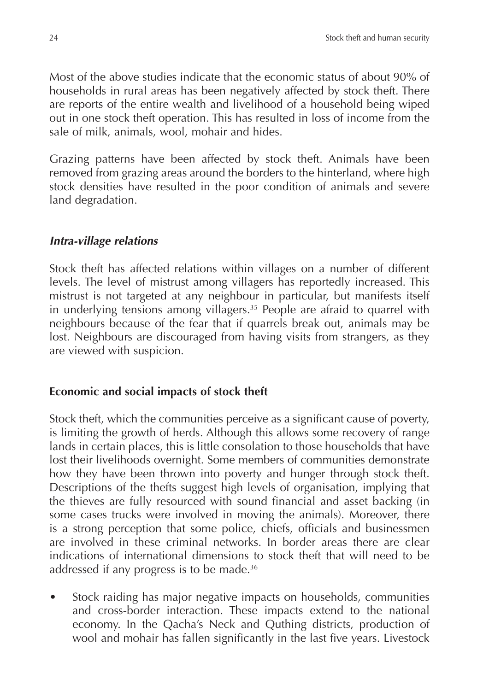Most of the above studies indicate that the economic status of about 90% of households in rural areas has been negatively affected by stock theft. There are reports of the entire wealth and livelihood of a household being wiped out in one stock theft operation. This has resulted in loss of income from the sale of milk, animals, wool, mohair and hides.

Grazing patterns have been affected by stock theft. Animals have been removed from grazing areas around the borders to the hinterland, where high stock densities have resulted in the poor condition of animals and severe land degradation.

#### *Intra-village relations*

Stock theft has affected relations within villages on a number of different levels. The level of mistrust among villagers has reportedly increased. This mistrust is not targeted at any neighbour in particular, but manifests itself in underlying tensions among villagers.<sup>35</sup> People are afraid to quarrel with neighbours because of the fear that if quarrels break out, animals may be lost. Neighbours are discouraged from having visits from strangers, as they are viewed with suspicion.

#### **Economic and social impacts of stock theft**

Stock theft, which the communities perceive as a significant cause of poverty, is limiting the growth of herds. Although this allows some recovery of range lands in certain places, this is little consolation to those households that have lost their livelihoods overnight. Some members of communities demonstrate how they have been thrown into poverty and hunger through stock theft. Descriptions of the thefts suggest high levels of organisation, implying that the thieves are fully resourced with sound financial and asset backing (in some cases trucks were involved in moving the animals). Moreover, there is a strong perception that some police, chiefs, officials and businessmen are involved in these criminal networks. In border areas there are clear indications of international dimensions to stock theft that will need to be addressed if any progress is to be made.<sup>36</sup>

Stock raiding has major negative impacts on households, communities and cross-border interaction. These impacts extend to the national economy. In the Qacha's Neck and Quthing districts, production of wool and mohair has fallen significantly in the last five years. Livestock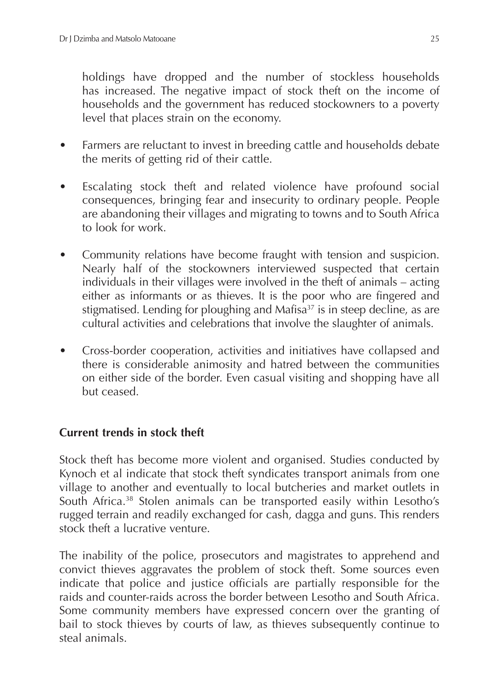holdings have dropped and the number of stockless households has increased. The negative impact of stock theft on the income of households and the government has reduced stockowners to a poverty level that places strain on the economy.

- Farmers are reluctant to invest in breeding cattle and households debate the merits of getting rid of their cattle.
- Escalating stock theft and related violence have profound social consequences, bringing fear and insecurity to ordinary people. People are abandoning their villages and migrating to towns and to South Africa to look for work.
- Community relations have become fraught with tension and suspicion. Nearly half of the stockowners interviewed suspected that certain individuals in their villages were involved in the theft of animals – acting either as informants or as thieves. It is the poor who are fingered and stigmatised. Lending for ploughing and Mafisa $37$  is in steep decline, as are cultural activities and celebrations that involve the slaughter of animals.
- Cross-border cooperation, activities and initiatives have collapsed and there is considerable animosity and hatred between the communities on either side of the border. Even casual visiting and shopping have all but ceased.

## **Current trends in stock theft**

Stock theft has become more violent and organised. Studies conducted by Kynoch et al indicate that stock theft syndicates transport animals from one village to another and eventually to local butcheries and market outlets in South Africa.38 Stolen animals can be transported easily within Lesotho's rugged terrain and readily exchanged for cash, dagga and guns. This renders stock theft a lucrative venture.

The inability of the police, prosecutors and magistrates to apprehend and convict thieves aggravates the problem of stock theft. Some sources even indicate that police and justice officials are partially responsible for the raids and counter-raids across the border between Lesotho and South Africa. Some community members have expressed concern over the granting of bail to stock thieves by courts of law, as thieves subsequently continue to steal animals.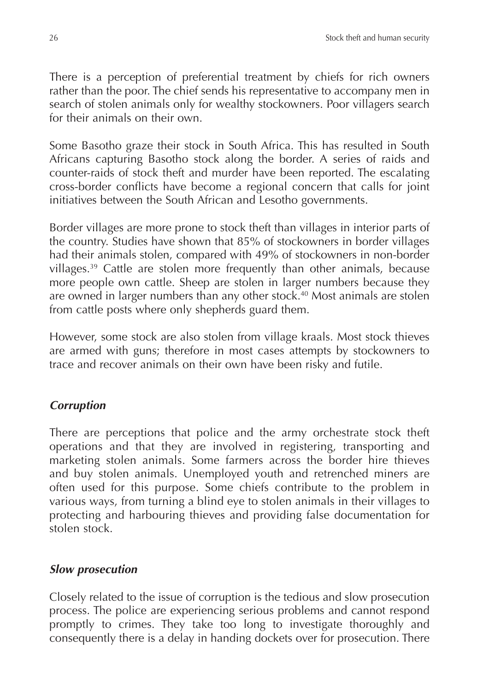There is a perception of preferential treatment by chiefs for rich owners rather than the poor. The chief sends his representative to accompany men in search of stolen animals only for wealthy stockowners. Poor villagers search for their animals on their own.

Some Basotho graze their stock in South Africa. This has resulted in South Africans capturing Basotho stock along the border. A series of raids and counter-raids of stock theft and murder have been reported. The escalating cross-border conflicts have become a regional concern that calls for joint initiatives between the South African and Lesotho governments.

Border villages are more prone to stock theft than villages in interior parts of the country. Studies have shown that 85% of stockowners in border villages had their animals stolen, compared with 49% of stockowners in non-border villages.39 Cattle are stolen more frequently than other animals, because more people own cattle. Sheep are stolen in larger numbers because they are owned in larger numbers than any other stock.<sup>40</sup> Most animals are stolen from cattle posts where only shepherds guard them.

However, some stock are also stolen from village kraals. Most stock thieves are armed with guns; therefore in most cases attempts by stockowners to trace and recover animals on their own have been risky and futile.

## *Corruption*

There are perceptions that police and the army orchestrate stock theft operations and that they are involved in registering, transporting and marketing stolen animals. Some farmers across the border hire thieves and buy stolen animals. Unemployed youth and retrenched miners are often used for this purpose. Some chiefs contribute to the problem in various ways, from turning a blind eye to stolen animals in their villages to protecting and harbouring thieves and providing false documentation for stolen stock.

## *Slow prosecution*

Closely related to the issue of corruption is the tedious and slow prosecution process. The police are experiencing serious problems and cannot respond promptly to crimes. They take too long to investigate thoroughly and consequently there is a delay in handing dockets over for prosecution. There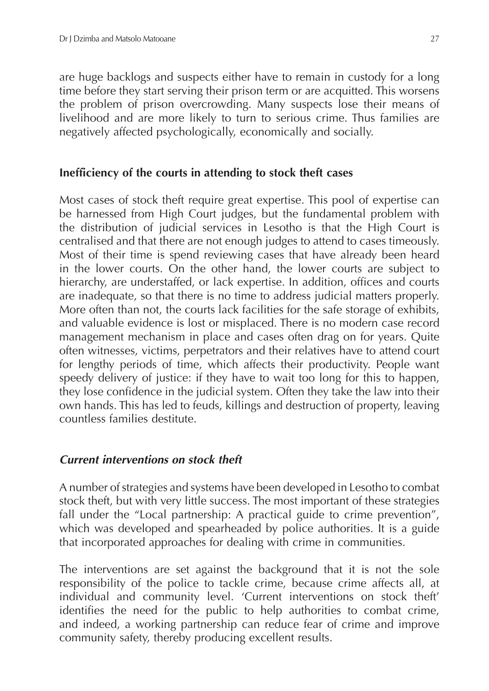are huge backlogs and suspects either have to remain in custody for a long time before they start serving their prison term or are acquitted. This worsens the problem of prison overcrowding. Many suspects lose their means of livelihood and are more likely to turn to serious crime. Thus families are negatively affected psychologically, economically and socially.

#### **Inefficiency of the courts in attending to stock theft cases**

Most cases of stock theft require great expertise. This pool of expertise can be harnessed from High Court judges, but the fundamental problem with the distribution of judicial services in Lesotho is that the High Court is centralised and that there are not enough judges to attend to cases timeously. Most of their time is spend reviewing cases that have already been heard in the lower courts. On the other hand, the lower courts are subject to hierarchy, are understaffed, or lack expertise. In addition, offices and courts are inadequate, so that there is no time to address judicial matters properly. More often than not, the courts lack facilities for the safe storage of exhibits, and valuable evidence is lost or misplaced. There is no modern case record management mechanism in place and cases often drag on for years. Quite often witnesses, victims, perpetrators and their relatives have to attend court for lengthy periods of time, which affects their productivity. People want speedy delivery of justice: if they have to wait too long for this to happen, they lose confidence in the judicial system. Often they take the law into their own hands. This has led to feuds, killings and destruction of property, leaving countless families destitute.

#### *Current interventions on stock theft*

A number of strategies and systems have been developed in Lesotho to combat stock theft, but with very little success. The most important of these strategies fall under the "Local partnership: A practical guide to crime prevention", which was developed and spearheaded by police authorities. It is a guide that incorporated approaches for dealing with crime in communities.

The interventions are set against the background that it is not the sole responsibility of the police to tackle crime, because crime affects all, at individual and community level. 'Current interventions on stock theft' identifies the need for the public to help authorities to combat crime, and indeed, a working partnership can reduce fear of crime and improve community safety, thereby producing excellent results.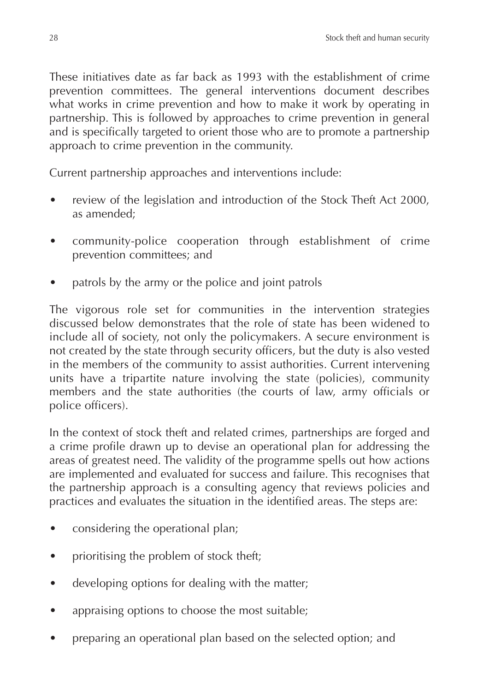These initiatives date as far back as 1993 with the establishment of crime prevention committees. The general interventions document describes what works in crime prevention and how to make it work by operating in partnership. This is followed by approaches to crime prevention in general and is specifically targeted to orient those who are to promote a partnership approach to crime prevention in the community.

Current partnership approaches and interventions include:

- review of the legislation and introduction of the Stock Theft Act 2000, as amended;
- community-police cooperation through establishment of crime prevention committees; and
- patrols by the army or the police and joint patrols

The vigorous role set for communities in the intervention strategies discussed below demonstrates that the role of state has been widened to include all of society, not only the policymakers. A secure environment is not created by the state through security officers, but the duty is also vested in the members of the community to assist authorities. Current intervening units have a tripartite nature involving the state (policies), community members and the state authorities (the courts of law, army officials or police officers).

In the context of stock theft and related crimes, partnerships are forged and a crime profile drawn up to devise an operational plan for addressing the areas of greatest need. The validity of the programme spells out how actions are implemented and evaluated for success and failure. This recognises that the partnership approach is a consulting agency that reviews policies and practices and evaluates the situation in the identified areas. The steps are:

- considering the operational plan;
- prioritising the problem of stock theft;
- developing options for dealing with the matter;
- appraising options to choose the most suitable;
- preparing an operational plan based on the selected option; and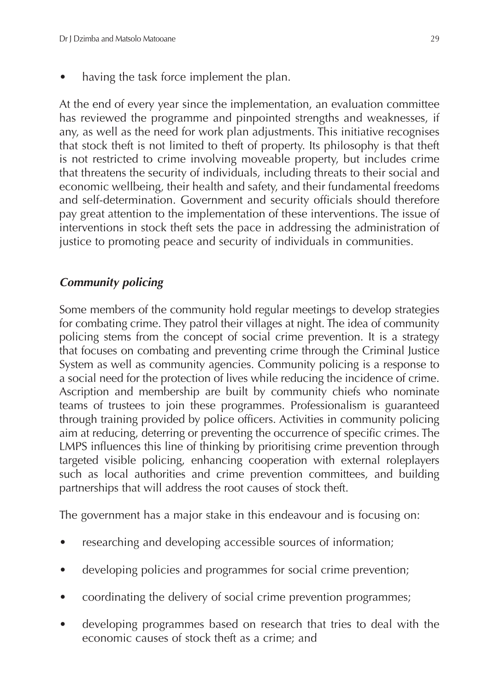having the task force implement the plan.

At the end of every year since the implementation, an evaluation committee has reviewed the programme and pinpointed strengths and weaknesses, if any, as well as the need for work plan adjustments. This initiative recognises that stock theft is not limited to theft of property. Its philosophy is that theft is not restricted to crime involving moveable property, but includes crime that threatens the security of individuals, including threats to their social and economic wellbeing, their health and safety, and their fundamental freedoms and self-determination. Government and security officials should therefore pay great attention to the implementation of these interventions. The issue of interventions in stock theft sets the pace in addressing the administration of justice to promoting peace and security of individuals in communities.

#### *Community policing*

Some members of the community hold regular meetings to develop strategies for combating crime. They patrol their villages at night. The idea of community policing stems from the concept of social crime prevention. It is a strategy that focuses on combating and preventing crime through the Criminal Justice System as well as community agencies. Community policing is a response to a social need for the protection of lives while reducing the incidence of crime. Ascription and membership are built by community chiefs who nominate teams of trustees to join these programmes. Professionalism is guaranteed through training provided by police officers. Activities in community policing aim at reducing, deterring or preventing the occurrence of specific crimes. The LMPS influences this line of thinking by prioritising crime prevention through targeted visible policing, enhancing cooperation with external roleplayers such as local authorities and crime prevention committees, and building partnerships that will address the root causes of stock theft.

The government has a major stake in this endeavour and is focusing on:

- researching and developing accessible sources of information;
- developing policies and programmes for social crime prevention;
- coordinating the delivery of social crime prevention programmes;
- developing programmes based on research that tries to deal with the economic causes of stock theft as a crime; and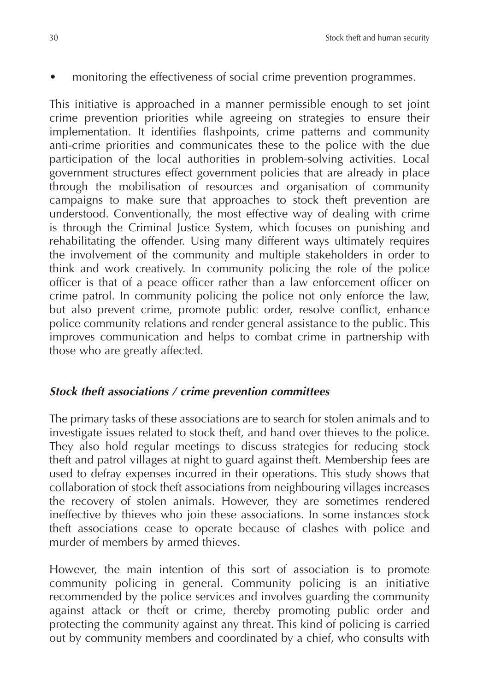monitoring the effectiveness of social crime prevention programmes.

This initiative is approached in a manner permissible enough to set joint  $c$ rime prevention priorities while agreeing on strategies to ensure their implementation. It identifies flashpoints, crime patterns and community anti-crime priorities and communicates these to the police with the due participation of the local authorities in problem-solving activities. Local government structures effect government policies that are already in place through the mobilisation of resources and organisation of community campaigns to make sure that approaches to stock theft prevention are understood. Conventionally, the most effective way of dealing with crime is through the Criminal Justice System, which focuses on punishing and rehabilitating the offender. Using many different ways ultimately requires the involvement of the community and multiple stakeholders in order to think and work creatively. In community policing the role of the police officer is that of a peace officer rather than a law enforcement officer on crime patrol. In community policing the police not only enforce the law, but also prevent crime, promote public order, resolve conflict, enhance police community relations and render general assistance to the public. This improves communication and helps to combat crime in partnership with those who are greatly affected.

#### *Stock theft associations / crime prevention committees*

The primary tasks of these associations are to search for stolen animals and to investigate issues related to stock theft, and hand over thieves to the police. They also hold regular meetings to discuss strategies for reducing stock theft and patrol villages at night to guard against theft. Membership fees are used to defray expenses incurred in their operations. This study shows that collaboration of stock theft associations from neighbouring villages increases the recovery of stolen animals. However, they are sometimes rendered ineffective by thieves who join these associations. In some instances stock theft associations cease to operate because of clashes with police and murder of members by armed thieves.

However, the main intention of this sort of association is to promote community policing in general. Community policing is an initiative recommended by the police services and involves guarding the community against attack or theft or crime, thereby promoting public order and protecting the community against any threat. This kind of policing is carried out by community members and coordinated by a chief, who consults with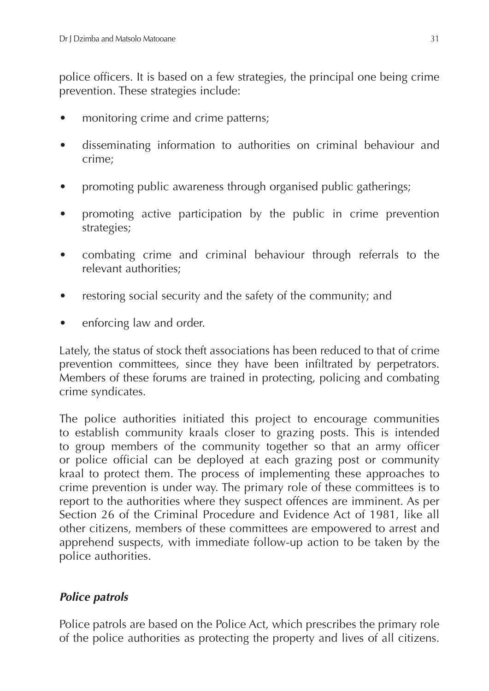police officers. It is based on a few strategies, the principal one being crime prevention. These strategies include:

- monitoring crime and crime patterns;
- disseminating information to authorities on criminal behaviour and crime;
- promoting public awareness through organised public gatherings;
- promoting active participation by the public in crime prevention strategies;
- combating crime and criminal behaviour through referrals to the relevant authorities;
- restoring social security and the safety of the community; and
- enforcing law and order.

Lately, the status of stock theft associations has been reduced to that of crime prevention committees, since they have been infiltrated by perpetrators. Members of these forums are trained in protecting, policing and combating crime syndicates.

The police authorities initiated this project to encourage communities to establish community kraals closer to grazing posts. This is intended to group members of the community together so that an army officer or police official can be deployed at each grazing post or community kraal to protect them. The process of implementing these approaches to crime prevention is under way. The primary role of these committees is to report to the authorities where they suspect offences are imminent. As per Section 26 of the Criminal Procedure and Evidence Act of 1981, like all other citizens, members of these committees are empowered to arrest and apprehend suspects, with immediate follow-up action to be taken by the police authorities.

## *Police patrols*

Police patrols are based on the Police Act, which prescribes the primary role of the police authorities as protecting the property and lives of all citizens.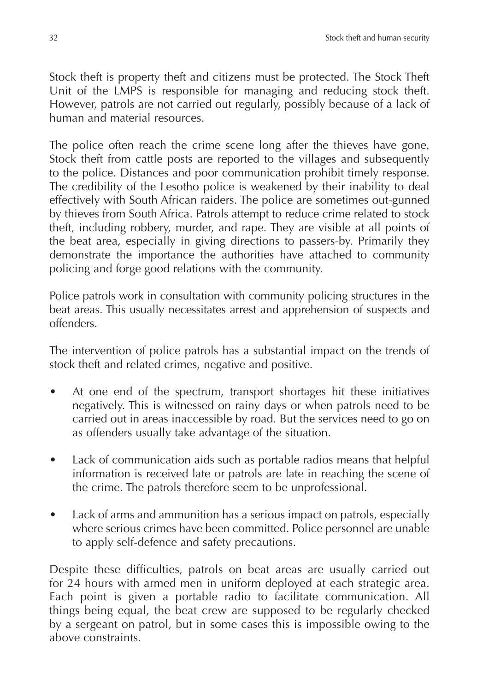Stock theft is property theft and citizens must be protected. The Stock Theft Unit of the LMPS is responsible for managing and reducing stock theft. However, patrols are not carried out regularly, possibly because of a lack of human and material resources.

The police often reach the crime scene long after the thieves have gone. Stock theft from cattle posts are reported to the villages and subsequently to the police. Distances and poor communication prohibit timely response. The credibility of the Lesotho police is weakened by their inability to deal effectively with South African raiders. The police are sometimes out-gunned by thieves from South Africa. Patrols attempt to reduce crime related to stock theft, including robbery, murder, and rape. They are visible at all points of the beat area, especially in giving directions to passers-by. Primarily they demonstrate the importance the authorities have attached to community policing and forge good relations with the community.

Police patrols work in consultation with community policing structures in the beat areas. This usually necessitates arrest and apprehension of suspects and offenders.

The intervention of police patrols has a substantial impact on the trends of stock theft and related crimes, negative and positive.

- At one end of the spectrum, transport shortages hit these initiatives negatively. This is witnessed on rainy days or when patrols need to be carried out in areas inaccessible by road. But the services need to go on as offenders usually take advantage of the situation.
- Lack of communication aids such as portable radios means that helpful information is received late or patrols are late in reaching the scene of the crime. The patrols therefore seem to be unprofessional.
- Lack of arms and ammunition has a serious impact on patrols, especially where serious crimes have been committed. Police personnel are unable to apply self-defence and safety precautions.

Despite these difficulties, patrols on beat areas are usually carried out for 24 hours with armed men in uniform deployed at each strategic area. Each point is given a portable radio to facilitate communication. All things being equal, the beat crew are supposed to be regularly checked by a sergeant on patrol, but in some cases this is impossible owing to the above constraints.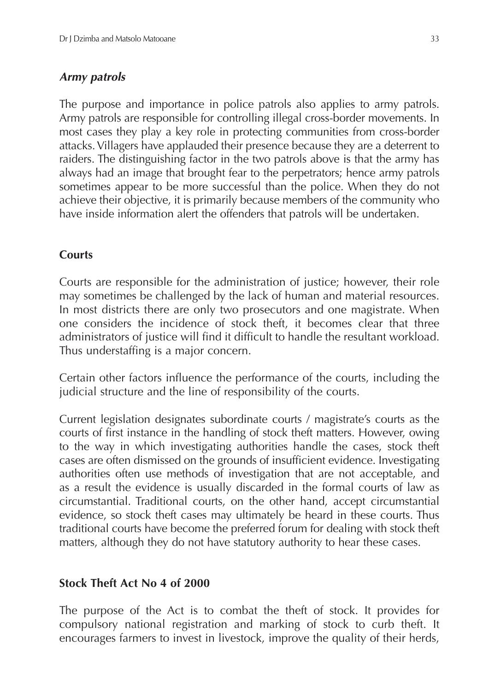#### *Army patrols*

The purpose and importance in police patrols also applies to army patrols. Army patrols are responsible for controlling illegal cross-border movements. In most cases they play a key role in protecting communities from cross-border attacks. Villagers have applauded their presence because they are a deterrent to raiders. The distinguishing factor in the two patrols above is that the army has always had an image that brought fear to the perpetrators; hence army patrols sometimes appear to be more successful than the police. When they do not achieve their objective, it is primarily because members of the community who have inside information alert the offenders that patrols will be undertaken.

#### **Courts**

Courts are responsible for the administration of justice; however, their role may sometimes be challenged by the lack of human and material resources. In most districts there are only two prosecutors and one magistrate. When one considers the incidence of stock theft, it becomes clear that three administrators of justice will find it difficult to handle the resultant workload. Thus understaffing is a major concern.

Certain other factors influence the performance of the courts, including the judicial structure and the line of responsibility of the courts.

Current legislation designates subordinate courts / magistrate's courts as the courts of first instance in the handling of stock theft matters. However, owing to the way in which investigating authorities handle the cases, stock theft cases are often dismissed on the grounds of insufficient evidence. Investigating authorities often use methods of investigation that are not acceptable, and as a result the evidence is usually discarded in the formal courts of law as circumstantial. Traditional courts, on the other hand, accept circumstantial evidence, so stock theft cases may ultimately be heard in these courts. Thus traditional courts have become the preferred forum for dealing with stock theft matters, although they do not have statutory authority to hear these cases.

#### **Stock Theft Act No 4 of 2000**

The purpose of the Act is to combat the theft of stock. It provides for compulsory national registration and marking of stock to curb theft. It encourages farmers to invest in livestock, improve the quality of their herds,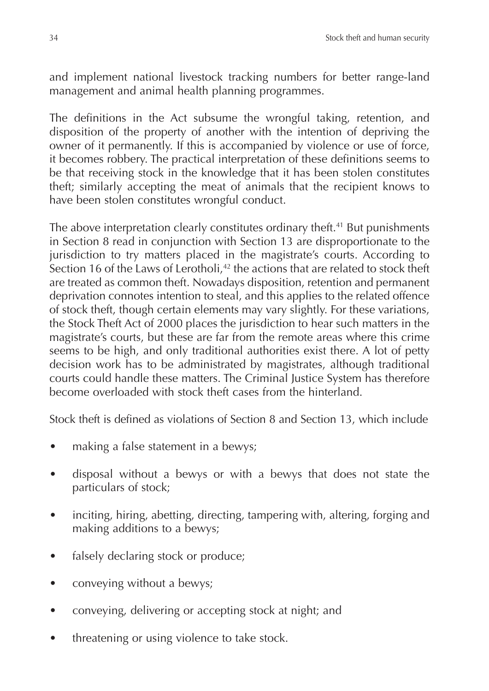and implement national livestock tracking numbers for better range-land management and animal health planning programmes.

The definitions in the Act subsume the wrongful taking, retention, and disposition of the property of another with the intention of depriving the owner of it permanently. If this is accompanied by violence or use of force, it becomes robbery. The practical interpretation of these definitions seems to be that receiving stock in the knowledge that it has been stolen constitutes theft; similarly accepting the meat of animals that the recipient knows to have been stolen constitutes wrongful conduct.

The above interpretation clearly constitutes ordinary theft.<sup>41</sup> But punishments in Section 8 read in conjunction with Section 13 are disproportionate to the jurisdiction to try matters placed in the magistrate's courts. According to Section 16 of the Laws of Lerotholi, $42$  the actions that are related to stock theft are treated as common theft. Nowadays disposition, retention and permanent deprivation connotes intention to steal, and this applies to the related offence of stock theft, though certain elements may vary slightly. For these variations, the Stock Theft Act of 2000 places the jurisdiction to hear such matters in the magistrate's courts, but these are far from the remote areas where this crime seems to be high, and only traditional authorities exist there. A lot of petty decision work has to be administrated by magistrates, although traditional courts could handle these matters. The Criminal Justice System has therefore become overloaded with stock theft cases from the hinterland.

Stock theft is defined as violations of Section 8 and Section 13, which include

- making a false statement in a bewys;
- disposal without a bewys or with a bewys that does not state the particulars of stock;
- inciting, hiring, abetting, directing, tampering with, altering, forging and making additions to a bewys;
- falsely declaring stock or produce;
- conveying without a bewys;
- conveying, delivering or accepting stock at night; and
- threatening or using violence to take stock.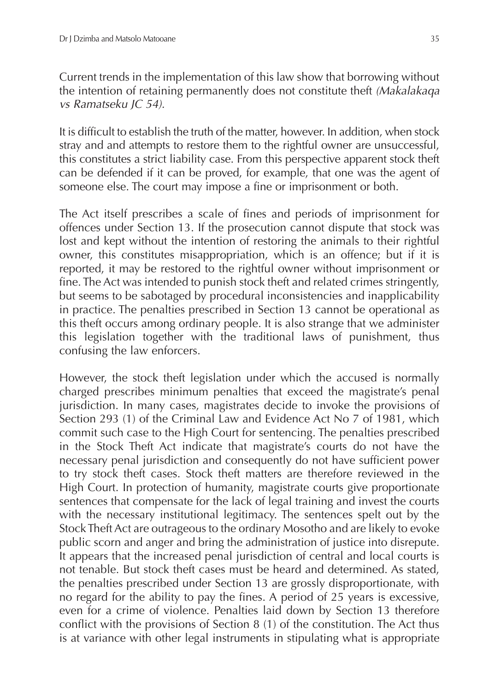Current trends in the implementation of this law show that borrowing without the intention of retaining permanently does not constitute theft *(Makalakaqa vs Ramatseku JC 54).*

It is difficult to establish the truth of the matter, however. In addition, when stock stray and and attempts to restore them to the rightful owner are unsuccessful, this constitutes a strict liability case. From this perspective apparent stock theft can be defended if it can be proved, for example, that one was the agent of someone else. The court may impose a fine or imprisonment or both.

The Act itself prescribes a scale of fines and periods of imprisonment for offences under Section 13. If the prosecution cannot dispute that stock was lost and kept without the intention of restoring the animals to their rightful owner, this constitutes misappropriation, which is an offence; but if it is reported, it may be restored to the rightful owner without imprisonment or fine. The Act was intended to punish stock theft and related crimes stringently, but seems to be sabotaged by procedural inconsistencies and inapplicability in practice. The penalties prescribed in Section 13 cannot be operational as this theft occurs among ordinary people. It is also strange that we administer this legislation together with the traditional laws of punishment, thus confusing the law enforcers.

However, the stock theft legislation under which the accused is normally charged prescribes minimum penalties that exceed the magistrate's penal jurisdiction. In many cases, magistrates decide to invoke the provisions of Section 293 (1) of the Criminal Law and Evidence Act No 7 of 1981, which commit such case to the High Court for sentencing. The penalties prescribed in the Stock Theft Act indicate that magistrate's courts do not have the necessary penal jurisdiction and consequently do not have sufficient power to try stock theft cases. Stock theft matters are therefore reviewed in the High Court. In protection of humanity, magistrate courts give proportionate sentences that compensate for the lack of legal training and invest the courts with the necessary institutional legitimacy. The sentences spelt out by the Stock Theft Act are outrageous to the ordinary Mosotho and are likely to evoke public scorn and anger and bring the administration of justice into disrepute. It appears that the increased penal jurisdiction of central and local courts is not tenable. But stock theft cases must be heard and determined. As stated, the penalties prescribed under Section 13 are grossly disproportionate, with no regard for the ability to pay the fines. A period of 25 years is excessive, even for a crime of violence. Penalties laid down by Section 13 therefore conflict with the provisions of Section 8 (1) of the constitution. The Act thus is at variance with other legal instruments in stipulating what is appropriate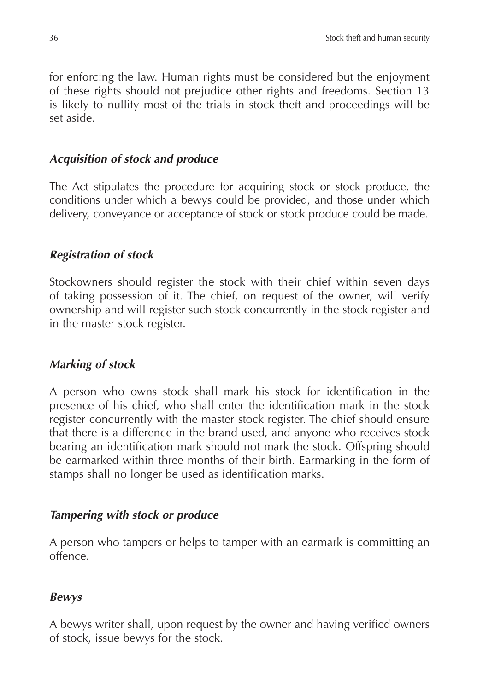for enforcing the law. Human rights must be considered but the enjoyment of these rights should not prejudice other rights and freedoms. Section 13 is likely to nullify most of the trials in stock theft and proceedings will be set aside.

## *Acquisition of stock and produce*

The Act stipulates the procedure for acquiring stock or stock produce, the conditions under which a bewys could be provided, and those under which delivery, conveyance or acceptance of stock or stock produce could be made.

## *Registration of stock*

Stockowners should register the stock with their chief within seven days of taking possession of it. The chief, on request of the owner, will verify ownership and will register such stock concurrently in the stock register and in the master stock register.

#### *Marking of stock*

A person who owns stock shall mark his stock for identification in the presence of his chief, who shall enter the identification mark in the stock register concurrently with the master stock register. The chief should ensure that there is a difference in the brand used, and anyone who receives stock bearing an identification mark should not mark the stock. Offspring should be earmarked within three months of their birth. Earmarking in the form of stamps shall no longer be used as identification marks.

#### *Tampering with stock or produce*

A person who tampers or helps to tamper with an earmark is committing an offence.

#### *Bewys*

A bewys writer shall, upon request by the owner and having verified owners of stock, issue bewys for the stock.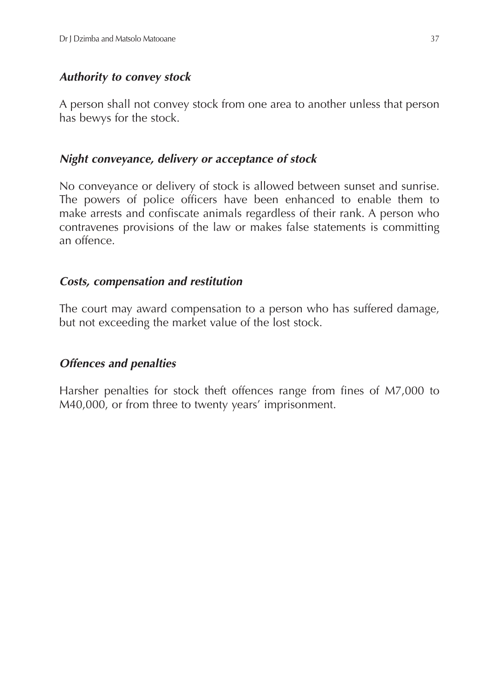#### *Authority to convey stock*

A person shall not convey stock from one area to another unless that person has bewys for the stock.

#### *Night conveyance, delivery or acceptance of stock*

No conveyance or delivery of stock is allowed between sunset and sunrise. The powers of police officers have been enhanced to enable them to make arrests and confiscate animals regardless of their rank. A person who contravenes provisions of the law or makes false statements is committing an offence.

#### *Costs, compensation and restitution*

The court may award compensation to a person who has suffered damage, but not exceeding the market value of the lost stock.

#### *Offences and penalties*

Harsher penalties for stock theft offences range from fines of M7,000 to M40,000, or from three to twenty years' imprisonment.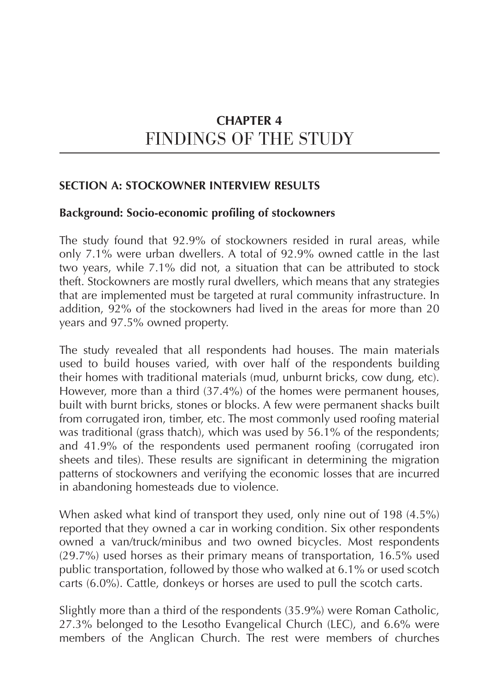# **CHAPTER 4** FINDINGS OF THE STUDY

#### **SECTION A: STOCKOWNER INTERVIEW RESULTS**

## **Background: Socio-economic profiling of stockowners**

The study found that 92.9% of stockowners resided in rural areas, while only 7.1% were urban dwellers. A total of 92.9% owned cattle in the last two years, while 7.1% did not, a situation that can be attributed to stock theft. Stockowners are mostly rural dwellers, which means that any strategies that are implemented must be targeted at rural community infrastructure. In addition, 92% of the stockowners had lived in the areas for more than 20 years and 97.5% owned property.

The study revealed that all respondents had houses. The main materials used to build houses varied, with over half of the respondents building their homes with traditional materials (mud, unburnt bricks, cow dung, etc). However, more than a third (37.4%) of the homes were permanent houses, built with burnt bricks, stones or blocks. A few were permanent shacks built from corrugated iron, timber, etc. The most commonly used roofing material was traditional (grass thatch), which was used by 56.1% of the respondents; and 41.9% of the respondents used permanent roofing (corrugated iron sheets and tiles). These results are significant in determining the migration patterns of stockowners and verifying the economic losses that are incurred in abandoning homesteads due to violence.

When asked what kind of transport they used, only nine out of 198 (4.5%) reported that they owned a car in working condition. Six other respondents owned a van/truck/minibus and two owned bicycles. Most respondents (29.7%) used horses as their primary means of transportation, 16.5% used public transportation, followed by those who walked at 6.1% or used scotch carts (6.0%). Cattle, donkeys or horses are used to pull the scotch carts.

Slightly more than a third of the respondents (35.9%) were Roman Catholic, 27.3% belonged to the Lesotho Evangelical Church (LEC), and 6.6% were members of the Anglican Church. The rest were members of churches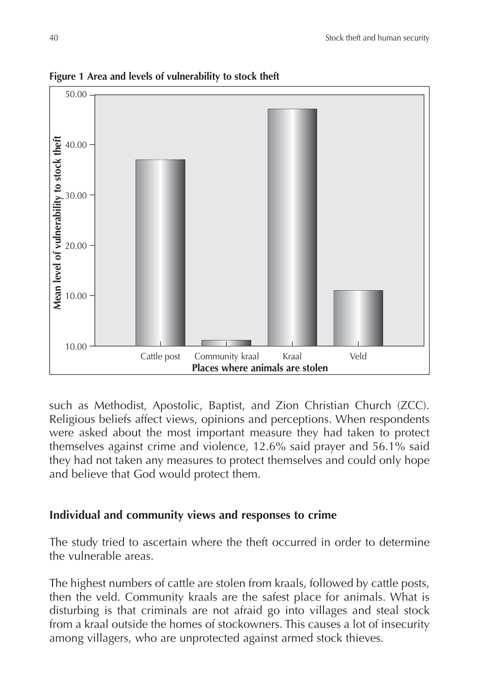

**Figure 1 Area and levels of vulnerability to stock theft**

such as Methodist, Apostolic, Baptist, and Zion Christian Church (ZCC). Religious beliefs affect views, opinions and perceptions. When respondents were asked about the most important measure they had taken to protect themselves against crime and violence, 12.6% said prayer and 56.1% said they had not taken any measures to protect themselves and could only hope and believe that God would protect them.

#### **Individual and community views and responses to crime**

The study tried to ascertain where the theft occurred in order to determine the vulnerable areas.

The highest numbers of cattle are stolen from kraals, followed by cattle posts, then the veld. Community kraals are the safest place for animals. What is disturbing is that criminals are not afraid go into villages and steal stock from a kraal outside the homes of stockowners. This causes a lot of insecurity among villagers, who are unprotected against armed stock thieves.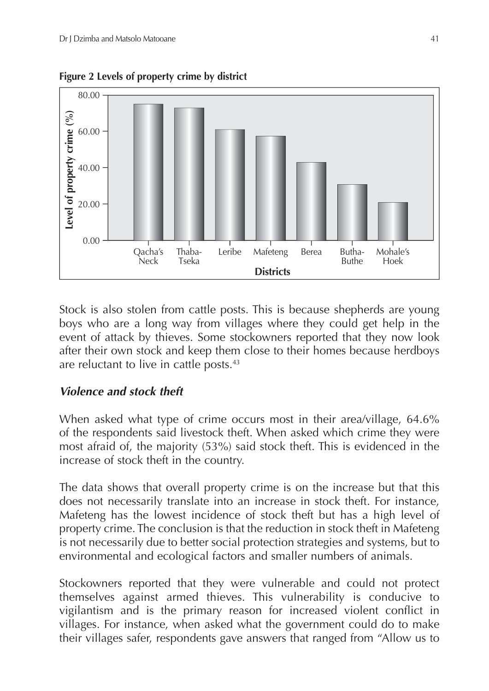

**Figure 2 Levels of property crime by district**

Stock is also stolen from cattle posts. This is because shepherds are young boys who are a long way from villages where they could get help in the event of attack by thieves. Some stockowners reported that they now look after their own stock and keep them close to their homes because herdboys are reluctant to live in cattle posts.<sup>43</sup>

#### *Violence and stock theft*

When asked what type of crime occurs most in their area/village, 64.6% of the respondents said livestock theft. When asked which crime they were most afraid of, the majority (53%) said stock theft. This is evidenced in the increase of stock theft in the country.

The data shows that overall property crime is on the increase but that this does not necessarily translate into an increase in stock theft. For instance, Mafeteng has the lowest incidence of stock theft but has a high level of property crime. The conclusion is that the reduction in stock theft in Mafeteng is not necessarily due to better social protection strategies and systems, but to environmental and ecological factors and smaller numbers of animals.

Stockowners reported that they were vulnerable and could not protect themselves against armed thieves. This vulnerability is conducive to vigilantism and is the primary reason for increased violent conflict in villages. For instance, when asked what the government could do to make their villages safer, respondents gave answers that ranged from "Allow us to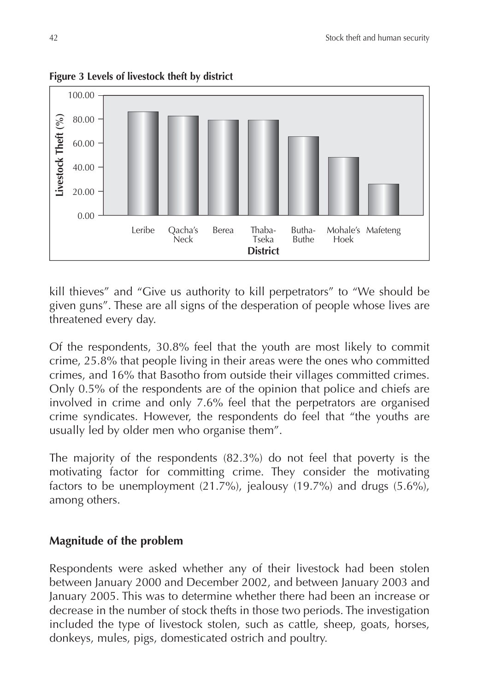

**Figure 3 Levels of livestock theft by district**

kill thieves" and "Give us authority to kill perpetrators" to "We should be given guns". These are all signs of the desperation of people whose lives are threatened every day.

Of the respondents, 30.8% feel that the youth are most likely to commit crime, 25.8% that people living in their areas were the ones who committed crimes, and 16% that Basotho from outside their villages committed crimes. Only 0.5% of the respondents are of the opinion that police and chiefs are involved in crime and only 7.6% feel that the perpetrators are organised crime syndicates. However, the respondents do feel that "the youths are usually led by older men who organise them".

The majority of the respondents (82.3%) do not feel that poverty is the motivating factor for committing crime. They consider the motivating factors to be unemployment (21.7%), jealousy (19.7%) and drugs (5.6%), among others.

## **Magnitude of the problem**

Respondents were asked whether any of their livestock had been stolen between January 2000 and December 2002, and between January 2003 and January 2005. This was to determine whether there had been an increase or decrease in the number of stock thefts in those two periods. The investigation included the type of livestock stolen, such as cattle, sheep, goats, horses, donkeys, mules, pigs, domesticated ostrich and poultry.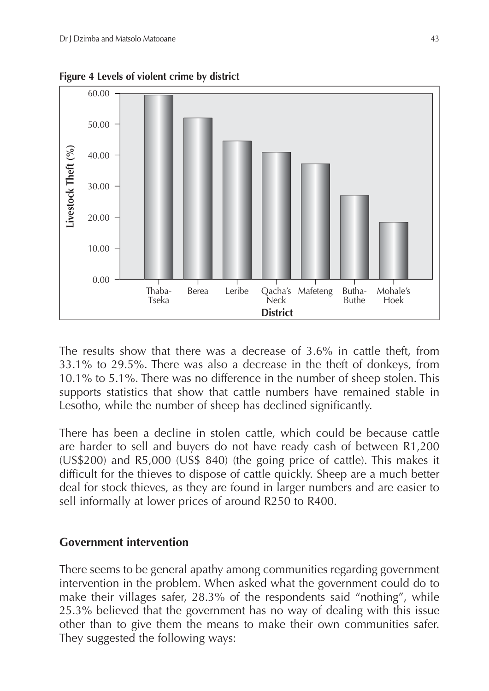

**Figure 4 Levels of violent crime by district**

The results show that there was a decrease of 3.6% in cattle theft, from 33.1% to 29.5%. There was also a decrease in the theft of donkeys, from 10.1% to 5.1%. There was no difference in the number of sheep stolen. This supports statistics that show that cattle numbers have remained stable in Lesotho, while the number of sheep has declined significantly.

There has been a decline in stolen cattle, which could be because cattle are harder to sell and buyers do not have ready cash of between R1,200 (US\$200) and R5,000 (US\$ 840) (the going price of cattle). This makes it difficult for the thieves to dispose of cattle quickly. Sheep are a much better deal for stock thieves, as they are found in larger numbers and are easier to sell informally at lower prices of around R250 to R400.

#### **Government intervention**

There seems to be general apathy among communities regarding government intervention in the problem. When asked what the government could do to make their villages safer, 28.3% of the respondents said "nothing", while 25.3% believed that the government has no way of dealing with this issue other than to give them the means to make their own communities safer. They suggested the following ways: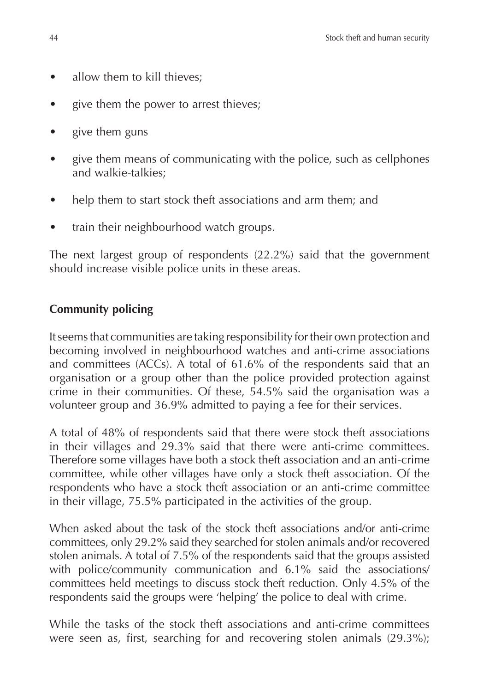- allow them to kill thieves:
- give them the power to arrest thieves;
- give them guns
- give them means of communicating with the police, such as cellphones and walkie-talkies;
- help them to start stock theft associations and arm them; and
- train their neighbourhood watch groups.

The next largest group of respondents (22.2%) said that the government should increase visible police units in these areas.

#### **Community policing**

It seems that communities are taking responsibility for their own protection and becoming involved in neighbourhood watches and anti-crime associations and committees (ACCs). A total of 61.6% of the respondents said that an organisation or a group other than the police provided protection against crime in their communities. Of these, 54.5% said the organisation was a volunteer group and 36.9% admitted to paying a fee for their services.

A total of 48% of respondents said that there were stock theft associations in their villages and 29.3% said that there were anti-crime committees. Therefore some villages have both a stock theft association and an anti-crime committee, while other villages have only a stock theft association. Of the respondents who have a stock theft association or an anti-crime committee in their village, 75.5% participated in the activities of the group.

When asked about the task of the stock theft associations and/or anti-crime committees, only 29.2% said they searched for stolen animals and/or recovered stolen animals. A total of 7.5% of the respondents said that the groups assisted with police/community communication and 6.1% said the associations/ committees held meetings to discuss stock theft reduction. Only 4.5% of the respondents said the groups were 'helping' the police to deal with crime.

While the tasks of the stock theft associations and anti-crime committees were seen as, first, searching for and recovering stolen animals (29.3%);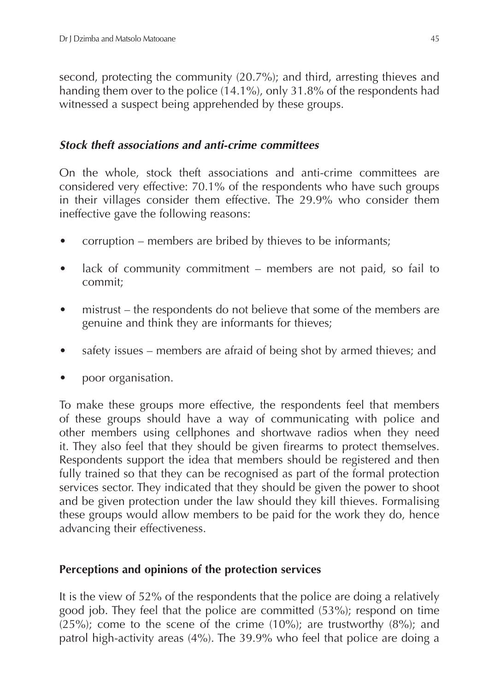second, protecting the community (20.7%); and third, arresting thieves and handing them over to the police (14.1%), only 31.8% of the respondents had witnessed a suspect being apprehended by these groups.

#### *Stock theft associations and anti-crime committees*

On the whole, stock theft associations and anti-crime committees are considered very effective: 70.1% of the respondents who have such groups in their villages consider them effective. The 29.9% who consider them ineffective gave the following reasons:

- corruption members are bribed by thieves to be informants;
- lack of community commitment members are not paid, so fail to commit;
- mistrust the respondents do not believe that some of the members are genuine and think they are informants for thieves;
- safety issues members are afraid of being shot by armed thieves; and
- poor organisation.

To make these groups more effective, the respondents feel that members of these groups should have a way of communicating with police and other members using cellphones and shortwave radios when they need it. They also feel that they should be given firearms to protect themselves. Respondents support the idea that members should be registered and then fully trained so that they can be recognised as part of the formal protection services sector. They indicated that they should be given the power to shoot and be given protection under the law should they kill thieves. Formalising these groups would allow members to be paid for the work they do, hence advancing their effectiveness.

#### **Perceptions and opinions of the protection services**

It is the view of 52% of the respondents that the police are doing a relatively good job. They feel that the police are committed (53%); respond on time  $(25\%)$ ; come to the scene of the crime  $(10\%)$ ; are trustworthy  $(8\%)$ ; and patrol high-activity areas (4%). The 39.9% who feel that police are doing a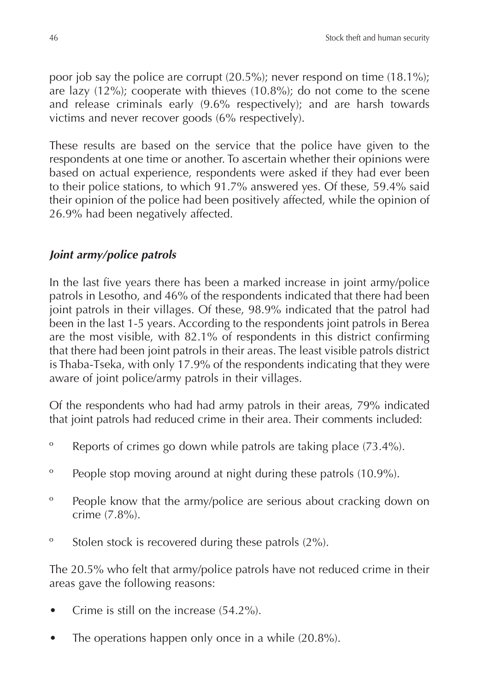poor job say the police are corrupt  $(20.5\%)$ ; never respond on time  $(18.1\%)$ ; are lazy (12%); cooperate with thieves (10.8%); do not come to the scene and release criminals early (9.6% respectively); and are harsh towards victims and never recover goods (6% respectively).

These results are based on the service that the police have given to the respondents at one time or another. To ascertain whether their opinions were based on actual experience, respondents were asked if they had ever been to their police stations, to which 91.7% answered yes. Of these, 59.4% said their opinion of the police had been positively affected, while the opinion of 26.9% had been negatively affected.

# *Joint army/police patrols*

In the last five years there has been a marked increase in joint army/police patrols in Lesotho, and 46% of the respondents indicated that there had been joint patrols in their villages. Of these, 98.9% indicated that the patrol had been in the last 1-5 years. According to the respondents joint patrols in Berea are the most visible, with 82.1% of respondents in this district confirming that there had been joint patrols in their areas. The least visible patrols district is Thaba-Tseka, with only 17.9% of the respondents indicating that they were aware of joint police/army patrols in their villages.

Of the respondents who had had army patrols in their areas, 79% indicated that joint patrols had reduced crime in their area. Their comments included:

- $^{\circ}$  Reports of crimes go down while patrols are taking place (73.4%).
- º People stop moving around at night during these patrols (10.9%).
- º People know that the army/police are serious about cracking down on crime (7.8%).
- º Stolen stock is recovered during these patrols (2%).

The 20.5% who felt that army/police patrols have not reduced crime in their areas gave the following reasons:

- Crime is still on the increase (54.2%).
- The operations happen only once in a while (20.8%).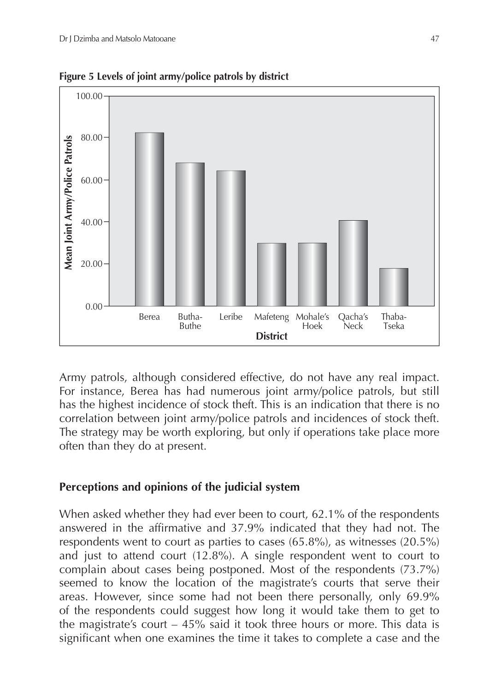

**Figure 5 Levels of joint army/police patrols by district**

Army patrols, although considered effective, do not have any real impact. For instance, Berea has had numerous joint army/police patrols, but still has the highest incidence of stock theft. This is an indication that there is no correlation between joint army/police patrols and incidences of stock theft. The strategy may be worth exploring, but only if operations take place more often than they do at present.

#### **Perceptions and opinions of the judicial system**

When asked whether they had ever been to court, 62.1% of the respondents answered in the affirmative and 37.9% indicated that they had not. The respondents went to court as parties to cases (65.8%), as witnesses (20.5%) and just to attend court (12.8%). A single respondent went to court to complain about cases being postponed. Most of the respondents (73.7%) seemed to know the location of the magistrate's courts that serve their areas. However, since some had not been there personally, only 69.9% of the respondents could suggest how long it would take them to get to the magistrate's court – 45% said it took three hours or more. This data is significant when one examines the time it takes to complete a case and the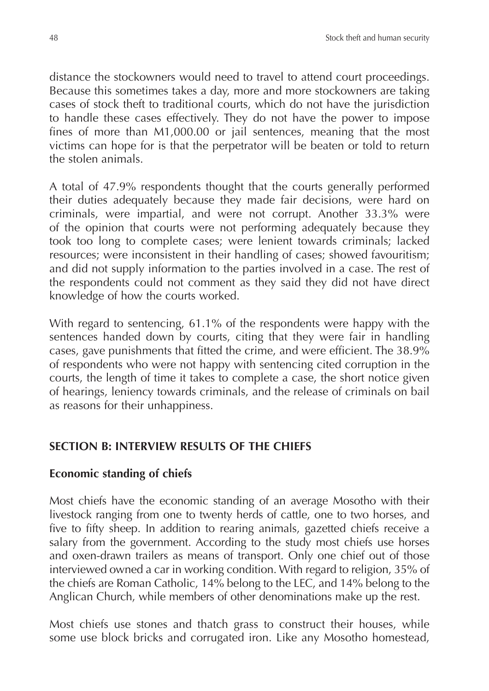distance the stockowners would need to travel to attend court proceedings. Because this sometimes takes a day, more and more stockowners are taking cases of stock theft to traditional courts, which do not have the jurisdiction to handle these cases effectively. They do not have the power to impose fines of more than M1,000.00 or jail sentences, meaning that the most victims can hope for is that the perpetrator will be beaten or told to return the stolen animals.

A total of 47.9% respondents thought that the courts generally performed their duties adequately because they made fair decisions, were hard on criminals, were impartial, and were not corrupt. Another 33.3% were of the opinion that courts were not performing adequately because they took too long to complete cases; were lenient towards criminals; lacked resources; were inconsistent in their handling of cases; showed favouritism; and did not supply information to the parties involved in a case. The rest of the respondents could not comment as they said they did not have direct knowledge of how the courts worked.

With regard to sentencing, 61.1% of the respondents were happy with the sentences handed down by courts, citing that they were fair in handling cases, gave punishments that fitted the crime, and were efficient. The 38.9% of respondents who were not happy with sentencing cited corruption in the courts, the length of time it takes to complete a case, the short notice given of hearings, leniency towards criminals, and the release of criminals on bail as reasons for their unhappiness.

## **SECTION B: INTERVIEW RESULTS OF THE CHIEFS**

## **Economic standing of chiefs**

Most chiefs have the economic standing of an average Mosotho with their livestock ranging from one to twenty herds of cattle, one to two horses, and five to fifty sheep. In addition to rearing animals, gazetted chiefs receive a salary from the government. According to the study most chiefs use horses and oxen-drawn trailers as means of transport. Only one chief out of those interviewed owned a car in working condition. With regard to religion, 35% of the chiefs are Roman Catholic, 14% belong to the LEC, and 14% belong to the Anglican Church, while members of other denominations make up the rest.

Most chiefs use stones and thatch grass to construct their houses, while some use block bricks and corrugated iron. Like any Mosotho homestead,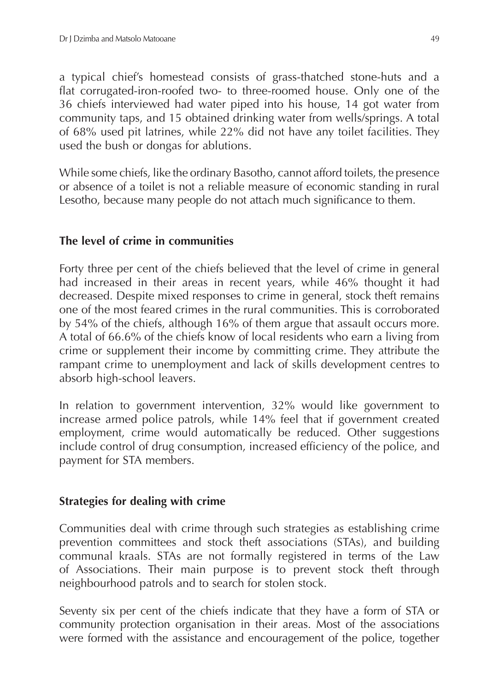a typical chief's homestead consists of grass-thatched stone-huts and a flat corrugated-iron-roofed two- to three-roomed house. Only one of the 36 chiefs interviewed had water piped into his house, 14 got water from community taps, and 15 obtained drinking water from wells/springs. A total of 68% used pit latrines, while 22% did not have any toilet facilities. They used the bush or dongas for ablutions.

While some chiefs, like the ordinary Basotho, cannot afford toilets, the presence or absence of a toilet is not a reliable measure of economic standing in rural Lesotho, because many people do not attach much significance to them.

## **The level of crime in communities**

Forty three per cent of the chiefs believed that the level of crime in general had increased in their areas in recent years, while 46% thought it had decreased. Despite mixed responses to crime in general, stock theft remains one of the most feared crimes in the rural communities. This is corroborated by 54% of the chiefs, although 16% of them argue that assault occurs more. A total of 66.6% of the chiefs know of local residents who earn a living from crime or supplement their income by committing crime. They attribute the rampant crime to unemployment and lack of skills development centres to absorb high-school leavers.

In relation to government intervention, 32% would like government to increase armed police patrols, while 14% feel that if government created employment, crime would automatically be reduced. Other suggestions include control of drug consumption, increased efficiency of the police, and payment for STA members.

## **Strategies for dealing with crime**

Communities deal with crime through such strategies as establishing crime prevention committees and stock theft associations (STAs), and building communal kraals. STAs are not formally registered in terms of the Law of Associations. Their main purpose is to prevent stock theft through neighbourhood patrols and to search for stolen stock.

Seventy six per cent of the chiefs indicate that they have a form of STA or community protection organisation in their areas. Most of the associations were formed with the assistance and encouragement of the police, together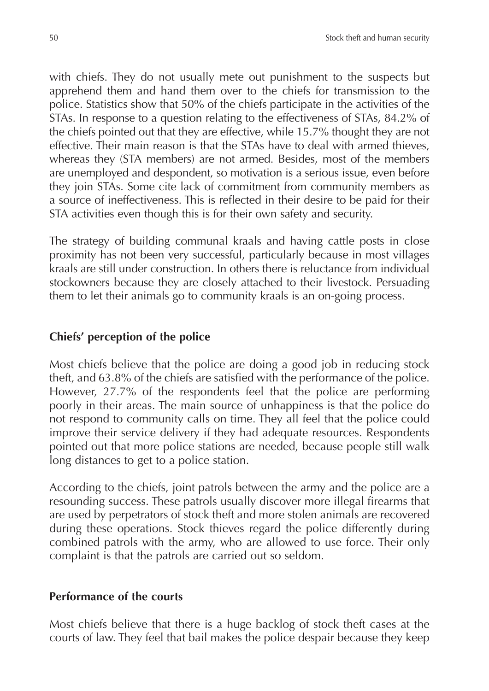with chiefs. They do not usually mete out punishment to the suspects but apprehend them and hand them over to the chiefs for transmission to the police. Statistics show that 50% of the chiefs participate in the activities of the STAs. In response to a question relating to the effectiveness of STAs, 84.2% of the chiefs pointed out that they are effective, while 15.7% thought they are not effective. Their main reason is that the STAs have to deal with armed thieves, whereas they (STA members) are not armed. Besides, most of the members are unemployed and despondent, so motivation is a serious issue, even before they join STAs. Some cite lack of commitment from community members as a source of ineffectiveness. This is reflected in their desire to be paid for their STA activities even though this is for their own safety and security.

The strategy of building communal kraals and having cattle posts in close proximity has not been very successful, particularly because in most villages kraals are still under construction. In others there is reluctance from individual stockowners because they are closely attached to their livestock. Persuading them to let their animals go to community kraals is an on-going process.

#### **Chiefs' perception of the police**

Most chiefs believe that the police are doing a good job in reducing stock theft, and 63.8% of the chiefs are satisfied with the performance of the police. However, 27.7% of the respondents feel that the police are performing poorly in their areas. The main source of unhappiness is that the police do not respond to community calls on time. They all feel that the police could improve their service delivery if they had adequate resources. Respondents pointed out that more police stations are needed, because people still walk long distances to get to a police station.

According to the chiefs, joint patrols between the army and the police are a resounding success. These patrols usually discover more illegal firearms that are used by perpetrators of stock theft and more stolen animals are recovered during these operations. Stock thieves regard the police differently during combined patrols with the army, who are allowed to use force. Their only complaint is that the patrols are carried out so seldom.

#### **Performance of the courts**

Most chiefs believe that there is a huge backlog of stock theft cases at the courts of law. They feel that bail makes the police despair because they keep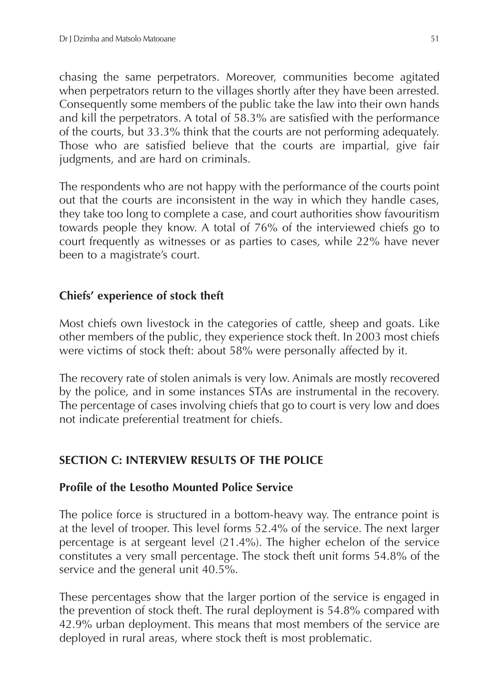chasing the same perpetrators. Moreover, communities become agitated when perpetrators return to the villages shortly after they have been arrested. Consequently some members of the public take the law into their own hands and kill the perpetrators. A total of 58.3% are satisfied with the performance of the courts, but 33.3% think that the courts are not performing adequately. Those who are satisfied believe that the courts are impartial, give fair judgments, and are hard on criminals.

The respondents who are not happy with the performance of the courts point out that the courts are inconsistent in the way in which they handle cases, they take too long to complete a case, and court authorities show favouritism towards people they know. A total of 76% of the interviewed chiefs go to court frequently as witnesses or as parties to cases, while 22% have never been to a magistrate's court.

# **Chiefs' experience of stock theft**

Most chiefs own livestock in the categories of cattle, sheep and goats. Like other members of the public, they experience stock theft. In 2003 most chiefs were victims of stock theft: about 58% were personally affected by it.

The recovery rate of stolen animals is very low. Animals are mostly recovered by the police, and in some instances STAs are instrumental in the recovery. The percentage of cases involving chiefs that go to court is very low and does not indicate preferential treatment for chiefs.

# **SECTION C: INTERVIEW RESULTS OF THE POLICE**

## **Profile of the Lesotho Mounted Police Service**

The police force is structured in a bottom-heavy way. The entrance point is at the level of trooper. This level forms 52.4% of the service. The next larger percentage is at sergeant level (21.4%). The higher echelon of the service constitutes a very small percentage. The stock theft unit forms 54.8% of the service and the general unit 40.5%.

These percentages show that the larger portion of the service is engaged in the prevention of stock theft. The rural deployment is 54.8% compared with 42.9% urban deployment. This means that most members of the service are deployed in rural areas, where stock theft is most problematic.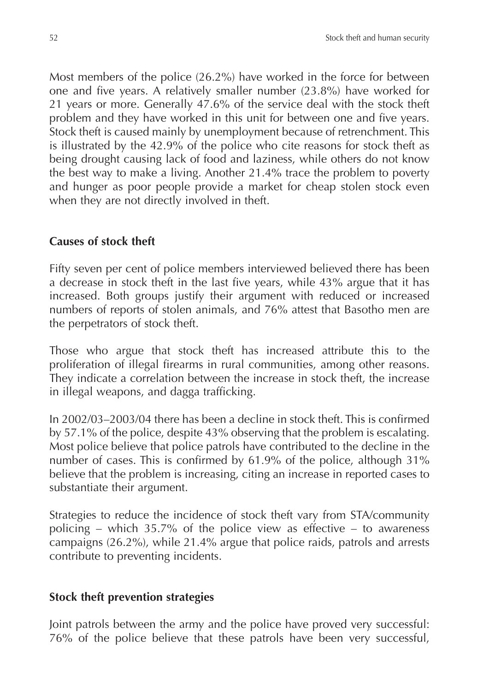Most members of the police (26.2%) have worked in the force for between one and five years. A relatively smaller number (23.8%) have worked for 21 years or more. Generally 47.6% of the service deal with the stock theft problem and they have worked in this unit for between one and five years. Stock theft is caused mainly by unemployment because of retrenchment. This is illustrated by the 42.9% of the police who cite reasons for stock theft as being drought causing lack of food and laziness, while others do not know the best way to make a living. Another 21.4% trace the problem to poverty and hunger as poor people provide a market for cheap stolen stock even when they are not directly involved in theft.

## **Causes of stock theft**

Fifty seven per cent of police members interviewed believed there has been a decrease in stock theft in the last five years, while 43% argue that it has increased. Both groups justify their argument with reduced or increased numbers of reports of stolen animals, and 76% attest that Basotho men are the perpetrators of stock theft.

Those who argue that stock theft has increased attribute this to the proliferation of illegal firearms in rural communities, among other reasons. They indicate a correlation between the increase in stock theft, the increase in illegal weapons, and dagga trafficking.

In 2002/03–2003/04 there has been a decline in stock theft. This is confirmed by 57.1% of the police, despite 43% observing that the problem is escalating. Most police believe that police patrols have contributed to the decline in the number of cases. This is confirmed by 61.9% of the police, although 31% believe that the problem is increasing, citing an increase in reported cases to substantiate their argument.

Strategies to reduce the incidence of stock theft vary from STA/community policing – which 35.7% of the police view as effective – to awareness campaigns (26.2%), while 21.4% argue that police raids, patrols and arrests contribute to preventing incidents.

#### **Stock theft prevention strategies**

Joint patrols between the army and the police have proved very successful: 76% of the police believe that these patrols have been very successful,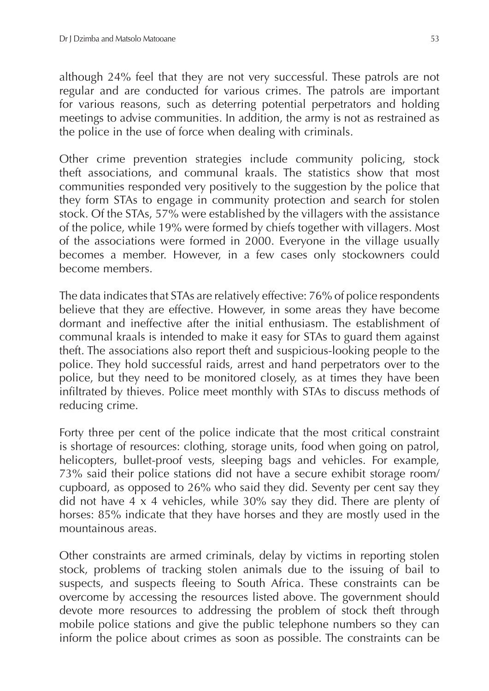although 24% feel that they are not very successful. These patrols are not regular and are conducted for various crimes. The patrols are important for various reasons, such as deterring potential perpetrators and holding meetings to advise communities. In addition, the army is not as restrained as the police in the use of force when dealing with criminals.

Other crime prevention strategies include community policing, stock theft associations, and communal kraals. The statistics show that most communities responded very positively to the suggestion by the police that they form STAs to engage in community protection and search for stolen stock. Of the STAs, 57% were established by the villagers with the assistance of the police, while 19% were formed by chiefs together with villagers. Most of the associations were formed in 2000. Everyone in the village usually becomes a member. However, in a few cases only stockowners could become members.

The data indicates that STAs are relatively effective: 76% of police respondents believe that they are effective. However, in some areas they have become dormant and ineffective after the initial enthusiasm. The establishment of communal kraals is intended to make it easy for STAs to guard them against theft. The associations also report theft and suspicious-looking people to the police. They hold successful raids, arrest and hand perpetrators over to the police, but they need to be monitored closely, as at times they have been infiltrated by thieves. Police meet monthly with STAs to discuss methods of reducing crime.

Forty three per cent of the police indicate that the most critical constraint is shortage of resources: clothing, storage units, food when going on patrol, helicopters, bullet-proof vests, sleeping bags and vehicles. For example, 73% said their police stations did not have a secure exhibit storage room/ cupboard, as opposed to 26% who said they did. Seventy per cent say they did not have 4 x 4 vehicles, while 30% say they did. There are plenty of horses: 85% indicate that they have horses and they are mostly used in the mountainous areas.

Other constraints are armed criminals, delay by victims in reporting stolen stock, problems of tracking stolen animals due to the issuing of bail to suspects, and suspects fleeing to South Africa. These constraints can be overcome by accessing the resources listed above. The government should devote more resources to addressing the problem of stock theft through mobile police stations and give the public telephone numbers so they can inform the police about crimes as soon as possible. The constraints can be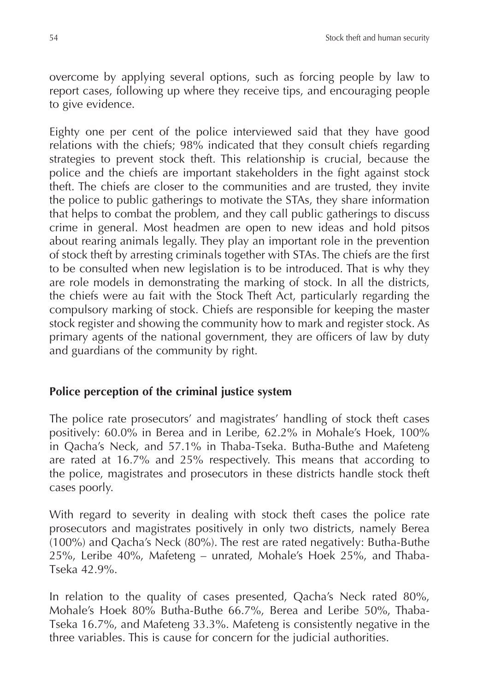overcome by applying several options, such as forcing people by law to report cases, following up where they receive tips, and encouraging people to give evidence.

Eighty one per cent of the police interviewed said that they have good relations with the chiefs; 98% indicated that they consult chiefs regarding strategies to prevent stock theft. This relationship is crucial, because the police and the chiefs are important stakeholders in the fight against stock theft. The chiefs are closer to the communities and are trusted, they invite the police to public gatherings to motivate the STAs, they share information that helps to combat the problem, and they call public gatherings to discuss crime in general. Most headmen are open to new ideas and hold pitsos about rearing animals legally. They play an important role in the prevention of stock theft by arresting criminals together with STAs. The chiefs are the first to be consulted when new legislation is to be introduced. That is why they are role models in demonstrating the marking of stock. In all the districts, the chiefs were au fait with the Stock Theft Act, particularly regarding the compulsory marking of stock. Chiefs are responsible for keeping the master stock register and showing the community how to mark and register stock. As primary agents of the national government, they are officers of law by duty and guardians of the community by right.

#### **Police perception of the criminal justice system**

The police rate prosecutors' and magistrates' handling of stock theft cases positively: 60.0% in Berea and in Leribe, 62.2% in Mohale's Hoek, 100% in Qacha's Neck, and 57.1% in Thaba-Tseka. Butha-Buthe and Mafeteng are rated at 16.7% and 25% respectively. This means that according to the police, magistrates and prosecutors in these districts handle stock theft cases poorly.

With regard to severity in dealing with stock theft cases the police rate prosecutors and magistrates positively in only two districts, namely Berea (100%) and Qacha's Neck (80%). The rest are rated negatively: Butha-Buthe 25%, Leribe 40%, Mafeteng – unrated, Mohale's Hoek 25%, and Thaba-Tseka 42.9%.

In relation to the quality of cases presented, Qacha's Neck rated 80%, Mohale's Hoek 80% Butha-Buthe 66.7%, Berea and Leribe 50%, Thaba-Tseka 16.7%, and Mafeteng 33.3%. Mafeteng is consistently negative in the three variables. This is cause for concern for the judicial authorities.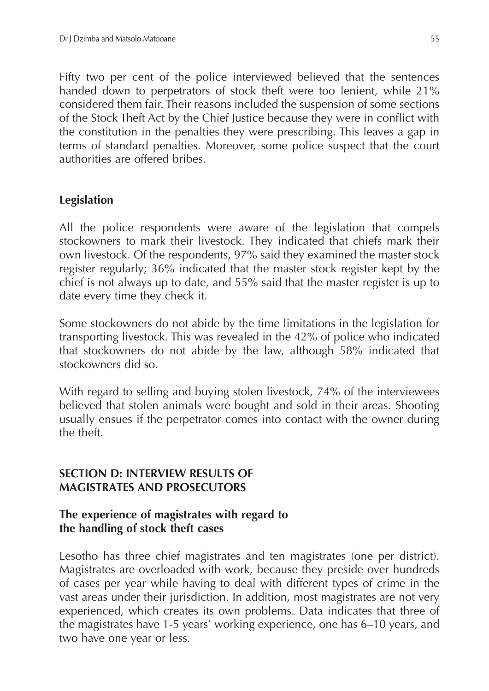Fifty two per cent of the police interviewed believed that the sentences handed down to perpetrators of stock theft were too lenient, while 21% considered them fair. Their reasons included the suspension of some sections of the Stock Theft Act by the Chief Justice because they were in conflict with the constitution in the penalties they were prescribing. This leaves a gap in terms of standard penalties. Moreover, some police suspect that the court authorities are offered bribes.

#### **Legislation**

All the police respondents were aware of the legislation that compels stockowners to mark their livestock. They indicated that chiefs mark their own livestock. Of the respondents, 97% said they examined the master stock register regularly; 36% indicated that the master stock register kept by the chief is not always up to date, and 55% said that the master register is up to date every time they check it.

Some stockowners do not abide by the time limitations in the legislation for transporting livestock. This was revealed in the 42% of police who indicated that stockowners do not abide by the law, although 58% indicated that stockowners did so.

With regard to selling and buying stolen livestock, 74% of the interviewees believed that stolen animals were bought and sold in their areas. Shooting usually ensues if the perpetrator comes into contact with the owner during the theft.

#### **SECTION D: INTERVIEW RESULTS OF MAGISTRATES AND PROSECUTORS**

#### **The experience of magistrates with regard to the handling of stock theft cases**

Lesotho has three chief magistrates and ten magistrates (one per district). Magistrates are overloaded with work, because they preside over hundreds of cases per year while having to deal with different types of crime in the vast areas under their jurisdiction. In addition, most magistrates are not very experienced, which creates its own problems. Data indicates that three of the magistrates have 1-5 years' working experience, one has 6–10 years, and two have one year or less.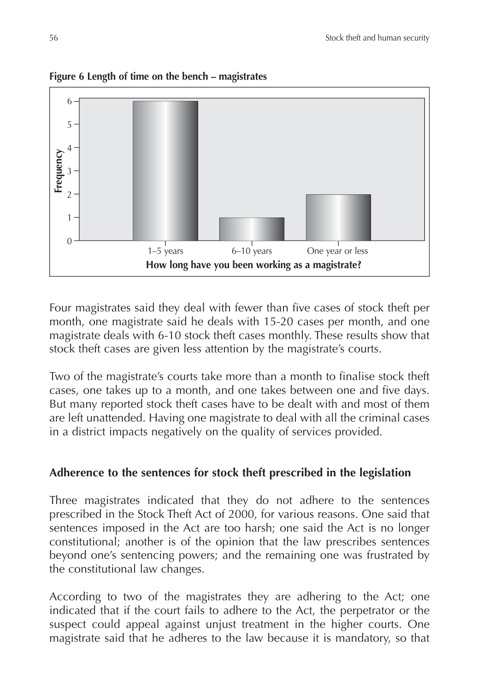



Four magistrates said they deal with fewer than five cases of stock theft per month, one magistrate said he deals with 15-20 cases per month, and one magistrate deals with 6-10 stock theft cases monthly. These results show that stock theft cases are given less attention by the magistrate's courts.

Two of the magistrate's courts take more than a month to finalise stock theft cases, one takes up to a month, and one takes between one and five days. But many reported stock theft cases have to be dealt with and most of them are left unattended. Having one magistrate to deal with all the criminal cases in a district impacts negatively on the quality of services provided.

#### **Adherence to the sentences for stock theft prescribed in the legislation**

Three magistrates indicated that they do not adhere to the sentences prescribed in the Stock Theft Act of 2000, for various reasons. One said that sentences imposed in the Act are too harsh; one said the Act is no longer constitutional; another is of the opinion that the law prescribes sentences beyond one's sentencing powers; and the remaining one was frustrated by the constitutional law changes.

According to two of the magistrates they are adhering to the Act; one indicated that if the court fails to adhere to the Act, the perpetrator or the suspect could appeal against unjust treatment in the higher courts. One magistrate said that he adheres to the law because it is mandatory, so that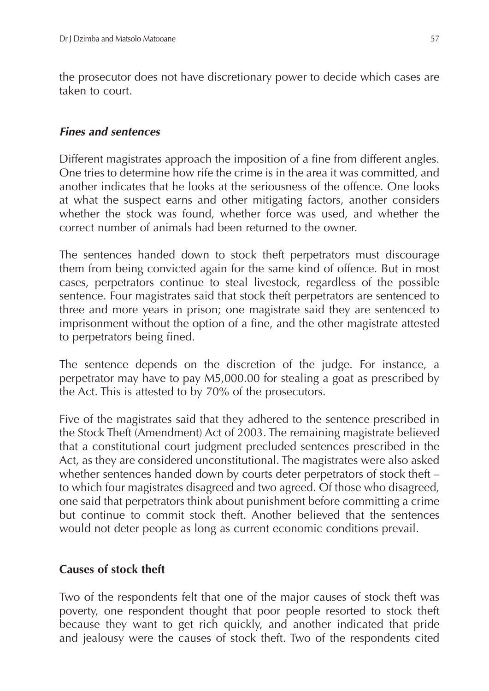the prosecutor does not have discretionary power to decide which cases are taken to court.

#### *Fines and sentences*

Different magistrates approach the imposition of a fine from different angles. One tries to determine how rife the crime is in the area it was committed, and another indicates that he looks at the seriousness of the offence. One looks at what the suspect earns and other mitigating factors, another considers whether the stock was found, whether force was used, and whether the correct number of animals had been returned to the owner.

The sentences handed down to stock theft perpetrators must discourage them from being convicted again for the same kind of offence. But in most cases, perpetrators continue to steal livestock, regardless of the possible sentence. Four magistrates said that stock theft perpetrators are sentenced to three and more years in prison; one magistrate said they are sentenced to imprisonment without the option of a fine, and the other magistrate attested to perpetrators being fined.

The sentence depends on the discretion of the judge. For instance, a perpetrator may have to pay M5,000.00 for stealing a goat as prescribed by the Act. This is attested to by 70% of the prosecutors.

Five of the magistrates said that they adhered to the sentence prescribed in the Stock Theft (Amendment) Act of 2003. The remaining magistrate believed that a constitutional court judgment precluded sentences prescribed in the Act, as they are considered unconstitutional. The magistrates were also asked whether sentences handed down by courts deter perpetrators of stock theft – to which four magistrates disagreed and two agreed. Of those who disagreed, one said that perpetrators think about punishment before committing a crime but continue to commit stock theft. Another believed that the sentences would not deter people as long as current economic conditions prevail.

#### **Causes of stock theft**

Two of the respondents felt that one of the major causes of stock theft was poverty, one respondent thought that poor people resorted to stock theft because they want to get rich quickly, and another indicated that pride and jealousy were the causes of stock theft. Two of the respondents cited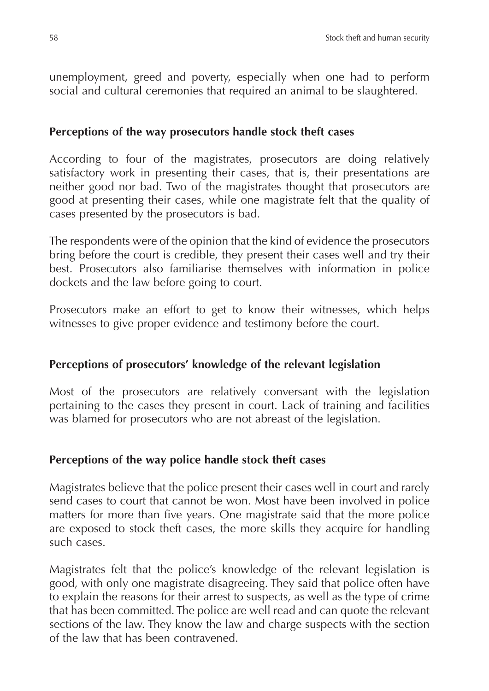unemployment, greed and poverty, especially when one had to perform social and cultural ceremonies that required an animal to be slaughtered.

# **Perceptions of the way prosecutors handle stock theft cases**

According to four of the magistrates, prosecutors are doing relatively satisfactory work in presenting their cases, that is, their presentations are neither good nor bad. Two of the magistrates thought that prosecutors are good at presenting their cases, while one magistrate felt that the quality of cases presented by the prosecutors is bad.

The respondents were of the opinion that the kind of evidence the prosecutors bring before the court is credible, they present their cases well and try their best. Prosecutors also familiarise themselves with information in police dockets and the law before going to court.

Prosecutors make an effort to get to know their witnesses, which helps witnesses to give proper evidence and testimony before the court.

# **Perceptions of prosecutors' knowledge of the relevant legislation**

Most of the prosecutors are relatively conversant with the legislation pertaining to the cases they present in court. Lack of training and facilities was blamed for prosecutors who are not abreast of the legislation.

# **Perceptions of the way police handle stock theft cases**

Magistrates believe that the police present their cases well in court and rarely send cases to court that cannot be won. Most have been involved in police matters for more than five years. One magistrate said that the more police are exposed to stock theft cases, the more skills they acquire for handling such cases.

Magistrates felt that the police's knowledge of the relevant legislation is good, with only one magistrate disagreeing. They said that police often have to explain the reasons for their arrest to suspects, as well as the type of crime that has been committed. The police are well read and can quote the relevant sections of the law. They know the law and charge suspects with the section of the law that has been contravened.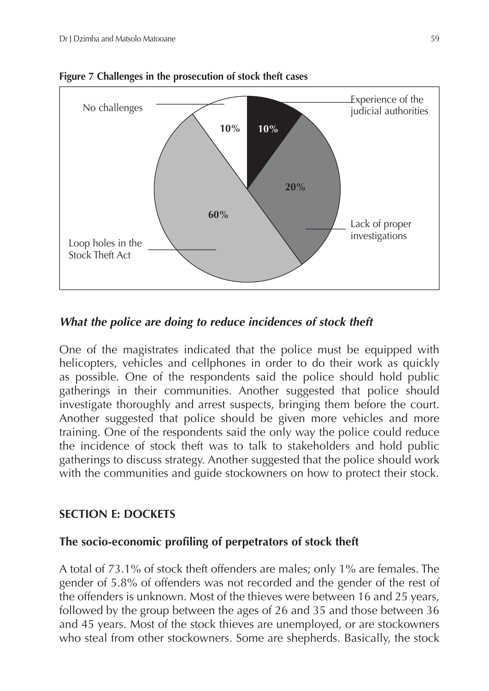

**Figure 7 Challenges in the prosecution of stock theft cases**

## *What the police are doing to reduce incidences of stock theft*

One of the magistrates indicated that the police must be equipped with helicopters, vehicles and cellphones in order to do their work as quickly as possible. One of the respondents said the police should hold public gatherings in their communities. Another suggested that police should investigate thoroughly and arrest suspects, bringing them before the court. Another suggested that police should be given more vehicles and more training. One of the respondents said the only way the police could reduce the incidence of stock theft was to talk to stakeholders and hold public gatherings to discuss strategy. Another suggested that the police should work with the communities and guide stockowners on how to protect their stock.

#### **SECTION E: DOCKETS**

#### **The socio-economic profiling of perpetrators of stock theft**

A total of 73.1% of stock theft offenders are males; only 1% are females. The gender of 5.8% of offenders was not recorded and the gender of the rest of the offenders is unknown. Most of the thieves were between 16 and 25 years, followed by the group between the ages of 26 and 35 and those between 36 and 45 years. Most of the stock thieves are unemployed, or are stockowners who steal from other stockowners. Some are shepherds. Basically, the stock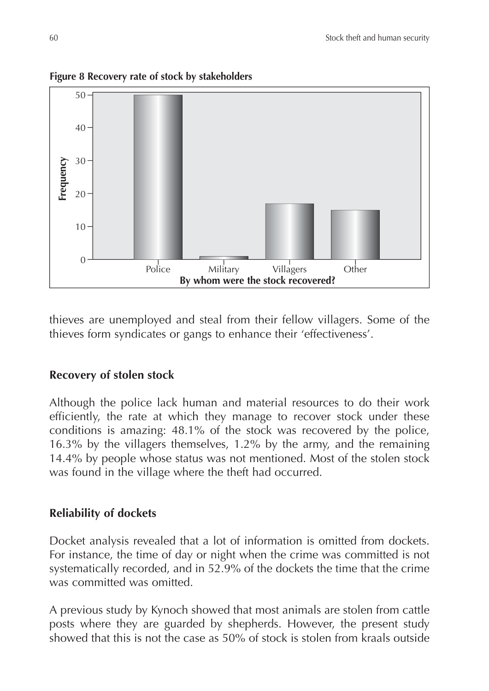



thieves are unemployed and steal from their fellow villagers. Some of the thieves form syndicates or gangs to enhance their 'effectiveness'.

#### **Recovery of stolen stock**

Although the police lack human and material resources to do their work efficiently, the rate at which they manage to recover stock under these conditions is amazing: 48.1% of the stock was recovered by the police, 16.3% by the villagers themselves, 1.2% by the army, and the remaining 14.4% by people whose status was not mentioned. Most of the stolen stock was found in the village where the theft had occurred.

#### **Reliability of dockets**

Docket analysis revealed that a lot of information is omitted from dockets. For instance, the time of day or night when the crime was committed is not systematically recorded, and in 52.9% of the dockets the time that the crime was committed was omitted.

A previous study by Kynoch showed that most animals are stolen from cattle posts where they are guarded by shepherds. However, the present study showed that this is not the case as 50% of stock is stolen from kraals outside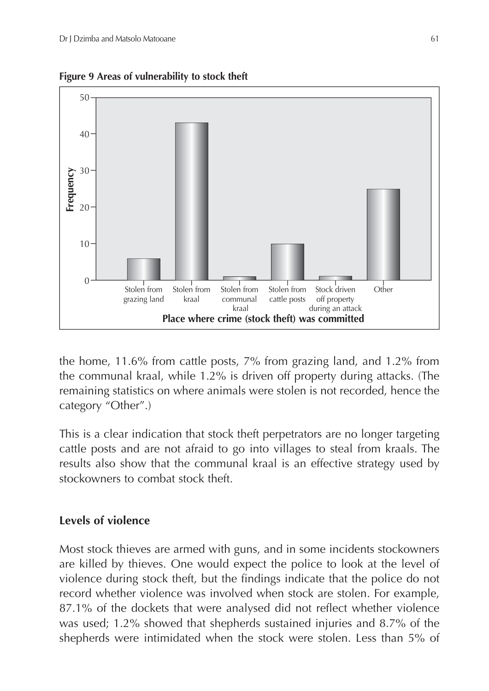

**Figure 9 Areas of vulnerability to stock theft**

the home, 11.6% from cattle posts, 7% from grazing land, and 1.2% from the communal kraal, while 1.2% is driven off property during attacks. (The remaining statistics on where animals were stolen is not recorded, hence the category "Other".)

This is a clear indication that stock theft perpetrators are no longer targeting cattle posts and are not afraid to go into villages to steal from kraals. The results also show that the communal kraal is an effective strategy used by stockowners to combat stock theft.

#### **Levels of violence**

Most stock thieves are armed with guns, and in some incidents stockowners are killed by thieves. One would expect the police to look at the level of violence during stock theft, but the findings indicate that the police do not record whether violence was involved when stock are stolen. For example, 87.1% of the dockets that were analysed did not reflect whether violence was used; 1.2% showed that shepherds sustained injuries and 8.7% of the shepherds were intimidated when the stock were stolen. Less than 5% of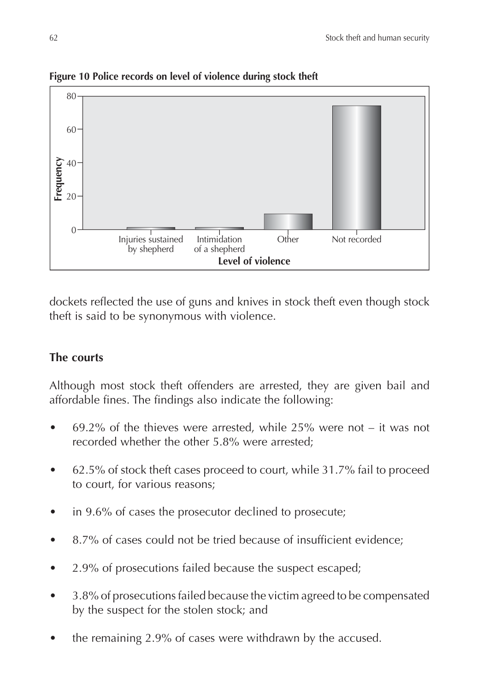

**Figure 10 Police records on level of violence during stock theft**

dockets reflected the use of guns and knives in stock theft even though stock theft is said to be synonymous with violence.

# **The courts**

Although most stock theft offenders are arrested, they are given bail and affordable fines. The findings also indicate the following:

- 69.2% of the thieves were arrested, while 25% were not  $-$  it was not recorded whether the other 5.8% were arrested;
- 62.5% of stock theft cases proceed to court, while 31.7% fail to proceed to court, for various reasons;
- in 9.6% of cases the prosecutor declined to prosecute;
- 8.7% of cases could not be tried because of insufficient evidence;
- 2.9% of prosecutions failed because the suspect escaped;
- 3.8% of prosecutions failed because the victim agreed to be compensated by the suspect for the stolen stock; and
- the remaining 2.9% of cases were withdrawn by the accused.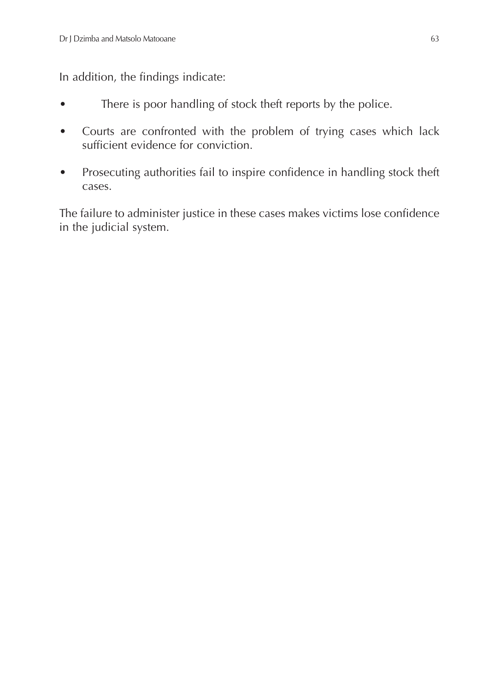In addition, the findings indicate:

- There is poor handling of stock theft reports by the police.
- Courts are confronted with the problem of trying cases which lack sufficient evidence for conviction.
- Prosecuting authorities fail to inspire confidence in handling stock theft cases.

The failure to administer justice in these cases makes victims lose confidence in the judicial system.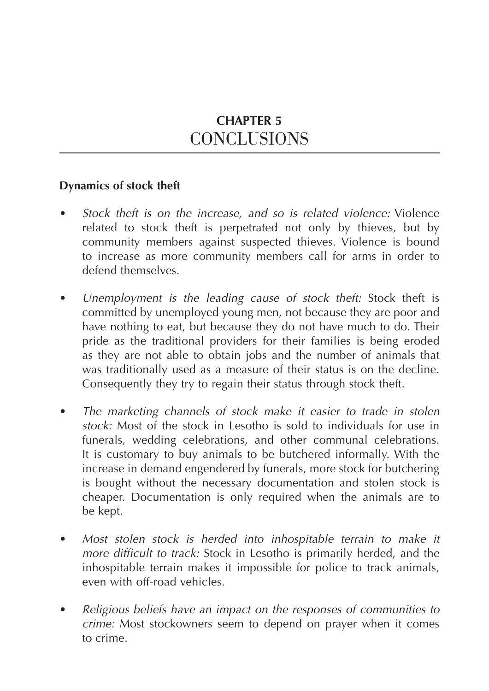# **CHAPTER 5 CONCLUSIONS**

#### **Dynamics of stock theft**

- • *Stock theft is on the increase, and so is related violence:* Violence related to stock theft is perpetrated not only by thieves, but by community members against suspected thieves. Violence is bound to increase as more community members call for arms in order to defend themselves.
- • *Unemployment is the leading cause of stock theft:* Stock theft is committed by unemployed young men, not because they are poor and have nothing to eat, but because they do not have much to do. Their pride as the traditional providers for their families is being eroded as they are not able to obtain jobs and the number of animals that was traditionally used as a measure of their status is on the decline. Consequently they try to regain their status through stock theft.
- • *The marketing channels of stock make it easier to trade in stolen stock:* Most of the stock in Lesotho is sold to individuals for use in funerals, wedding celebrations, and other communal celebrations. It is customary to buy animals to be butchered informally. With the increase in demand engendered by funerals, more stock for butchering is bought without the necessary documentation and stolen stock is cheaper. Documentation is only required when the animals are to be kept.
- • *Most stolen stock is herded into inhospitable terrain to make it more difficult to track:* Stock in Lesotho is primarily herded, and the inhospitable terrain makes it impossible for police to track animals, even with off-road vehicles.
- • *Religious beliefs have an impact on the responses of communities to crime:* Most stockowners seem to depend on prayer when it comes to crime.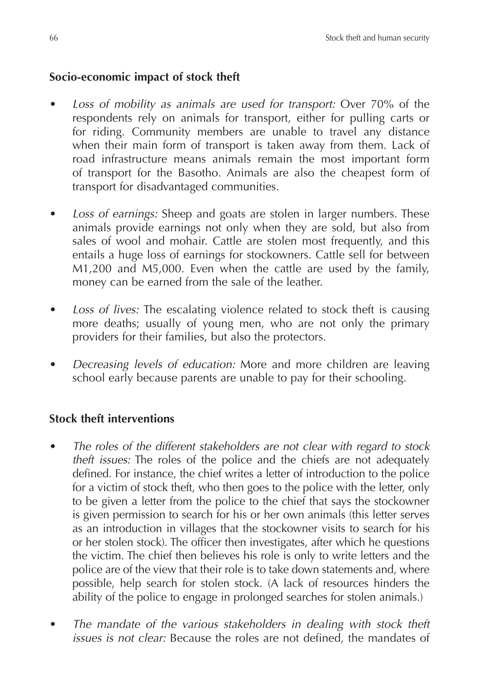## **Socio-economic impact of stock theft**

- • *Loss of mobility as animals are used for transport:* Over 70% of the respondents rely on animals for transport, either for pulling carts or for riding. Community members are unable to travel any distance when their main form of transport is taken away from them. Lack of road infrastructure means animals remain the most important form of transport for the Basotho. Animals are also the cheapest form of transport for disadvantaged communities.
- • *Loss of earnings:* Sheep and goats are stolen in larger numbers. These animals provide earnings not only when they are sold, but also from sales of wool and mohair. Cattle are stolen most frequently, and this entails a huge loss of earnings for stockowners. Cattle sell for between M1,200 and M5,000. Even when the cattle are used by the family, money can be earned from the sale of the leather.
- • *Loss of lives:* The escalating violence related to stock theft is causing more deaths; usually of young men, who are not only the primary providers for their families, but also the protectors.
- • *Decreasing levels of education:* More and more children are leaving school early because parents are unable to pay for their schooling.

# **Stock theft interventions**

- *The roles of the different stakeholders are not clear with regard to stock theft issues:* The roles of the police and the chiefs are not adequately defined. For instance, the chief writes a letter of introduction to the police for a victim of stock theft, who then goes to the police with the letter, only to be given a letter from the police to the chief that says the stockowner is given permission to search for his or her own animals (this letter serves as an introduction in villages that the stockowner visits to search for his or her stolen stock). The officer then investigates, after which he questions the victim. The chief then believes his role is only to write letters and the police are of the view that their role is to take down statements and, where possible, help search for stolen stock. (A lack of resources hinders the ability of the police to engage in prolonged searches for stolen animals.)
- • *The mandate of the various stakeholders in dealing with stock theft issues is not clear:* Because the roles are not defined, the mandates of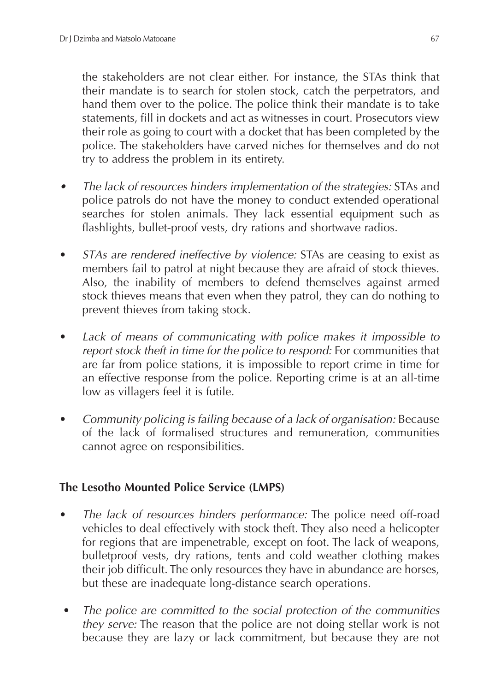the stakeholders are not clear either. For instance, the STAs think that their mandate is to search for stolen stock, catch the perpetrators, and hand them over to the police. The police think their mandate is to take statements, fill in dockets and act as witnesses in court. Prosecutors view their role as going to court with a docket that has been completed by the police. The stakeholders have carved niches for themselves and do not try to address the problem in its entirety.

- *The lack of resources hinders implementation of the strategies:* STAs and police patrols do not have the money to conduct extended operational searches for stolen animals. They lack essential equipment such as flashlights, bullet-proof vests, dry rations and shortwave radios.
- • *STAs are rendered ineffective by violence:* STAs are ceasing to exist as members fail to patrol at night because they are afraid of stock thieves. Also, the inability of members to defend themselves against armed stock thieves means that even when they patrol, they can do nothing to prevent thieves from taking stock.
- • *Lack of means of communicating with police makes it impossible to report stock theft in time for the police to respond:* For communities that are far from police stations, it is impossible to report crime in time for an effective response from the police. Reporting crime is at an all-time low as villagers feel it is futile.
- • *Community policing is failing because of a lack of organisation:* Because of the lack of formalised structures and remuneration, communities cannot agree on responsibilities.

#### **The Lesotho Mounted Police Service (LMPS)**

- • *The lack of resources hinders performance:* The police need off-road vehicles to deal effectively with stock theft. They also need a helicopter for regions that are impenetrable, except on foot. The lack of weapons, bulletproof vests, dry rations, tents and cold weather clothing makes their job difficult. The only resources they have in abundance are horses, but these are inadequate long-distance search operations.
- • *The police are committed to the social protection of the communities they serve:* The reason that the police are not doing stellar work is not because they are lazy or lack commitment, but because they are not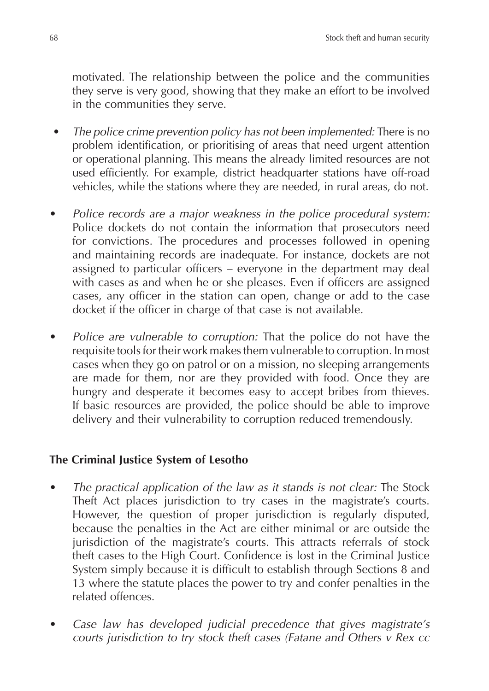motivated. The relationship between the police and the communities they serve is very good, showing that they make an effort to be involved in the communities they serve.

- • *The police crime prevention policy has not been implemented:* There is no problem identification, or prioritising of areas that need urgent attention or operational planning. This means the already limited resources are not used efficiently. For example, district headquarter stations have off-road vehicles, while the stations where they are needed, in rural areas, do not.
- • *Police records are a major weakness in the police procedural system:* Police dockets do not contain the information that prosecutors need for convictions. The procedures and processes followed in opening and maintaining records are inadequate. For instance, dockets are not assigned to particular officers – everyone in the department may deal with cases as and when he or she pleases. Even if officers are assigned cases, any officer in the station can open, change or add to the case docket if the officer in charge of that case is not available.
- • *Police are vulnerable to corruption:* That the police do not have the requisite tools for their work makes them vulnerable to corruption. In most cases when they go on patrol or on a mission, no sleeping arrangements are made for them, nor are they provided with food. Once they are hungry and desperate it becomes easy to accept bribes from thieves. If basic resources are provided, the police should be able to improve delivery and their vulnerability to corruption reduced tremendously.

# **The Criminal Justice System of Lesotho**

- • *The practical application of the law as it stands is not clear:* The Stock Theft Act places jurisdiction to try cases in the magistrate's courts. However, the question of proper jurisdiction is regularly disputed, because the penalties in the Act are either minimal or are outside the jurisdiction of the magistrate's courts. This attracts referrals of stock theft cases to the High Court. Confidence is lost in the Criminal Justice System simply because it is difficult to establish through Sections 8 and  $13$  where the statute places the power to try and confer penalties in the related offences.
- • *Case law has developed judicial precedence that gives magistrate's courts jurisdiction to try stock theft cases (Fatane and Others v Rex cc*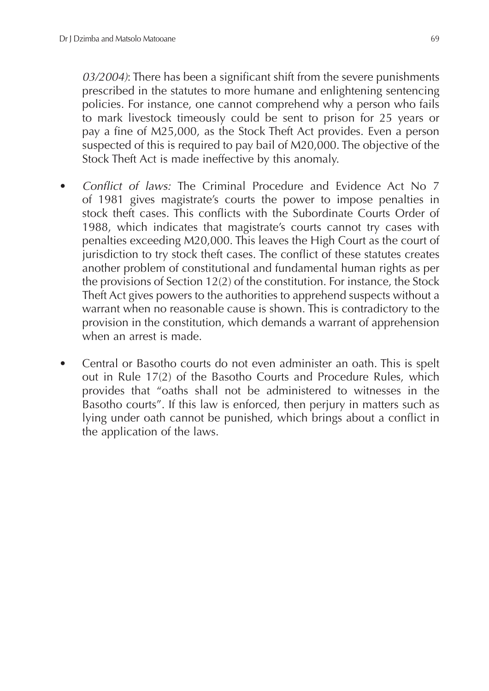*03/2004)*: There has been a significant shift from the severe punishments prescribed in the statutes to more humane and enlightening sentencing policies. For instance, one cannot comprehend why a person who fails to mark livestock timeously could be sent to prison for 25 years or pay a fine of M25,000, as the Stock Theft Act provides. Even a person suspected of this is required to pay bail of M20,000. The objective of the Stock Theft Act is made ineffective by this anomaly.

- • *Conflict of laws:* The Criminal Procedure and Evidence Act No 7 of 1981 gives magistrate's courts the power to impose penalties in stock theft cases. This conflicts with the Subordinate Courts Order of 1988, which indicates that magistrate's courts cannot try cases with penalties exceeding M20,000. This leaves the High Court as the court of jurisdiction to try stock theft cases. The conflict of these statutes creates another problem of constitutional and fundamental human rights as per the provisions of Section 12(2) of the constitution. For instance, the Stock Theft Act gives powers to the authorities to apprehend suspects without a warrant when no reasonable cause is shown. This is contradictory to the provision in the constitution, which demands a warrant of apprehension when an arrest is made.
- Central or Basotho courts do not even administer an oath. This is spelt out in Rule 17(2) of the Basotho Courts and Procedure Rules, which provides that "oaths shall not be administered to witnesses in the Basotho courts". If this law is enforced, then perjury in matters such as lying under oath cannot be punished, which brings about a conflict in the application of the laws.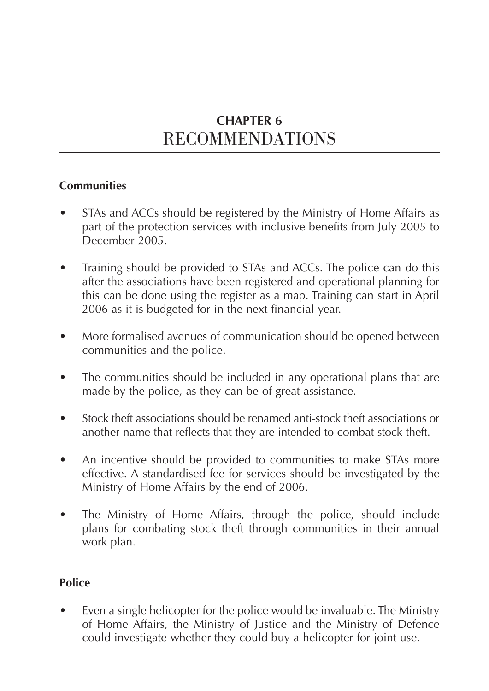# **CHAPTER 6** RECOMMENDATIONS

# **Communities**

- STAs and ACCs should be registered by the Ministry of Home Affairs as part of the protection services with inclusive benefits from July 2005 to December 2005.
- Training should be provided to STAs and ACCs. The police can do this after the associations have been registered and operational planning for this can be done using the register as a map. Training can start in April 2006 as it is budgeted for in the next financial year.
- More formalised avenues of communication should be opened between communities and the police.
- The communities should be included in any operational plans that are made by the police, as they can be of great assistance.
- Stock theft associations should be renamed anti-stock theft associations or another name that reflects that they are intended to combat stock theft.
- An incentive should be provided to communities to make STAs more effective. A standardised fee for services should be investigated by the Ministry of Home Affairs by the end of 2006.
- The Ministry of Home Affairs, through the police, should include plans for combating stock theft through communities in their annual work plan.

#### **Police**

• Even a single helicopter for the police would be invaluable. The Ministry of Home Affairs, the Ministry of Justice and the Ministry of Defence could investigate whether they could buy a helicopter for joint use.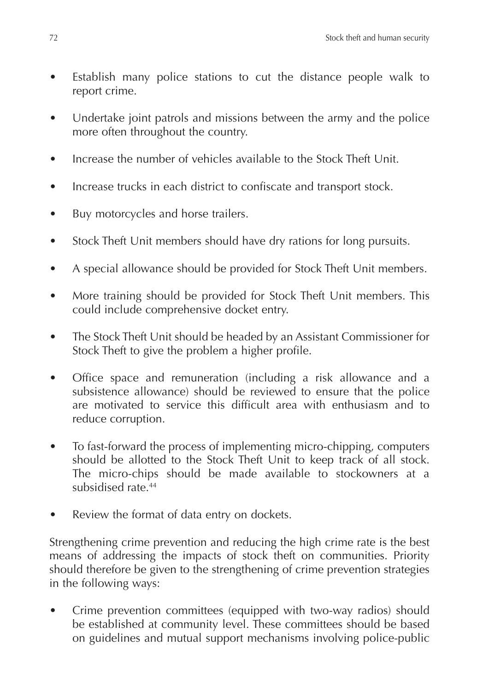- Establish many police stations to cut the distance people walk to report crime.
- Undertake joint patrols and missions between the army and the police more often throughout the country.
- Increase the number of vehicles available to the Stock Theft Unit.
- Increase trucks in each district to confiscate and transport stock.
- Buy motorcycles and horse trailers.
- Stock Theft Unit members should have dry rations for long pursuits.
- A special allowance should be provided for Stock Theft Unit members.
- More training should be provided for Stock Theft Unit members. This could include comprehensive docket entry.
- The Stock Theft Unit should be headed by an Assistant Commissioner for Stock Theft to give the problem a higher profile.
- Office space and remuneration (including a risk allowance and a subsistence allowance) should be reviewed to ensure that the police are motivated to service this difficult area with enthusiasm and to reduce corruption.
- To fast-forward the process of implementing micro-chipping, computers should be allotted to the Stock Theft Unit to keep track of all stock. The micro-chips should be made available to stockowners at a subsidised rate  $44$
- Review the format of data entry on dockets.

Strengthening crime prevention and reducing the high crime rate is the best means of addressing the impacts of stock theft on communities. Priority should therefore be given to the strengthening of crime prevention strategies in the following ways:

• Crime prevention committees (equipped with two-way radios) should be established at community level. These committees should be based on guidelines and mutual support mechanisms involving police-public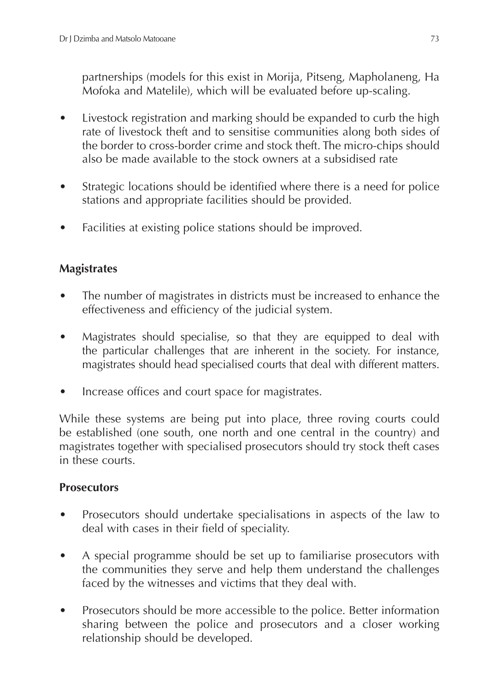partnerships (models for this exist in Morija, Pitseng, Mapholaneng, Ha Mofoka and Matelile), which will be evaluated before up-scaling.

- Livestock registration and marking should be expanded to curb the high rate of livestock theft and to sensitise communities along both sides of the border to cross-border crime and stock theft. The micro-chips should also be made available to the stock owners at a subsidised rate
- Strategic locations should be identified where there is a need for police stations and appropriate facilities should be provided.
- Facilities at existing police stations should be improved.

# **Magistrates**

- The number of magistrates in districts must be increased to enhance the effectiveness and efficiency of the judicial system.
- Magistrates should specialise, so that they are equipped to deal with the particular challenges that are inherent in the society. For instance, magistrates should head specialised courts that deal with different matters.
- Increase offices and court space for magistrates.

While these systems are being put into place, three roving courts could be established (one south, one north and one central in the country) and magistrates together with specialised prosecutors should try stock theft cases in these courts.

#### **Prosecutors**

- Prosecutors should undertake specialisations in aspects of the law to deal with cases in their field of speciality.
- A special programme should be set up to familiarise prosecutors with the communities they serve and help them understand the challenges faced by the witnesses and victims that they deal with.
- Prosecutors should be more accessible to the police. Better information sharing between the police and prosecutors and a closer working relationship should be developed.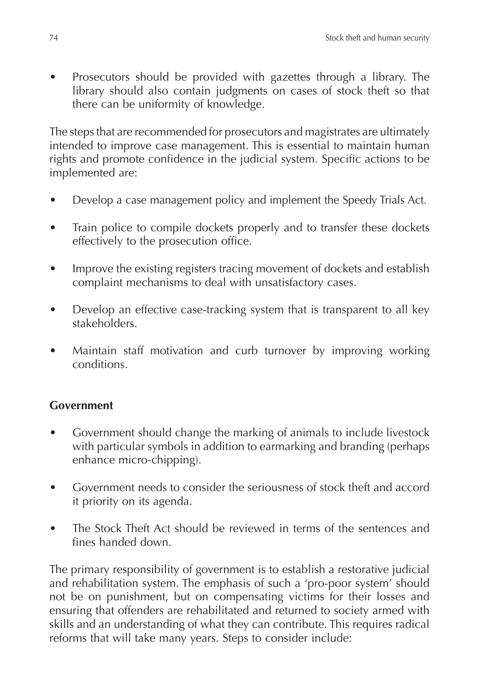• Prosecutors should be provided with gazettes through a library. The library should also contain judgments on cases of stock theft so that there can be uniformity of knowledge.

The steps that are recommended for prosecutors and magistrates are ultimately intended to improve case management. This is essential to maintain human rights and promote confidence in the judicial system. Specific actions to be implemented are:

- Develop a case management policy and implement the Speedy Trials Act.
- Train police to compile dockets properly and to transfer these dockets effectively to the prosecution office.
- Improve the existing registers tracing movement of dockets and establish complaint mechanisms to deal with unsatisfactory cases.
- Develop an effective case-tracking system that is transparent to all key stakeholders.
- Maintain staff motivation and curb turnover by improving working conditions.

#### **Government**

- Government should change the marking of animals to include livestock with particular symbols in addition to earmarking and branding (perhaps enhance micro-chipping).
- Government needs to consider the seriousness of stock theft and accord it priority on its agenda.
- The Stock Theft Act should be reviewed in terms of the sentences and fines handed down.

The primary responsibility of government is to establish a restorative judicial and rehabilitation system. The emphasis of such a 'pro-poor system' should not be on punishment, but on compensating victims for their losses and ensuring that offenders are rehabilitated and returned to society armed with skills and an understanding of what they can contribute. This requires radical reforms that will take many years. Steps to consider include: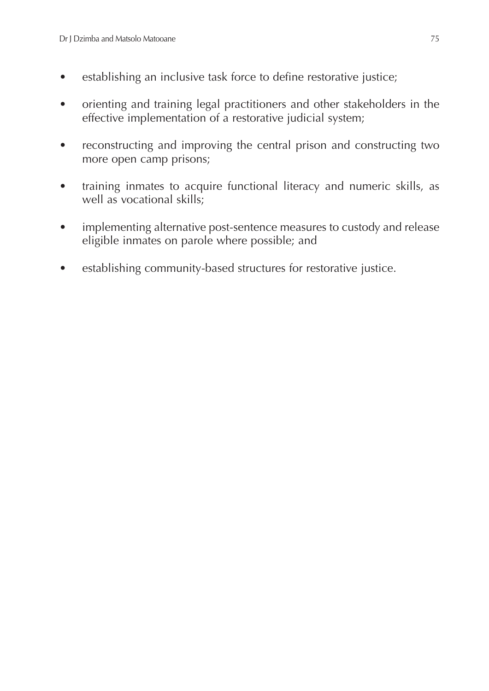- establishing an inclusive task force to define restorative justice;
- orienting and training legal practitioners and other stakeholders in the effective implementation of a restorative judicial system;
- reconstructing and improving the central prison and constructing two more open camp prisons;
- training inmates to acquire functional literacy and numeric skills, as well as vocational skills:
- implementing alternative post-sentence measures to custody and release eligible inmates on parole where possible; and
- establishing community-based structures for restorative justice.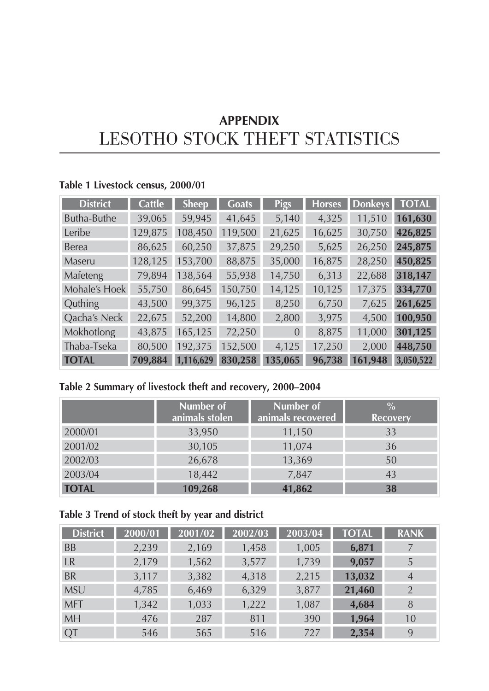# **APPENDIX** LESOTHO STOCK THEFT STATISTICS

| <b>District</b>     | <b>Cattle</b> | <b>Sheep</b> | Goats   | <b>Pigs</b> | <b>Horses</b> | <b>Donkeys</b> | <b>TOTAL</b> |
|---------------------|---------------|--------------|---------|-------------|---------------|----------------|--------------|
| Butha-Buthe         | 39,065        | 59,945       | 41,645  | 5,140       | 4,325         | 11,510         | 161,630      |
| Leribe              | 129,875       | 108,450      | 119,500 | 21,625      | 16,625        | 30.750         | 426,825      |
| Berea               | 86,625        | 60,250       | 37,875  | 29,250      | 5,625         | 26,250         | 245,875      |
| Maseru              | 128,125       | 153,700      | 88,875  | 35,000      | 16,875        | 28,250         | 450,825      |
| Mafeteng            | 79,894        | 138,564      | 55,938  | 14,750      | 6,313         | 22,688         | 318,147      |
| Mohale's Hoek       | 55,750        | 86,645       | 150,750 | 14,125      | 10,125        | 17,375         | 334,770      |
| <b>Quthing</b>      | 43,500        | 99,375       | 96,125  | 8,250       | 6,750         | 7.625          | 261,625      |
| <b>Oacha's Neck</b> | 22,675        | 52,200       | 14,800  | 2,800       | 3,975         | 4,500          | 100,950      |
| Mokhotlong          | 43,875        | 165,125      | 72,250  | $\Omega$    | 8,875         | 11,000         | 301,125      |
| Thaba-Tseka         | 80,500        | 192,375      | 152,500 | 4,125       | 17,250        | 2.000          | 448,750      |
| <b>TOTAL</b>        | 709.884       | 1.116.629    | 830.258 | 135.065     | 96.738        | 161.948        | 3.050.522    |

## **Table 1 Livestock census, 2000/01**

#### **Table 2 Summary of livestock theft and recovery, 2000–2004**

|              | Number of<br>animals stolen | Number of<br>animals recovered | $\%$<br><b>Recovery</b> |
|--------------|-----------------------------|--------------------------------|-------------------------|
| 2000/01      | 33,950                      | 11,150                         | 33                      |
| 2001/02      | 30,105                      | 11,074                         | 36                      |
| 2002/03      | 26,678                      | 13,369                         | 50                      |
| 2003/04      | 18,442                      | 7.847                          | 43                      |
| <b>TOTAL</b> | 109,268                     | 41,862                         | 38                      |

#### **Table 3 Trend of stock theft by year and district**

| <b>District</b> | 2000/01 | 2001/02 | 2002/03 | 2003/04 | <b>TOTAL</b> | <b>RANK</b>    |
|-----------------|---------|---------|---------|---------|--------------|----------------|
| <b>BB</b>       | 2,239   | 2,169   | 1,458   | 1,005   | 6,871        |                |
| <b>LR</b>       | 2,179   | 1,562   | 3,577   | 1,739   | 9,057        |                |
| <b>BR</b>       | 3,117   | 3,382   | 4,318   | 2,215   | 13,032       | $\overline{4}$ |
| <b>MSU</b>      | 4,785   | 6,469   | 6,329   | 3,877   | 21,460       |                |
| <b>MFT</b>      | 1,342   | 1,033   | 1,222   | 1,087   | 4,684        | 8              |
| <b>MH</b>       | 476     | 287     | 811     | 390     | 1,964        | 10             |
| OT              | 546     | 565     | 516     | 727     | 2,354        | 9              |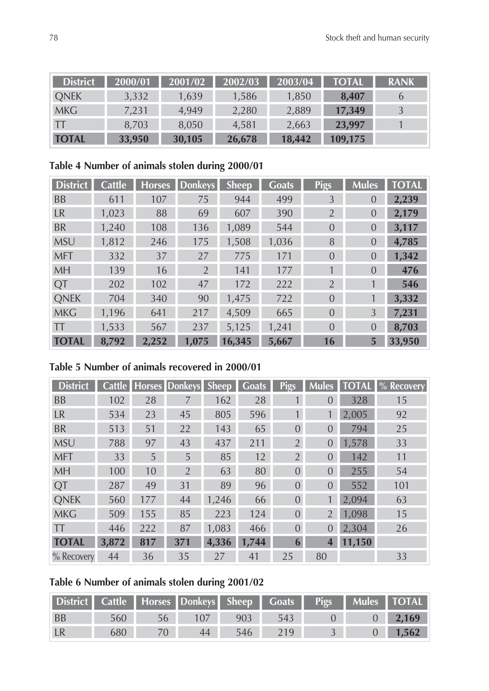| <b>District</b> | 2000/01 | 2001/02 | 2002/03 | 2003/04 | <b>TOTAL</b> | <b>RANK</b> |
|-----------------|---------|---------|---------|---------|--------------|-------------|
| <b>ONEK</b>     | 3.332   | 1,639   | 1.586   | 1.850   | 8.407        |             |
| <b>MKG</b>      | 7.231   | 4.949   | 2.280   | 2.889   | 17.349       |             |
| TT              | 8.703   | 8.050   | 4.581   | 2.663   | 23.997       |             |
| <b>TOTAL</b>    | 33,950  | 30,105  | 26,678  | 18.442  | 109,175      |             |

**Table 4 Number of animals stolen during 2000/01**

| <b>District</b> | <b>Cattle</b> | <b>Horses</b> | <b>Donkeys</b> | <b>Sheep</b> | <b>Goats</b> | <b>Pigs</b>    | <b>Mules</b>   | <b>TOTAL</b> |
|-----------------|---------------|---------------|----------------|--------------|--------------|----------------|----------------|--------------|
| <b>BB</b>       | 611           | 107           | 75             | 944          | 499          | 3              | $\overline{0}$ | 2,239        |
| <b>LR</b>       | 1,023         | 88            | 69             | 607          | 390          | $\overline{2}$ | $\overline{0}$ | 2,179        |
| <b>BR</b>       | 1.240         | 108           | 136            | 1.089        | 544          | $\overline{0}$ | 0              | 3,117        |
| <b>MSU</b>      | 1.812         | 246           | 175            | 1.508        | 1.036        | 8              | $\overline{0}$ | 4.785        |
| <b>MFT</b>      | 332           | 37            | 27             | 775          | 171          | $\Omega$       | $\overline{0}$ | 1,342        |
| <b>MH</b>       | 139           | 16            | $\mathcal{P}$  | 141          | 177          | 1              | $\Omega$       | 476          |
| QT              | 202           | 102           | 47             | 172          | 222          | $\overline{2}$ | 1              | 546          |
| <b>QNEK</b>     | 704           | 340           | 90             | 1.475        | 722          | $\Omega$       |                | 3,332        |
| <b>MKG</b>      | 1.196         | 641           | 217            | 4.509        | 665          | $\overline{0}$ | 3              | 7.231        |
| ТT              | 1,533         | 567           | 237            | 5,125        | 1.241        | $\Omega$       | $\overline{0}$ | 8,703        |
| <b>TOTAL</b>    | 8,792         | 2,252         | 1.075          | 16,345       | 5,667        | 16             | 5              | 33,950       |

**Table 5 Number of animals recovered in 2000/01**

| <b>District</b> |       |     | Cattle   Horses Donkeys   Sheep |       | <b>Goats</b> | <b>Pigs</b>    |                |        | Mules TOTAL <sup>%</sup> Recovery |
|-----------------|-------|-----|---------------------------------|-------|--------------|----------------|----------------|--------|-----------------------------------|
| <b>BB</b>       | 102   | 28  |                                 | 162   | 28           |                | $\Omega$       | 328    | 15                                |
| <b>LR</b>       | 534   | 23  | 45                              | 805   | 596          |                |                | 2,005  | 92                                |
| <b>BR</b>       | 513   | 51  | 22                              | 143   | 65           | $\Omega$       | $\Omega$       | 794    | 25                                |
| <b>MSU</b>      | 788   | 97  | 43                              | 437   | 211          | $\overline{2}$ | $\Omega$       | 1,578  | 33                                |
| <b>MFT</b>      | 33    | 5   | 5                               | 85    | 12           | $\overline{2}$ | $\Omega$       | 142    | 11                                |
| <b>MH</b>       | 100   | 10  | $\mathfrak{D}$                  | 63    | 80           | 0              | $\Omega$       | 255    | 54                                |
| QT              | 287   | 49  | 31                              | 89    | 96           | 0              | $\Omega$       | 552    | 101                               |
| QNEK            | 560   | 177 | 44                              | 1,246 | 66           | 0              |                | 2.094  | 63                                |
| <b>MKG</b>      | 509   | 155 | 85                              | 223   | 124          | $\Omega$       | $\overline{2}$ | 1.098  | 15                                |
| ТT              | 446   | 222 | 87                              | 1.083 | 466          | $\Omega$       | $\Omega$       | 2.304  | 26                                |
| <b>TOTAL</b>    | 3,872 | 817 | 371                             | 4.336 | 1,744        | 6              | 4              | 11,150 |                                   |
| % Recovery      | 44    | 36  | 35                              | 27    | 41           | 25             | 80             |        | 33                                |

# **Table 6 Number of animals stolen during 2001/02**

|           |     |    | District   Cattle   Horses   Donkeys   Sheep   Goats   Pigs   Mules   TOTAL |        |       |  |                 |
|-----------|-----|----|-----------------------------------------------------------------------------|--------|-------|--|-----------------|
| <b>BB</b> | 560 | 56 | $-107$                                                                      | $-903$ | - 543 |  | $0 \quad 2.169$ |
| LR        | 680 |    | 44                                                                          | 546    | 219   |  | 1.562           |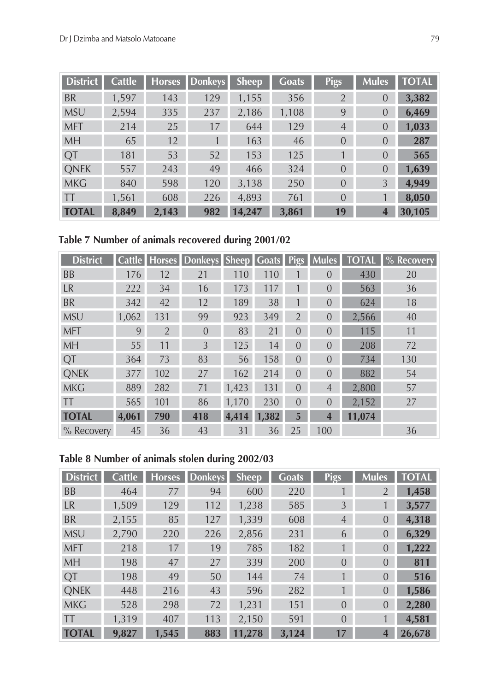| <b>District</b> | <b>Cattle</b> | <b>Horses</b> | <b>Donkeys</b> | <b>Sheep</b> | <b>Goats</b> | <b>Pigs</b>    | <b>Mules</b>   | <b>TOTAL</b> |
|-----------------|---------------|---------------|----------------|--------------|--------------|----------------|----------------|--------------|
| <b>BR</b>       | 1.597         | 143           | 129            | 1,155        | 356          | $\overline{2}$ | $\overline{0}$ | 3,382        |
| <b>MSU</b>      | 2,594         | 335           | 237            | 2,186        | 1,108        | 9              | $\overline{0}$ | 6,469        |
| <b>MFT</b>      | 214           | 25            | 17             | 644          | 129          | $\overline{4}$ | $\overline{0}$ | 1,033        |
| <b>MH</b>       | 65            | 12            |                | 163          | 46           | $\Omega$       | $\overline{0}$ | 287          |
| QT              | 181           | 53            | 52             | 153          | 125          |                | $\overline{0}$ | 565          |
| <b>QNEK</b>     | 557           | 243           | 49             | 466          | 324          | $\Omega$       | $\overline{0}$ | 1,639        |
| <b>MKG</b>      | 840           | 598           | 120            | 3,138        | 250          | $\Omega$       | 3              | 4.949        |
| ТT              | 1,561         | 608           | 226            | 4,893        | 761          | $\Omega$       |                | 8.050        |
| <b>TOTAL</b>    | 8.849         | 2.143         | 982            | 14.247       | 3,861        | 19             | 4              | 30,105       |

**Table 7 Number of animals recovered during 2001/02**

| <b>District</b> |       |                |          |       |       |                |                |        | Cattle Horses Donkeys Sheep Goats Pigs Mules TOTAL % Recovery |
|-----------------|-------|----------------|----------|-------|-------|----------------|----------------|--------|---------------------------------------------------------------|
| <b>BB</b>       | 176   | 12             | 21       | 110   | 110   |                | $\Omega$       | 430    | 20                                                            |
| <b>LR</b>       | 222   | 34             | 16       | 173   | 117   |                | $\Omega$       | 563    | 36                                                            |
| <b>BR</b>       | 342   | 42             | 12       | 189   | 38    |                | $\Omega$       | 624    | 18                                                            |
| <b>MSU</b>      | 1,062 | 131            | 99       | 923   | 349   | $\overline{2}$ | $\Omega$       | 2,566  | 40                                                            |
| <b>MFT</b>      | 9     | $\mathfrak{D}$ | $\Omega$ | 83    | 21    | $\Omega$       | $\Omega$       | 115    | 11                                                            |
| <b>MH</b>       | 55    | 11             | 3        | 125   | 14    | $\Omega$       | $\Omega$       | 208    | 72                                                            |
| QT              | 364   | 73             | 83       | 56    | 158   | $\Omega$       | $\Omega$       | 734    | 130                                                           |
| <b>QNEK</b>     | 377   | 102            | 27       | 162   | 214   | $\Omega$       | $\Omega$       | 882    | 54                                                            |
| <b>MKG</b>      | 889   | 282            | 71       | 1.423 | 131   | $\Omega$       | $\overline{4}$ | 2.800  | 57                                                            |
| TT              | 565   | 101            | 86       | 1,170 | 230   | $\Omega$       | $\Omega$       | 2.152  | 27                                                            |
| <b>TOTAL</b>    | 4,061 | 790            | 418      | 4,414 | 1,382 | 5              | 4              | 11.074 |                                                               |
| % Recovery      | 45    | 36             | 43       | 31    | 36    | 25             | 100            |        | 36                                                            |

**Table 8 Number of animals stolen during 2002/03**

| <b>District</b> | Cattle | <b>Horses</b> | <b>Donkeys</b> | <b>Sheep</b> | <b>Goats</b> | <b>Pigs</b>    | <b>Mules</b>   | TOTAL  |
|-----------------|--------|---------------|----------------|--------------|--------------|----------------|----------------|--------|
| <b>BB</b>       | 464    | 77            | 94             | 600          | 220          |                | $\overline{2}$ | 1,458  |
| <b>LR</b>       | 1,509  | 129           | 112            | 1,238        | 585          | 3              |                | 3,577  |
| <b>BR</b>       | 2,155  | 85            | 127            | 1,339        | 608          | $\overline{4}$ | $\overline{0}$ | 4,318  |
| <b>MSU</b>      | 2.790  | 220           | 226            | 2,856        | 231          | 6              | $\overline{0}$ | 6,329  |
| <b>MFT</b>      | 218    | 17            | 19             | 785          | 182          | 1              | $\overline{0}$ | 1,222  |
| <b>MH</b>       | 198    | 47            | 27             | 339          | 200          | $\Omega$       | $\Omega$       | 811    |
| QT              | 198    | 49            | 50             | 144          | 74           | 1              | $\Omega$       | 516    |
| <b>QNEK</b>     | 448    | 216           | 43             | 596          | 282          |                | $\Omega$       | 1,586  |
| <b>MKG</b>      | 528    | 298           | 72             | 1,231        | 151          | $\overline{0}$ | $\overline{0}$ | 2,280  |
| TΤ              | 1.319  | 407           | 113            | 2,150        | 591          | $\Omega$       |                | 4.581  |
| <b>TOTAL</b>    | 9.827  | 1.545         | 883            | 11.278       | 3.124        | 17             | 4              | 26,678 |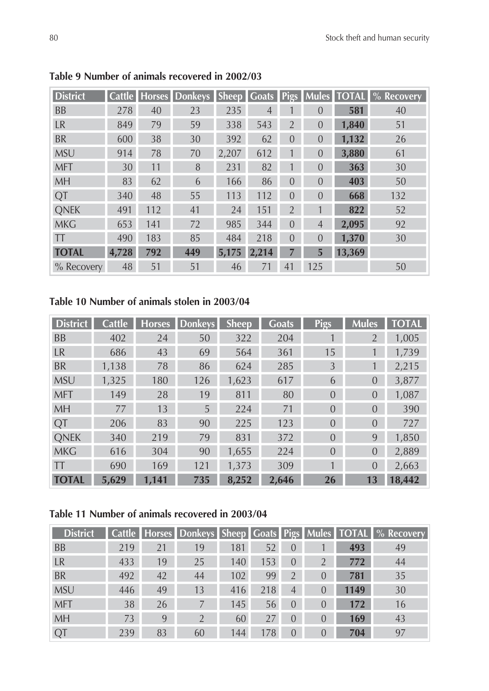| <b>District</b> |       |     |     |       |                |                |                |        | Cattle Horses Donkeys Sheep Goats Pigs Mules TOTAL % Recovery |
|-----------------|-------|-----|-----|-------|----------------|----------------|----------------|--------|---------------------------------------------------------------|
| <b>BB</b>       | 278   | 40  | 23  | 235   | $\overline{4}$ |                | $\Omega$       | 581    | 40                                                            |
| <b>LR</b>       | 849   | 79  | 59  | 338   | 543            | $\overline{2}$ | $\Omega$       | 1.840  | 51                                                            |
| <b>BR</b>       | 600   | 38  | 30  | 392   | 62             | $\Omega$       | $\Omega$       | 1,132  | 26                                                            |
| <b>MSU</b>      | 914   | 78  | 70  | 2,207 | 612            |                | $\Omega$       | 3,880  | 61                                                            |
| <b>MFT</b>      | 30    | 11  | 8   | 231   | 82             |                | $\Omega$       | 363    | 30                                                            |
| <b>MH</b>       | 83    | 62  | 6   | 166   | 86             | $\Omega$       | $\Omega$       | 403    | 50                                                            |
| QT              | 340   | 48  | 55  | 113   | 112            | $\Omega$       | $\Omega$       | 668    | 132                                                           |
| <b>ONEK</b>     | 491   | 112 | 41  | 24    | 151            | $\overline{2}$ |                | 822    | 52                                                            |
| <b>MKG</b>      | 653   | 141 | 72  | 985   | 344            | $\left($       | $\overline{4}$ | 2.095  | 92                                                            |
| TΤ              | 490   | 183 | 85  | 484   | 218            | $\left($       | $\Omega$       | 1.370  | 30                                                            |
| <b>TOTAL</b>    | 4,728 | 792 | 449 | 5,175 | 2,214          |                | 5              | 13,369 |                                                               |
| % Recovery      | 48    | 51  | 51  | 46    | 71             | 41             | 125            |        | 50                                                            |

**Table 9 Number of animals recovered in 2002/03**

**Table 10 Number of animals stolen in 2003/04**

| <b>District</b> | Cattle | <b>Horses</b> | Donkeys | <b>Sheep</b> | <b>Goats</b> | <b>Pigs</b> | <b>Mules</b>   | <b>TOTAL</b> |
|-----------------|--------|---------------|---------|--------------|--------------|-------------|----------------|--------------|
| <b>BB</b>       | 402    | 24            | 50      | 322          | 204          |             | $\overline{2}$ | 1,005        |
| <b>LR</b>       | 686    | 43            | 69      | 564          | 361          | 15          |                | 1,739        |
| <b>BR</b>       | 1.138  | 78            | 86      | 624          | 285          | 3           |                | 2,215        |
| <b>MSU</b>      | 1,325  | 180           | 126     | 1,623        | 617          | 6           | $\overline{0}$ | 3,877        |
| <b>MFT</b>      | 149    | 28            | 19      | 811          | 80           | $\Omega$    | $\overline{0}$ | 1,087        |
| <b>MH</b>       | 77     | 13            | 5       | 224          | 71           | $\Omega$    | $\overline{0}$ | 390          |
| QT              | 206    | 83            | 90      | 225          | 123          | $\Omega$    | $\overline{0}$ | 727          |
| <b>ONEK</b>     | 340    | 219           | 79      | 831          | 372          | $\Omega$    | 9              | 1.850        |
| <b>MKG</b>      | 616    | 304           | 90      | 1,655        | 224          | $\Omega$    | $\overline{0}$ | 2,889        |
| TΤ              | 690    | 169           | 121     | 1,373        | 309          |             | $\Omega$       | 2,663        |
| <b>TOTAL</b>    | 5,629  | 1.141         | 735     | 8.252        | 2,646        | 26          | 13             | 18.442       |

**Table 11 Number of animals recovered in 2003/04**

| <b>District</b> |     |    |                |     |     |                  |          |      | Cattle   Horses   Donkeys   Sheep   Goats   Pigs   Mules   TOTAL   % Recovery |
|-----------------|-----|----|----------------|-----|-----|------------------|----------|------|-------------------------------------------------------------------------------|
| <b>BB</b>       | 219 | 21 | 19             | 181 | 52  | $\overline{0}$   |          | 493  | 49                                                                            |
| LR              | 433 | 19 | 25             | 140 | 153 | $\left( \right)$ |          | 772  | 44                                                                            |
| <b>BR</b>       | 492 | 42 | 44             | 102 | 99  | $\overline{2}$   | $\Omega$ | 781  | 35                                                                            |
| <b>MSU</b>      | 446 | 49 | 13             | 416 | 218 | $\overline{4}$   | $\Omega$ | 1149 | 30                                                                            |
| <b>MFT</b>      | 38  | 26 |                | 145 | 56  | $\Omega$         | $\Omega$ | 172  | 16                                                                            |
| <b>MH</b>       | 73  | 9  | $\mathfrak{D}$ | 60  | 27  | $\overline{0}$   | $\Omega$ | 169  | 43                                                                            |
| ΟT              | 239 | 83 | 60             | 144 | 178 | $\Omega$         | $\Omega$ | 704  | 97                                                                            |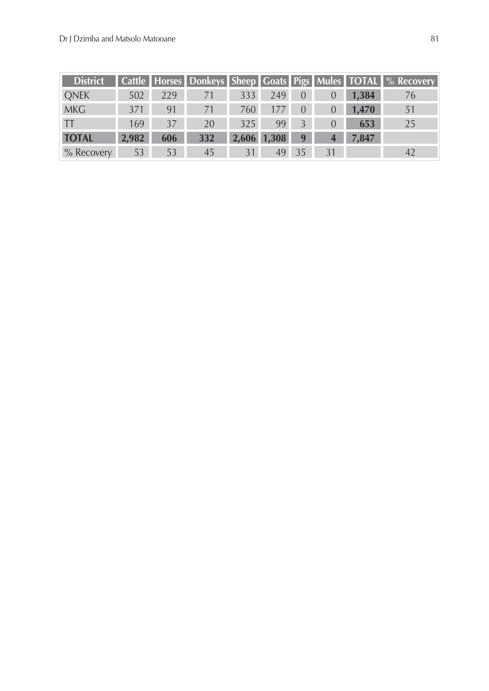| <b>District</b> |       |     |     |     |             |          |    |       | Cattle   Horses   Donkeys   Sheep   Goats   Pigs   Mules   TOTAL   % Recovery |
|-----------------|-------|-----|-----|-----|-------------|----------|----|-------|-------------------------------------------------------------------------------|
| <b>ONEK</b>     | 502   | 229 |     | 333 | 249         | $\Omega$ |    | 1.384 | 76                                                                            |
| <b>MKG</b>      | 371   | 91  |     | 760 |             |          |    | 1.470 | 51                                                                            |
| TT              | 169   | 37  | 20  | 325 | 99          |          |    | 653   | 25                                                                            |
| <b>TOTAL</b>    | 2.982 | 606 | 332 |     | 2.606 1.308 | 9        | 4  | 7.847 |                                                                               |
| % Recovery      | 53    | 53  | 45  | 31  | 49          | 35       | 31 |       | 42                                                                            |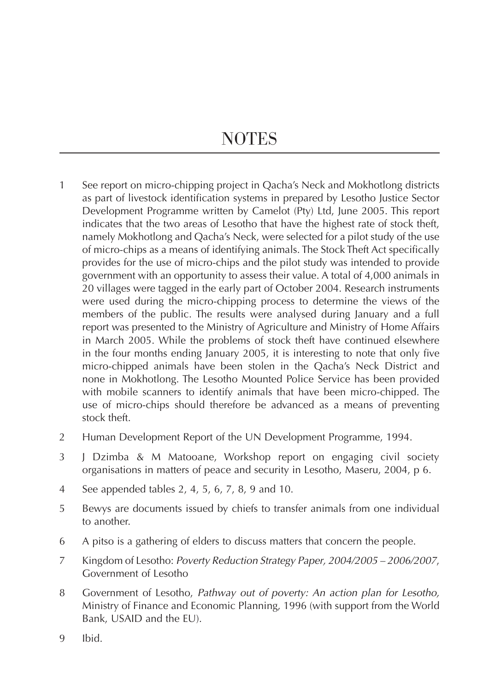# **NOTES**

- 1 See report on micro-chipping project in Qacha's Neck and Mokhotlong districts as part of livestock identification systems in prepared by Lesotho Justice Sector Development Programme written by Camelot (Pty) Ltd, June 2005. This report indicates that the two areas of Lesotho that have the highest rate of stock theft, namely Mokhotlong and Qacha's Neck, were selected for a pilot study of the use of micro-chips as a means of identifying animals. The Stock Theft Act specifically provides for the use of micro-chips and the pilot study was intended to provide government with an opportunity to assess their value. A total of 4,000 animals in 20 villages were tagged in the early part of October 2004. Research instruments were used during the micro-chipping process to determine the views of the members of the public. The results were analysed during January and a full report was presented to the Ministry of Agriculture and Ministry of Home Affairs in March 2005. While the problems of stock theft have continued elsewhere in the four months ending January 2005, it is interesting to note that only five micro-chipped animals have been stolen in the Qacha's Neck District and none in Mokhotlong. The Lesotho Mounted Police Service has been provided with mobile scanners to identify animals that have been micro-chipped. The use of micro-chips should therefore be advanced as a means of preventing stock theft.
- 2 Human Development Report of the UN Development Programme, 1994.
- 3 J Dzimba & M Matooane, Workshop report on engaging civil society organisations in matters of peace and security in Lesotho, Maseru, 2004, p 6.
- 4 See appended tables 2, 4, 5, 6, 7, 8, 9 and 10.
- 5 Bewys are documents issued by chiefs to transfer animals from one individual to another.
- 6 A pitso is a gathering of elders to discuss matters that concern the people.
- 7 Kingdom of Lesotho: *Poverty Reduction Strategy Paper, 2004/2005 2006/2007*, Government of Lesotho
- 8 Government of Lesotho, *Pathway out of poverty: An action plan for Lesotho,* Ministry of Finance and Economic Planning, 1996 (with support from the World Bank, USAID and the EU).
- 9 Ibid.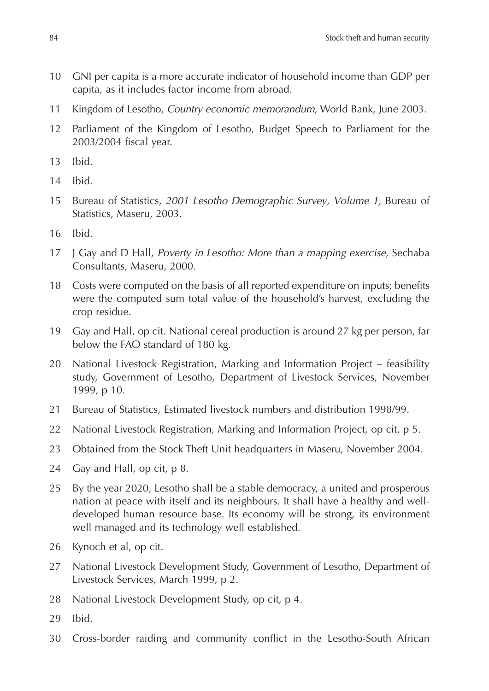- 10 GNI per capita is a more accurate indicator of household income than GDP per capita, as it includes factor income from abroad.
- 11 Kingdom of Lesotho, *Country economic memorandum*, World Bank, June 2003.
- 12 Parliament of the Kingdom of Lesotho, Budget Speech to Parliament for the 2003/2004 fiscal year.
- 13 Ibid.
- 14 Ibid.
- 15 Bureau of Statistics, *2001 Lesotho Demographic Survey, Volume 1,* Bureau of Statistics, Maseru, 2003.
- 16 Ibid.
- 17 J Gay and D Hall, *Poverty in Lesotho: More than a mapping exercise*, Sechaba Consultants, Maseru, 2000.
- 18 Costs were computed on the basis of all reported expenditure on inputs; benefits were the computed sum total value of the household's harvest, excluding the crop residue.
- 19 Gay and Hall, op cit. National cereal production is around 27 kg per person, far below the FAO standard of 180 kg.
- 20 National Livestock Registration, Marking and Information Project feasibility study, Government of Lesotho, Department of Livestock Services, November 1999, p 10.
- 21 Bureau of Statistics, Estimated livestock numbers and distribution 1998/99.
- 22 National Livestock Registration, Marking and Information Project, op cit, p 5.
- 23 Obtained from the Stock Theft Unit headquarters in Maseru, November 2004.
- 24 Gay and Hall, op cit, p 8.
- 25 By the year 2020, Lesotho shall be a stable democracy, a united and prosperous nation at peace with itself and its neighbours. It shall have a healthy and welldeveloped human resource base. Its economy will be strong, its environment well managed and its technology well established.
- 26 Kynoch et al, op cit.
- 27 National Livestock Development Study, Government of Lesotho, Department of Livestock Services, March 1999, p 2.
- 28 National Livestock Development Study, op cit, p 4.
- 29 Ibid.
- 30 Cross-border raiding and community conflict in the Lesotho-South African